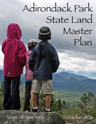# Adirondack Park State Land Master  $Plan$

State of New York

October 2011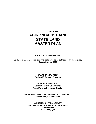# **STATE OF NEW YORK ADIRONDACK PARK STATE LAND MASTER PLAN**

#### **APPROVED NOVEMBER 1987**

**Updates to Area Descriptions and Delineations as authorized by the Agency Board, October 2011** 

> **STATE OF NEW YORK Andrew M. Cuomo, Governor**

**ADIRONDACK PARK AGENCY Leilani C. Ulrich, Chairwoman Terry Martino, Executive Director** 

**DEPARTMENT OF ENVIRONMENTAL CONSERVATION Joe Martens, Commissioner** 

**ADIRONDACK PARK AGENCY P.O. BOX 99, RAY BROOK, NEW YORK 12977 518-891-4050 www.apa.ny.gov**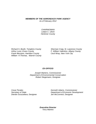#### *MEMBERS OF THE ADIRONDACK PARK AGENCY As of February 2012*

*CHAIRWOMAN Leilani C. Ulrich Herkimer County* 

*Frank Mezzano, Hamilton County Cecil Wray, New York City William H.Thomas, Warren County* 

*Richard S. Booth, Tompkins County Sherman Craig, St. Lawrence County Arthur Lussi, Essex County F. William Valentino, Albany County* 

# *EX-OFFICIO*

*Joseph Martens, Commissioner Department of Environmental Conservation Robert Stegemann, Designee* 

*Dierdre Scozzafava, Designee Jen McCormick, Designee* 

*Cesar Perales Kenneth Adams, Commissioner Secretary of State Department of Economic Development* 

> *Executive Director Terry Martino*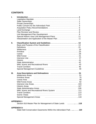# **CONTENTS**

| Ī.                                                                                      |                                                                                                                                                                                                                                                                                 |
|-----------------------------------------------------------------------------------------|---------------------------------------------------------------------------------------------------------------------------------------------------------------------------------------------------------------------------------------------------------------------------------|
| Ш.                                                                                      | Definitions<br>Wilderness<br>Primitive<br>Canoe<br><b>Historic</b><br>Wild, Scenic and Recreational Rivers  43<br><b>Travel Corridors</b>                                                                                                                                       |
| Ш.                                                                                      | Area Descriptions and Delineations  51<br><b>Primitive Areas</b><br><b>Historic Areas</b><br>Wild, Scenic and Recreational Rivers System  111<br><b>Travel Corridors</b><br><b>Scenic Vistas</b><br>Special Management Areas extendional contracts and special Management Areas |
|                                                                                         | <b>APPENDIX I:</b><br>Section 816 Master Plan for Management of State Lands  118                                                                                                                                                                                                |
| <b>APPENDIX II:</b><br>State-held Conservation Easements Within the Adirondack Park 120 |                                                                                                                                                                                                                                                                                 |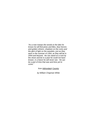*"As a man tramps the woods to the lake he knows he will find pines and lilies, blue herons and golden shiners, shadows on the rocks and the glint of light on the wavelets, just as they were in the summer of 1354, as they will be in 2054 and beyond. He can stand on a rock by the shore and be in a past he could not have known, in a future he will never see. He can be a part of time that was and time yet to come."* 

# *from Adirondack Country*

 *by William Chapman White*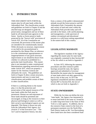# **I. INTRODUCTION**

THIS DOCUMENT SETS FORTH the master plan for all state lands within the Adirondack Park. The classification system and guidelines set forth in Chapter II and the attached map are designed to guide the preservation, management and use of these lands by all interested state agencies in the future. Insofar as forest preserve lands protected by the "forever wild" provisions of Article XIV, §l of the Constitution are concerned, the provisions of the master plan are intended to be constitutionally neutral. While obviously no structure, improvement or use held to be unconstitutional is permitted by this Master Plan, no inference as to the constitutional appropriateness or inappropriateness of any given structure, improvement or use should be drawn from whether it is allowed or prohibited in a particular land classification. This master plan is not intended to make constitutional determinations regarding unresolved issues under Article XIV, which are properly a matter for the Attorney General and ultimately the courts. The guidelines set forth in Chapter II allow certain structures, improvements and uses in some land classifications and prohibit certain of them in other classifications.

If there is a unifying theme to the master plan, it is that the protection and preservation of the natural resources of the state lands within the Park must be paramount. Human use and enjoyment of those lands should be permitted and encouraged, so long as the resources in their physical and biological context as well as their social or psychological aspects are not degraded. This theme is drawn not only from the Adirondack Park Agency Act (Article 27 of the Executive Law - "The Act") and its legislative history, but also

from a century of the public's demonstrated attitude toward the forest preserve and the Adirondack Park. Fortunately the amount and variety of land and water within the Adirondack Park provide today and will provide in the future, with careful planning and management, a wide spectrum of outdoor recreational and educational pursuits in a wild forest setting unparalleled in the eastern half of this country.

# **LEGISLATIVE MANDATE**

 The legislative mandate of the Agency regarding this master plan for state lands was originally contained in then Section 807 of the Act which is set forth in Appendix I.

 In June 1972, following the statutory procedures and after extensive public hearings around the state, the Agency approved and submitted to Governor Rockefeller the master plan for management of state lands which was duly approved by him in July of that year. In 1973 the legislature renumbered and then amended Section 807 to Section 816, the text of which is also set forth in Appendix I.

# **STATE OWNERSHIPS**

 While the Act does not define the term "state lands," the Agency has interpreted it to mean land held in the name of, owned by or under long-term lease to the State of New York or a state agency. In addition, due to the extensive State control in the form of a permanent easement over the North Elba Park District lands on Mt. Van Hoevenberg, these lands have also been considered State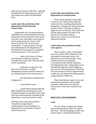lands for the purposes of the Plan. Applying this definition, the following inventory of state lands exists within the Adirondack Park:

#### **Lands under the jurisdiction of the Department of Environmental Conservation:**

 Substantially all of the approximately 2,400,000 acres of land administered by the Department of Environmental Conservation form part of the Adirondack forest preserve and are protected by the "forever wild" clause of Article XIV, §l of the State Constitution. A small amount of acreage also administered by the Department of Environmental Conservation is considered non-forest preserve. This consists of:

 -- lands in the Towns of Altona and Dannemora which are expressly excluded from Article XIV, §l by the terms of the Constitution;

 -- lands given or devised to the State for silvicultural or wildlife management purposes which by statute are not considered part of the forest preserve;

 -- the Department's administrative headquarters;

-- certain historic areas;

 -- certain lands acquired under the l960 and l962 Park and Recreation Land Acquisition Bond Act and other lands which have been administratively classified by the Department as non-forest preserve lands.

Nothing in this master plan should be interpreted as supporting the constitutionality of such legislative or administrative classifications of land as non-forest preserve.

# **Lands under the jurisdiction of the Department of Transportation:**

 These consist primarily of the rightsof-way for state and interstate highways within the Park, including administrative headquarters, storage areas and maintenance facilities. Some 1,100 miles of highway rights-of-way are involved. These lands also include approximately 120 miles of the Remsen to Lake Placid railroad right-of-way, which is not presently an operational railroad.

# **Lands under the jurisdiction of other state agencies:**

 These include a variety of developed uses such as State Police substations, the Adirondack Correctional Facility, the Dannemora Correctional Facility, Camp Gabriels and the Lyon Mountain Correctional Facility and the Sunmount Developmental Center. Substantially all are immediately adjacent to public highways, and most are in developed areas of the Park. The total acreage involved is approximately 12,000 acres of which the developed portion is approximately 1,000 acres.

 These miscellaneous types of uses raise constitutional questions which, though sometimes addressed by the Attorney General, have never been resolved in the courts.

# **PRIVATE OWNERSHIPS**

# **Land**

 The Act clearly recognizes the unique land ownership pattern within the Adirondack Park -- the intermingling of public and private lands in a checkerboard pattern --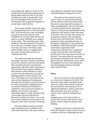and mandates the Agency to reflect in this master plan the actual and projected uses of private lands within the Park. In 1973 the Legislature enacted, in Section 805 of the Act, the Adirondack Park Land Use and Development Plan to guide development on private lands within the Park.

 This mixture of public and private lands is a distinguishing feature of the Adirondack Park. At the present time, state ownerships account for some forty percent of the 6,000,000 acres of land within the Park, the balance, or about 3,600,000 acres, being in private hands. This ownership poses many problems in that development in the private sector often has a dramatic impact on the use of nearby state lands. Conversely, major public facilities, such as a campground or ski center, directly affect land uses on related private lands.

 This land relationship also has many advantages. The more intensive recreational and service facilities on private lands permit both a broader spectrum of recreational opportunities and wider public enjoyment of the state lands. The economic viability of these private facilities should be a major concern in the development of pricing and operating policies for state intensive use areas. The siting of new state intensive use areas and the expansion of existing areas also must take into full account the existence of similar and possibly competing private recreational facilities and should not be competitive with such private facilities. In addition, the economy of the entire Adirondack region is vitally affected by the vast acreage of private lands that are devoted to multiple use forestry. To a much lesser extent, mining on private lands is also important to the area's economic well-being.

 Fish and wildlife resources on private lands complement those available on the state land, particularly in the many instances where groups of sportsmen lease hunting and fishing rights on large private tracts.

 The state has also acquired over the years a variety of conservation easements and less-than-fee interests in private lands that serve an important public purpose, in either providing public access to state lands or in preserving the natural, open-space character of the private land burdened by the easement for the benefit of other state lands in the Park. These less-than-fee interests are an important element in the relationship between state and private lands. The more important of these state-held interests are described in Appendix II to this master plan. In addition to state-held easements, private conservation organizations hold conservation easements over a significant acreage of private land, which also help preserve the natural, open-space character of the Park. This master plan for state lands has therefore attempted to take into account, both in the basic classification system and in the guidelines for future land acquisitions, this intermingling of private and public lands within the Park.

#### **Water**

 The water resources of the Adirondacks are critical to the integrity of the Park. The protection of the major watersheds of the state was a major reason for the creation of the forest preserve and continues to be of significant importance. Waters, particularly lakes and ponds, have their carrying capacity from a physical, biological and social

standpoint just as do tracts of public or private land. The use made of state waters also has a direct impact on adjacent land holdings.

 A genuine need exists to insure that the scale and intensity of water-oriented uses are consistent with uses of adjoining state and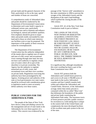private lands and the general character of the Park, particularly so far as the type, speed and number of boats are concerned.

A comprehensive study of Adirondack lakes and ponds should be conducted by the Department of Environmental Conservation to determine each water body's capacity to withstand various uses, particularly motorized uses and to maintain and enhance its biological, natural and aesthetic qualities. First emphasis should be given to major lakes and ponds totally surrounded by state land and to those on which state intensive use facilities exist or may be proposed. The importance of the quality of these resources cannot be overemphasized.

 The Department of Environmental Conservation has the authority independent of the master plan to regulate uses of waters and uses of wild, scenic and recreational rivers running through state land, but may not have such authority to regulate certain uses of waters where all or part of the shoreline is in private ownership. The Agency has the authority to regulate motorized use of wild, scenic and recreational rivers and their river corridors on private lands. Regulations exercising this authority have been promulgated by the Agency. Existing power and authority of the state or local governments over state waters should be reviewed with consideration given to legislative needs to more accurately define authority over these waters.

# **PUBLIC CONCERN FOR THE ADIRONDACK PARK**

 The people of the State of New York have shown a deep and abiding concern for the management and use of state lands in the Adirondacks for over three-quarters of a century. This concern was evidenced by the

passage of the "forever wild" amendment to the state constitution in 1894 to prevent the ravages of the Adirondack forests and the dissipation of the state's land-holdings, which typified the closing decades of the 19th century.

 Article XIV, §1 of the New York State Constitution reads in part as follows:

THE LANDS OF THE STATE, NOW OWNED OR HEREAFTER ACQUIRED, CONSTITUTING THE FOREST PRESERVE AS NOW FIXED BY LAW, SHALL BE FOREVER KEPT AS WILD FOREST LANDS. THEY SHALL NOT BE LEASED, SOLD OR EXCHANGED, OR BE TAKEN BY ANY CORPORATION, PUBLIC OR PRIVATE, NOR SHALL THE TIMBER THEREON BE SOLD, REMOVED OR DESTROYED.

It is significant that, although renumbered, this exact wording has been a part of the State Constitution since 1895.

 Article XIV protects both the Adirondack and Catskill forest preserves, and covers in all some 2,700,000 acres of state lands in the twelve Adirondack counties and four Catskill counties both within and without the Adirondack and Catskill Parks. However, of the Adirondack acreage, better than ninety percent is contained within the so-called "Blue Line" that delineates the boundaries of the public and private lands constituting the Adirondack Park today. The enormous tracts of forest preserve provide a public resource for recreation in a wild setting that is unique in the eastern half of the United States and complements the more developed facilities of the excellent state park system in the rest of the state.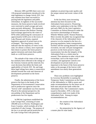Between 1895 and l985 there were over 130 proposed amendments introduced in the state legislature to change Article XIV, but only nineteen have been successful in passing both the legislature and public referendum. In eighteen of the successful measures, the forest preserve lands involved were restricted to small acreage and were quite precisely delineated. The nineteenth successful measure (the Perkins Clearing land exchange approved by the voters in l979) while authorizing the conveyance of approximately 8,500 acres in the towns of Lake Pleasant and Arietta, required legislative approval of actual tracts to be exchanged. This long history clearly indicates that the majority of voters in the state, for almost a century, have expressed their desire to protect the forest preserve against intrusions and retain these public lands as a wild forest preserve.

 The attitude of the voters of the state has similarly been reflected in the rulings of the Attorney General and the relatively few court decisions that define the limits and applicability of Article XIV. By and large these legal rulings have taken a conservative attitude towards the scale and character of developments permitted on the forest preserve.

 Finally, the administration of the forest preserve has been in the hands of the Department of Environmental Conservation and its predecessor agencies since the "forever wild" amendment was first enacted. Placed in the national perspective, the stewardship of the Department and its predecessors has few equals.

 In l96l the Legislature established the Lake George Park, consisting of some 200,000 acres in Warren, Washington and Essex Counties, which includes all of the watershed of Lake George. The purpose of the law is to provide special protection for the Lake George Park with particular

emphasis on preserving water quality and the unique natural and scenic values of the Park.

 In the last thirty years increasing attention has been focused on the Adirondack forest preserve. Pioneering studies were undertaken in the late 1950's and early l960's by the Joint Legislative Committee on Natural Resources under the successive chairmanships of Senators Wheeler Milmoe and R. Watson Pomeroy. More recently the public has recognized that if the character of the Adirondack forest preserve is to be retained in the face of a growing population, better transportation facilities and the soaring demand for outdoor recreation, not only will past management practices on the forest preserve require reassessment, but also the integrity of the Adirondack Park as a whole must be assured. Thus attention to other critical state ownerships, such as the major travel corridors, and appropriate controls over development on private lands are as important to the future of the forest preserve today as the passage of the forever wild amendment was nearly three generations ago.

 These new problems were highlighted by Governor Rockefeller in naming the Temporary Study Commission on the Future of the Adirondacks in 1968 to assess and make recommendations for the future use of both state and private lands within the Adirondack Park. The Commission's report, issued in December, 1970, is the most comprehensive study ever made of the Adirondack Park. Among its major recommendations are:

> the creation of the Adirondack Park Agency;

the preparation by the Agency of a master plan for state lands;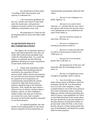-- the classification of these lands "according to their characteristics and capacity to withstand use";

 -- a set of extensive guidelines for the care, custody and control of state lands under the master plan, with particular emphasis on stricter controls over proposed wilderness and primitive areas; and,

 -- the preparation of a land use and development plan for all private lands within the Park.

# **ACQUISITION POLICY RECOMMENDATIONS**

 The Agency has an important interest in future state land acquisitions since they can vitally affect both private and public land within the Adirondack Park. As a result the Agency recommends that the following guidelines should govern future acquisitions of state lands within the Park:

 1. Future state acquisitions within the Adirondack Park should generally be restricted to the acquisition of forest preserve lands. Where special state purposes are such that non-forest preserve land might be acquired (if such acquisitions are constitutionally permissible) the amount acquired for other than forest preserve purposes should be kept to the minimum necessary. Thus, should the state acquire a 100-acre tract on which it wished to place a hospital, a prison, an office building or another facility only that part of the tract, say twenty-five acres, that is actually necessary for the facility should be classified as non-forest preserve.

 2. As a general guideline, the state should avoid acquiring lands for non-forest preserve purposes (if such acquisitions are

constitutionally permissible) within the Park where:

 -- the tract is not contiguous to a public highway; or,

 -- the tract is of a native forest character, i.e., stocked with any size, native tree species with twenty-five percent crown cover (plantations are not considered to be native forest land); or,

 -- the tract involved consists of more than 150 acres; or,

 -- the tract is contiguous to existing forest preserve land; or,

 -- the tract is within one-half mile of a block of forest preserve land of over 1,000 acres; or,

 -- the tract lies at an elevation greater than 2,500 feet; or,

 -- the proposed use of the tract will materially alter the surrounding environment; or,

the tract is of significant scenic, ecological or geologic value or interest.

 3. Save for (i) the two existing alpine skiing centers at Whiteface and Gore mountains and the Mt. Van Hoevenberg area; (ii) rustic state campsites, a long accepted intensive use of the forest preserve; (iii) visitor information centers, memorial highways, beaches and boat launching sites; and (iv) historic areas (guidelines for which are provided elsewhere in this master plan), the state should rely on private enterprise to develop intensive recreational facilities on private lands within the Park, to the extent that the character of these lands permits this type of development, and should not acquire lands for these purposes.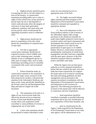4. Highest priority should be given to acquiring fee title to, fee title subject to a term of life tenancy, or conservation easements providing public use or value or rights of first refusal over, (i) key parcels of private land, the use or development of which could adversely affect the integrity of vital tracts of state land, particularly wilderness, primitive and canoe areas and (ii) key parcels which would permit the upgrading of primitive areas to wilderness areas.

 5. High priority should also be given to acquisitions of fee title which permit the consolidation of scattered tracts of state land.

 6. Fee title or appropriate conservation easements should also be acquired to protect critical wildlife areas such as deer wintering areas, wetlands, habitats of rare or endangered species or other areas of unique value, such as lands bordering or providing access to classified or proposed wild, scenic and recreational rivers.

 7. Efforts should be made, by conservation easement or fee acquisition, to protect the major scenic resources of the Park along travel corridors, with particular attention to the Adirondack Northway and those scenic vistas specifically identified on the Private Land Use and Development Plan Map and listed in Chapter III of this document.

 8. The acquisition of fee title to or rights-of-way across private lands that effectively prevent access to important blocks of state land should be pursued, except where such acquisition would exacerbate or cause problems of overuse or inappropriate use of state lands.

 9. Canoe route easements should be purchased to reopen Adirondack canoe

routes for non-motorized access in appropriate areas of the Park.

 10. The highly successful fishing rights easement purchase program of the Department of Environmental Conservation should be continued and expanded on appropriate streams.

 11. Due to the importance of the forest products industry to the economy of the Adirondack region, bulk acreage purchases in fee should not normally be made where highly productive forest land is involved, unless such land is threatened with development that would curtail its use for forestry purposes or its value for the preservation of open space or of wildlife habitat. However, conservation easements permitting the continuation of sound forest management and other land uses compatible with the open space character of the Park should be acquired wherever possible to protect and buffer state lands.

 While the Agency has not been given authority to review proposed acquisitions before title has vested in the state, once new lands have been acquired the Act requires the master plan to be revised by classifying the lands and setting guidelines for their management and use pursuant to the statutory procedures (consultation with the Department of Environmental Conservation and submission to the Governor for approval). The following procedures for revisions of the master plan will be followed in connection with new acquisitions:

 -- land acquisitions should be classified as promptly as possible following acquisition and in any case classification of new acquisitions will be done annually; and,

 -- prior to classification by the Agency, lands acquired by the Department of Environmental Conservation or any other state agency will be administered on an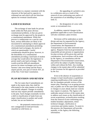interim basis in a manner consistent with the character of the land and its capacity to withstand use and which will not foreclose options for eventual classification.

# **LAND EXCHANGE**

 The exchange of state lands for private lands within the Park poses obvious constitutional problems, in that any given exchange must be approved by the people in a constitutional amendment. While this process is cumbersome on a case-by-case basis, serious difficulties are likely to be encountered in attempting to obtain approval of a constitutional amendment permitting wholesale land exchanges, the merits of which are questionable. Careful consideration should be given, however, to the desirability of a constitutional amendment providing a land bank of modest acreage that would allow the legislature to permit small scale land exchanges. This would avoid the difficult amendment process for minor exchanges such as the Saranac Lake town dump and the Piseco airport parcels, now part of Article XIV, §1 of the New York State Constitution.

# **PLAN REVISION AND REVIEW**

 The Act states that if amendments are made to the master plan, they shall be effectuated in the same manner as the plan was initially adopted. Changes in existing land use may require periodic amendments to the plan. Such changes essentially involve a shift in classification of lands from one major classification to another and would include, but are not limited to:

 -- the proposed construction of a new campground on land previously classified as wild forest; or,

 -- the upgrading of a primitive area to a wilderness area as a result of the removal of non-conforming uses and/or of the acquisition of an inholding of private land; or,

the designation of a new wild, scenic or recreational river.

 In addition, material changes in the guidelines applicable to each classification will also constitute a plan revision.

 Revisions will be undertaken as needs dictate and may be requested by the Agency, the Department of Environmental Conservation, the Department of Transportation or any other interested state agency. Requests from local governments or responsible private persons or organizations for plan revision will be given due and fair consideration. Such revisions will be made by the Agency, in consultation with the Department of Environmental Conservation, and will be the subject of public hearings within and without the Park. Any resulting changes in the master plan will be submitted to the Governor for his approval as provided by the Act.

 Even in the absence of acquisitions or changes in land classification or guidelines requiring modification of the master plan, the Act mandates periodic reviews of the master plan. Planning is an on-going process and, as public use of the state lands expands or changes in years ahead, land use controls may require re-analysis. The Agency will undertake annual reviews of the master plan to address such issues as the classification of recent acquisitions, reclassification resulting from the removal of non-conforming uses, modest boundary adjustments, minor technical changes, clarification or corrections and similar matters. To assist in this process, the Department will provide, annually, to the Agency the following information: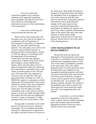-- a list of new state land acquisitions together with a summary statement of the applicable acquisition policy guidelines, the objectives served by each acquisition and background information necessary for the classifications of the acquisitions.

 -- a list of non-conforming uses removed during the previous year.

 Major reviews of the master plan will take place every five years by the Agency in consultation with the Department of Environmental Conservation, as required by statute, and with other interested state agencies. Any state agency may call for such a review at more frequent intervals. In keeping with this recommendation, starting in 1976, the Agency, in consultation with the Department of Environmental Conservation and other state agencies, conducted an in-depth review of the master plan leading to various modifications therein, which were the subject of seven public hearings both within and without the Park and extensive consultation with a wide variety of interest groups in late 1978 and early 1979 and which were submitted to Governor Carey on April 20, 1979, and approved by him on October 24, 1979. In l984/85 the Agency, in consultation with the Department of Environmental Conservation, undertook a similar review and consultation process. Proposed modifications to the master plan were the subject of similar consultation with a wide variety of interest groups as well as two public hearings within and without the Park and were submitted to Governor Cuomo on September 22, l986 and approved by him on November 4, l987.

 Strong public involvement in the whole process of revision and review should be encouraged. The Act mandates that public hearings be conducted prior to approval by the Agency and the Governor of revisions to the master plan. These public hearings are required to be held both within and without the Adirondack Park in recognition of the state-wide concern for both the forest preserve and the Park. Appropriate publicity and sufficient notice about proposed changes in the master plan are also necessary to permit maximum public participation. In addition, the Agency will make every effort to publish and disseminate copies of the master plan and to take other measures to foster greater public appreciation of the resources of the forest preserve and the Park as well as the nature of the planning process.

# **UNIT MANAGEMENT PLAN DEVELOPMENT**

 Section 816 of the Act directs the Department of Environmental Conservation to develop, in consultation with the Agency, individual unit management plans for each unit of land under its jurisdiction classified in the master plan. Due to the widely dispersed nature of certain wild forest areas, the Department may establish for unit management planning purposes, individual sub-units of wild forest units which because of location, physical features, ecological systems and use patterns can be managed as an individual unit. In accordance with statutory mandate, all plans will conform to the guidelines and criteria set forth in the master plan and cannot amend the master plan itself. Unit management plans will contain:

an inventory, at a level of detail appropriate to the area, of the natural, scenic, cultural, fish and wildlife (including game and non-game species) and other appropriate resources of the area and an analysis of the area's ecosystems;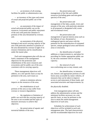-- an inventory of all existing facilities for public or administrative use;

 -- an inventory of the types and extent of actual and projected public use of the area;

 -- an assessment of the impact of actual and projected public use on the resources, ecosystems and public enjoyment of the area with particular attention to portions of the area threatened by overuse; and,

 -- an assessment of the physical, biological and social carrying capacity of the area with particular attention to portions of the area threatened by overuse in light of its resource limitations and its classification under the master plan.

 Each unit management plan will also set forth a statement of the management objectives for the protection and rehabilitation of the area's resources and ecosystems and for public use of the area consistent with its carrying capacity.

 These management objectives will address, on a site-specific basis as may be pertinent to the area, such issues as:

actions to minimize adverse impacts on the resources of the area;

 -- the rehabilitation of such portions of the area as may suffer from overuse or resource degradation;

 -- the regulation or limitation of public use such that the carrying capacity of the area is not exceeded and the types of measures necessary to achieve that objective;

the preservation of aquatic and terrestrial habitats of the area;

 -- the preservation and management of the fish and wildlife resources (including game and non-game species) of the area;

 -- the preservation and management of the lakes, ponds, rivers and streams of the area, with particular attention to all proposed or designated wild, scenic and recreational rivers;

 -- the preservation and management of special interest areas such as the habitats of rare, threatened or endangered species and areas with the potential for the reintroduction of extirpated species, unique geological areas and historic areas or structures;

 -- the identification of needed additions or improvements to, and plans for providing for further appropriate public use of, the area consistent with its carrying capacity;

the removal of such non-conforming uses as may remain; and,

 -- the identification, in intensive use, historic and appropriate portions of wild forest areas accessible by motor vehicles, of measures that can be taken to improve access to and enjoyment of these lands, and associated structures and improvements, by

the physically disabled.

 Unit management plans will also address the administrative actions and the minimum facilities necessary on a sitespecific basis, as may be pertinent to the area to attain the stated management objectives of such area.

 Schedules for achievement of such objectives will be included in each unit management plan. The land characteristics and the recommended objectives for each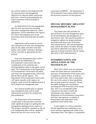area will be related to and integrated with the characteristics and management objectives for adjacent public and private land areas. General recommendations for future acquisition will be included as appropriate.

 An initial draft of the unit management plan for each state land area including alternative management objectives, where appropriate, will be submitted to the Agency for review and comment, prior to the preparation of the final draft plan for public review.

 Opportunity will be made for review and comment on the draft unit management plans by the public and other interested parties, and a public meeting or meetings will be convened as appropriate for that purpose.

 Final unit management plans will be prepared by the Department of Environmental Conservation after due consideration of all comments and recommendations made on the public review draft. The Commissioner of the Department of Environmental Conservation will adopt each final unit management plan which will then be filed with the Agency. The Department of Environmental Conservation will report annually to the Agency on progress made toward the implementation of each adopted unit management plan.

 Any material modification in adopted unit management plans will be made following the procedure for original unit plan preparation.

 The Department of Environmental Conservation in the past three years has made significant progress in getting the unit management planning process underway. This progress should be continued so that all unit management plans will be completed before the next five-year review of the

master plan in l989/90. The Department of Environmental Conservation should commit the necessary resources for that purpose.

# **SPECIAL HISTORIC AREA UNIT MANAGEMENT PLANS**

 This master plan also provides for special historic area unit management plans for the development and management of state historic sites. This special procedure is designed to address the unique problems associated with these types of facilities. Such special historic area unit management plans will be the subject of public hearings and will be submitted to the agency for its approval as being consistent with the master plan prior to their implementation.

# **INTERPRETATION AND APPLICATION OF THE MASTER PLAN**

 More than a dozen years of experience under the master plan has confirmed that questions of interpretation of the master plan as applied to a given activity or land use arise from time to time. This is particularly the case in the context of those guidelines that are quite general in character. During the public hearings and consultations preceding the l978/79 revision of the master plan, there was considerable public comment on the need to clarify the relationship of the Agency to the Department of Environmental Conservation and other state agencies on matters of interpretation and application of the guidelines of the master plan.

 In this regard, it is well to remember that the legislature has established a twotiered structure regarding state lands in the Adirondack Park. The Agency is responsible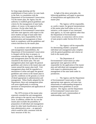for long-range planning and the establishment of basic policy for state lands in the Park, in consultation with the Department of Environmental Conservation. Via the master plan, the Agency has the authority to establish general guidelines and criteria for the management of state lands, subject, of course, to the approval of the Governor. On the other hand, the Department of Environmental Conservation and other state agencies with respect to the more modest acreage of land under their jurisdictions, have responsibility for the administration and management of these lands in compliance with the guidelines and criteria laid down by the master plan.

 In accordance with its administrative and management responsibilities, the Department of Environmental Conservation is charged with the duty to prepare, in consultation with the Agency, individual unit management plans for the units of land classified in the master plan. The unit management plans must apply the general guidelines and criteria in the master plan and cannot amend the master plan itself. Unit management plans shall be regarded as a mechanism to refine and apply the general guidelines and criteria in the master plan to specific conditions on the ground, at a level of detail appropriate to administration and management. When finally adopted by the Department, these unit management plans will assist significantly in resolving questions of interpretation and application of the master plan.

 The 1979 revision of the master plan expressly extended the unit management plan concept to the special case of historic areas. In addition, neither the Act nor the master plan excludes the possibility of preparation of individual unit management plans for other land classifications such as state administrative areas -- an approach which would be fully consistent with the basic structure of the Act.

 In light of the above principles, the following guidelines will apply to questions of interpretation and application of the master plan:

The Agency will be responsible, as a policy matter, for general interpretations of the master plan itself either on its own initiative, at the request of any interested state agency, or, for state agencies other than the Department of Environmental Conservation, in connection with its review of state projects under Section 814 of the Act.

The Agency will be responsible for determining whether a proposed individual unit management plan complies with the general guidelines and criteria set forth in the master plan.

 -- The Department of Environmental Conservation (or other appropriate state agencies) will be responsible for the application of the master plan and individual unit management plans with respect to administration and management of the state lands under its jurisdiction.

 -- The Agency and the Department of Environmental Conservation or other appropriate state agencies will enter into memoranda of understanding designed to implement these guidelines in actual practice. The Agency and the Department of Environmental Conservation have operated under such a memorandum of understanding since l982.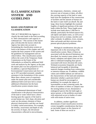# **II. CLASSIFICATION SYSTEM AND GUIDELINES**

# **BASIS AND PURPOSE OF CLASSIFICATION**

THE ACT REQUIRES the Agency to classify the state lands in the Park according to "their characteristics and capacity to withstand use." This section of the master plan will describe the factors which the Agency has taken into account in formulating the classification system set forth in the balance of this chapter and will explain the basic purpose of the system and the guidelines for management and use which follow. This classification system reflects the work of the Temporary Study Commission on the Future of the Adirondacks as refined by additional field work and analysis by the Agency at the time the master plan was first prepared in 1972. In addition, a special Department of Environmental Conservation task force set up in 1972 provided extremely valuable assistance in the formulation of this system. More than a dozen years of experience under the master plan and considerable additional field work have led to certain additional refinements but the basic classification system remains intact.

 A fundamental determinant of land classification is the physical characteristics of the land or water which have a direct bearing upon the capacity of the land to accept human use. Soil, slope, elevation and water are the primary elements of these physical characteristics and they are found in widely varied associations. For example, the fertility, erosiveness and depth of soil, the severity of slopes, the elevational characteristics reflected in microclimates,

the temperature, chemistry, volume and turnover rate of streams or lakes, all affect the carrying capacity of the land or water both from the standpoint of the construction of facilities and the amount of human use the land or water itself can absorb. By and large, these factors highlight the essential fragility of significant portions of the state lands within the Park. These fragile areas include most lands above 2,500 feet in altitude, particularly the boreal (spruce-fir), sub-alpine and alpine zones, as well as lowlying areas such as swamps, marshes and other wetlands. In addition, rivers, streams, lakes and ponds and their environs often present special physical problems.

 Biological considerations also play an important role in the structuring of the classification system. Many of these are associated with the physical limitations just described; for instance many plants of the boreal, subalpine and alpine zones are less able to withstand trampling than species associated with lower elevation life zones. Wetland ecosystems frequently are finely balanced and incapable of absorbing material changes resulting from construction or intensive human use. In addition, wildlife values and wildlife habitats are relevant to the characteristics of the land and sometimes determine whether a particular kind of human use should be encouraged or prohibited, for example the impact of snowmobiles on deer wintering yards, the effect of numbers or hikers or campers near the nesting habitat of rare, threatened or endangered species like the bald eagle or spruce grouse, or the problems associated with motorized access to bodies of water with wild strains of native trout.

 In addition, another significant determinant of land classification involves certain intangible considerations that have an inevitable impact on the character of land. Some of these are social or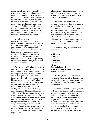psychological--such as the sense of remoteness and degree of wildness available to users of a particular area, which may result from the size of an area, the type and density of its forest cover, the ruggedness of the terrain or merely the views over other areas of the Park obtainable from some vantage point. Without these elements an area should not be classified as wilderness, even though the physical and biological factors would dictate that the limitations of wilderness management are essential.

 In such cases, as will be seen, a primitive designation would be required. Other classification determinants are more concrete, for example the suitability of a given system of lakes and ponds for canoeing or guideboating, the ability of larger bodies of water to provide for adequately distributed motorboat use, or the accessibility of a tract of land to a public highway, and its attractiveness, permitting the development of a campground or other intensive use facility.

 Finally, the classification system takes into account the established facilities on the land, the uses now being made by the public and the policies followed by the various administering agencies. Many of these factors are self- evident: the presence of a highway determines the classification of a travel corridor; the presence of an existing campground or ski area requires the classification of intensive use. The extent of existing facilities and uses which might make it impractical to attempt to recreate a wilderness or wild forest atmosphere is also a consideration. This is not to imply that when present uses or facilities are degrading the resource they should be continued, but their presence cannot be ignored. The unique mixture of public and private land within the Park also requires that account be taken of facilities and uses being made on contiguous or nearby private lands. Thus a large private

inholding subject to or threatened by some form of intensive use might prevent the designation of an otherwise suitable tract of state land as wilderness.

 The above described factors are obviously complex and their application is, in certain instances, subjective, since the value of resource quality or character cannot be precisely evaluated or measured. Nonetheless, the Agency believes that the classification system described below reflects the character and capacity to withstand use of all state lands within the Adirondack Park in conformity with the provisions of the Act.

 Nine basic categories result from this classification:

**Wilderness Primitive Canoe Wild Forest Intensive Use Historic State Administrative Wild, Scenic and Recreational Rivers Travel Corridors**

 The Wild, Scenic and Recreational Rivers and Travel Corridors classifications are essentially corridor overlays to the basic land classification(s) through which the corridor passes.

 Guidelines for the lands falling within each major classification and various special management guidelines for unique resources within these major classifications are set forth in the remaining portions of this chapter. Insofar as forest preserve lands are concerned, no structures, improvements or uses not now established on the forest reserve are permitted by these guidelines and in many cases more restrictive management is provided for. Obviously,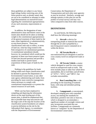these guidelines are subject to any future legal rulings further restricting uses of the forest preserve and, as already noted, they are not to be considered as attempts to make legal determinations on unresolved issues regarding the constitutional appropriateness of any such structures, improvements or uses.

 In addition, the designation of state administrative areas and historic areas in the master plan should not be taken as lending weight to the constitutional appropriateness of the general treatment of these lands by the state, either legislatively or administratively, as non-forest preserve. These new classifications seek only to reflect, in terms of land use, what has long existed in the Park irrespective of constitutional questions. A constitutional amendment should, however, be considered which would put the propriety of these non-forest preserve types of land uses beyond question and provide a modest land bank to permit future acquisitions of these types of lands by the state.

 Nothing in the guidelines for lands falling within each major classification shall be deemed to prevent the Department of Environmental Conservation, or any other state agency administering such lands, from providing for more restrictive management where necessary to comply with constitutional requirements or to protect the natural resources of such lands.

 While care has been employed in compiling and depicting the information shown on the map forming part of this master plan, it should be emphasized that, due to possible base map inaccuracies and the large scale of the map the location of the classification system boundaries are subject to precise definition on the site by the Adirondack Park Agency, in consultation with the Department of Environmental

Conservation, the Department of Transportation and such other state agencies as may be involved. Similarly, acreage and mileage statistics in this plan are not the product of actual surveys and may vary when compared to data from other sources.

# **DEFINITIONS**

 As used herein, the following terms shall have the following meanings:

 **1. Aircraft**--a device for transporting people or material that travels through the air and is propelled by a non-living power source contained on or within the device.

 **2. All Terrain Bicycle**--a non-motorized bicycle designed or used for cross country travel on unimproved roads or trails.

 **3. All Terrain Vehicle**--a motor vehicle designed or used for cross country travel on unimproved roads or trails. The term includes jeeps or other four wheel drive automobiles, dirt or trail bikes and all forms of "ATVs", "ATCs", and "ORVs", but excludes snowmobiles.

 **4. Boat Launching Site**--a site providing for the launching of trailered boats, with ramp and attendant parking facilities.

 **5. Campground**--a concentrated, developed camping area with controlled access, not meeting the standards for individual, primitive tent sites or lean-tos, which is designed to accommodate a significant number of overnight visitors and may incorporate associated day-use facilities. Campgrounds are commonly known as "campsites" by the Department of Environmental Conservation.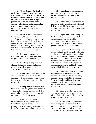# **6. Cross Country Ski Trail**--a

marked and maintained path or way for cross country ski or snowshoe travel, which has the same dimensions and character and may also serve as a foot trail, designed to provide reasonable access in a manner causing the least effect on the surrounding environment and not constructed, maintained or groomed with the use of motor vehicles.

 **7. Day-Use Area**--a developed facility designed to accommodate a significant number of visitors on a day-use basis only. The term includes such facilities as beaches, parkways, memorial highways, the Mt. Van Hoevenberg area, the alpine ski centers at Whiteface and Gore Mountains, boat launching sites and similar facilities.

 **8. Fireplace**--a permanent structure constructed of stone and cement designed to contain and control camp fires.

 **9. Fire Ring**--a temporary cluster of rocks designed to contain and control camp fires which may contain, in fire sensitive areas, a cement slab.

 **l0. Fish Barrier Dam**--a man-made device or structure used to prevent the upstream or downstream movement of fish for the purpose of protecting a high-value native fishery.

 **ll. Fishing and Waterway Access Sites**--a site for fishing or other water access with attendant parking facilities which does not contain a ramp for or otherwise permit the launching of trailered boats.

 **l2. Foot Trail**--a marked and maintained path or way for foot travel located and designed to provide for reasonable access in a manner causing the least effect on the surrounding environment.

 **l3. Horse Barn**--a rustic structure open on at least two sides designed to provide temporary shelter for a small number of horses.

 **l4. Horse Trail**--a path marked and maintained for travel by horses, located and designed to provide for reasonable access in a manner causing the least effect on the local environment.

 **l5. Improved Cross Country Ski Trail**--a marked and maintained path for cross country ski use designed for competitive or intensive use conditions which may be constructed, maintained or groomed with the use of motor vehicles.

 **l6. Improvement**--any change in or addition to land, which materially affects the existing use, condition or appearance of the land or any vegetation thereon, including but not limited to foot and horse trails, roads, jeep trails, state truck trails, snowmobile trails, cross country ski trails, improved cross country ski trails, trail heads, picnic areas and individual primitive tent sites.

 **l7. Lean-to**--an open front shelter made of natural materials suitable for transient residence, constructed according to a standard Department of Environmental Conservation plan and located so as to accommodate the need for shelter in a manner least intrusive on the surrounding environment.

 **l8. Lean-to Cluster**-- more than two lean-tos within sight or sound of each other and generally separated by a distance of less than one-quarter mile.

 **l9. Motor Vehicle**--a device for transporting people, supplies or material, incorporating a motor or an engine of any type for propulsion and with wheels, tracks, skids, skis, air cushion or other contrivance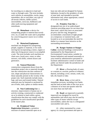for traveling on or adjacent to land and water or through water. The term includes such vehicles as automobiles, trucks, jeeps, motorbikes, dirt or trail bikes, any type of all-terrain vehicles, duffle carriers, snowmobiles, snowcats, bulldozers and other earth-moving equipment and motorboats.

 **20. Motorboat**--a device for transporting people or material that travels over, on, or under the water and is propelled by a non-living power source on or within the device.

#### **2l. Motorized Equipment**--

machines not designed for transporting people, supplies or material, or for earth moving but incorporating a motor, engine or other non-living power source to accomplish a task. The term includes such machines as chain saws, brush saws, rotary or other mowers, rock drills, cement mixers and generators.

#### **22. Natural Materials**--

construction components drawn from the immediate project site or materials brought into the construction site that conform in size, shape and physical characteristics to those naturally present in the vicinity of the project site. Such materials include stone, logs, and sawn and treated timber. Natural materials may be fastened or anchored by use of bolts, nails, spikes or similar means.

#### **23. Non-Conforming Use**--a

structure, improvement or human use or activity existing, constructed or conducted on or in relation to land within a given classification that does not comply with the guidelines for such classification specified in the master plan.

#### **24. Peripheral Visitor**

**Registration Structure**--a primitive structure of natural materials open on at least one side and not designed for human habitation, located at the periphery of units of state land, and intended to provide information and, where appropriate, control of access to such lands.

 **25. Primitive Tent Site**--a designated tent site of an undeveloped character providing space for not more than three tents, which may have an associated pit privy and fire ring, designed to accommodate a maximum of eight people on a temporary or transient basis, and located so as to accommodate the need for shelter in a manner least intrusive on the surrounding environment.

 **26. Ranger Stations or Ranger Cabins**--enclosed buildings constructed or maintained by the Department of Environmental Conservation, suitable for human habitation and manned seasonally or year-round by administrative personnel to facilitate administrative control of lands and public use thereof under the jurisdiction of the Department.

 **27. River**--a flowing body of water, or a stream or a section, portion or tributary thereof, including a river, stream, creek, run, kill, rill, branch or lake.

 **28. River Area**--a river and its immediate environs, including river banks and the land on both sides of the river up to a distance of at least one-quarter mile but not more than one-half mile.

 **29. Road**--an improved or partially improved way designed for travel by automobiles and which may also be used by other types of motor vehicles except snowmobiles, unless the way is a designated snowmobile trail; and is,

 (i) either maintained by a state agency or a local government and open to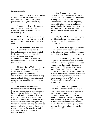the general public;

 (ii) maintained by private persons or corporations primarily for private use but which may also be open to the general public for all or a segment thereof; or,

 (iii) maintained by the Department of Environmental Conservation or other state agency and open to the public on a discretionary basis.

 **30. Snowmobiles**--a motor vehicle designed solely for travel on snow or ice by means of a combination of tracks and a ski or skis.

 **3l. Snowmobile Trail**--a marked trail of essentially the same character as a foot trail designated by the Department of Environmental Conservation on which, when covered by snow and ice, snowmobiles are allowed to travel and which may double as a foot trail at other times of year.

 **32. State Truck Trail**--an improved way maintained by the Department of Environmental Conservation for the principal purpose of facilitating administration of state lands or of allowing access for fire fighting equipment and not normally open for public use of motorized vehicles.

# **33. Stream Improvement Structure for Fisheries Management**

**Purposes**--a structure and/or improvement, including but not limited to, fish barrier dams, small rock or log dams, fish passage structures, minor diking, cribbing, bank stabilization and stream deflectors and other structures or improvements designed solely for fisheries management purposes which do not materially alter the natural character or resource quality of the water body, and which are made of natural materials wherever possible.

 **34. Structure**--any object constructed, installed or placed on land to facilitate land use, including but not limited to bridges, buildings, ranger stations or ranger cabins, sheds, lean-tos, pit privies, picnic tables, horse barns, horse hitching posts and rails, fire towers, observer cabins, telephone and electric light lines, mobile homes, campers, trailers, signs, docks and dams.

 **35. Tent Platform**--a platform, with or without walls and other attachments, erected as a base for tenting or similar camping activity.

 **36. Trail Head**--a point of entrance to state land which may contain some or all of the following: vehicle parking, trail signs and peripheral visitor registration structures.

 **37. Wetlands**--any land annually subject to periodic or continual inundation by water and commonly referred to as a bog, swamp or marsh, which is (i) one acre or more in size, or (ii) located adjacent to a body of water, including a permanent stream, with which there is free interchange of water at the surface, in which case there is no size imitation, and which (iii) meet the technical definition of 578.3(r) of the Adirondack Park Agency Rules and Regulations.

#### **38. Wildlife Management**

**Structure--a structure or device designed** solely for inventory or research purposes or for the protection or restoration of endangered species, including but not limited to animal enclosures or exclosures, traps, raptor hacking towers, nesting towers or boxes, that does not materially alter the natural character or resource quality of the land and that is made of natural materials whenever possible.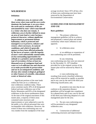#### **WILDERNESS**

#### **Definition**

 **A wilderness area, in contrast with those areas where man and his own works dominate the landscape, is an area where the earth and its community of life are untrammeled by man--where man himself is a visitor who does not remain. A wilderness area is further defined to mean an area of state land or water having a primeval character, without significant improvement or permanent human habitation, which is protected and managed so as to preserve, enhance and restore, where necessary, its natural conditions, and which (1) generally appears to have been affected primarily by the forces of nature, with the imprint of man's work substantially unnoticeable; (2) has outstanding opportunities for solitude or a primitive and unconfined type of recreation; (3) has at least ten thousand acres of contiguous land and water or is of sufficient size and character as to make practicable its preservation and use in an unimpaired condition; and (4) may also contain ecological, geological or other features of scientific, educational, scenic or historical value.**

 Significant portions of the state lands within the Park are in a wilderness or near-wilderness condition today. These areas constitute nearly 20% of all designated federal and state wilderness east of the Rocky Mountains and 85% of the designated wilderness in the eleven northeastern states. At the time of the original enactment of this master plan, a majority of these areas contained some structures and improvements or were subjected to uses by the public or by official personnel that were incompatible with wilderness. However, the extent of these non-conforming uses was very modest from the standpoint of the total

acreage involved. Since 1972 all but a few of those non-conforming uses have been removed by the Department of Environmental Conservation.

#### **GUIDELINES FOR MANAGEMENT AND USE**

#### **Basic guidelines**

 1. The primary wilderness management guideline will be to achieve and perpetuate a natural plant and animal community where man's influence is not apparent.

2. In wilderness areas:

 a) no additions or expansions of non-conforming uses will be permitted;

 b) any remaining non-conforming uses that were not removed by the December 31, 1975 deadline provided for in the original version of the master plan will be removed by March 3l, l987;

 c) non-conforming uses resulting from newly-classified wilderness areas will be removed as rapidly as possible and in any case by the end of the third year following classification; and,

 d) primitive tent sites that do not conform to the separation distance guidelines will be brought into compliance on a phased basis and in any case by the end of the third year following adoption of a unit management plan for the area.

 3. No new non-conforming uses will be permitted in any designated wilderness area.

 4. Construction of additional conforming structures and improvements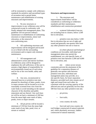will be restrained to comply with wilderness standards for primitive and unconfined types of recreation and to permit better maintenance and rehabilitation of existing structures and improvements.

 5. No new structures or improvements in any wilderness area will be constructed except in conformity with finally adopted unit management plans. This guideline will not prevent ordinary maintenance or rehabilitation of conforming structures or improvements, minor trail relocation, or the removal of non-conforming uses.

 6. All conforming structures and improvements will be designed and located so as to blend with the surrounding environment and to require only minimal maintenance.

 7. All management and administrative action and interior facilities in wilderness areas will be designed to emphasize the self-sufficiency of the user to assume a high degree of responsibility for environmentally-sound use of such areas and for his or her own health, safety and welfare.

 8. Any new, reconstructed or relocated lean-tos or primitive tent sites planned for shorelines of lakes, ponds, rivers or major streams will be located so as to be reasonably screened from view from the water body to avoid intruding on the natural character of the shoreline and public enjoyment and use thereof. Any such leantos will be set back a minimum of 100 feet from the mean high water mark of lakes, ponds, rivers or major streams.

 9. All pit privies will be located a minimum of 150 feet from the mean high water mark of any lake, pond, river, or stream or wetland.

#### **Structures and improvements**

 1. The structures and improvements listed below will be considered as conforming to wilderness standards and their maintenance, rehabilitation and construction permitted:

scattered Adirondack lean-tos, not including lean-to clusters, below 3,500 feet in elevation;

 -- primitive tent sites below 3,500 feet in elevation that are out of sight and sound and generally one-quarter mile from any other primitive tent site or lean-to:

 (i) where physical and biological conditions are favorable, individual unit management plans may permit the establishment, on a site-specific basis, of primitive tent sites between 3,500 and 4,000 feet in elevation, and,

 (ii) where severe terrain constraints prevent the attainment of the guideline for a separation distance of generally one-quarter mile between primitive tent sites, individual unit management plans may provide, on a site-specific basis, for lesser separation distances, provided such sites remain out of sight and sound from each other, be consistent with the carrying capacity of the affected area and are generally not less than 500 feet from any other primitive tent site;

- -- pit privies;
- -- foot trails;
- cross country ski trails;

 -- foot trail and cross country ski trail bridges constructed of natural materials and, where absolutely necessary, ladders constructed of natural materials;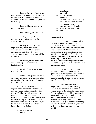-- horse trails, except that any new horse trails will be limited to those that can be developed by conversion of appropriate abandoned roads, snowmobile trails, or state truck trails;

 -- horse trail bridges constructed of natural materials;

-- horse hitching posts and rails;

 -- existing or new fish barrier dams, constructed of natural materials wherever possible;

 -- existing dams on established impoundments, except that, in the reconstruction or rehabilitation of such dams, natural materials will be used wherever possible and no new dams will be constructed;

 -- directional, informational and interpretive signs of rustic materials and in limited numbers;

 -- peripheral visitor registration structures; and,

 -- wildlife management structures on a temporary basis where essential to the preservation of wilderness wildlife values and resources.

 2. All other structures and improvements, except for interior ranger stations themselves (guidelines for which are specified below), will be considered non-conforming. Any remaining non-conforming structures that were to have been removed by the December 31, 1975 deadline but have not yet been removed, will be removed by March 3l, l987. These include but are not limited to:

- -- lean-to clusters;
- -- tent platforms;
- -- horse barns;
- -- boat docks;
- -- storage sheds and other buildings;
- -- fire towers and observer cabins;
- -- telephone and electrical lines;
- -- snowmobile trails;
- -- roads and state truck trails;
- -- helicopter platforms; and,
- -- buoys.

#### **Ranger stations**

 1. No new interior stations will be constructed and all remaining interior stations, other than Lake Colden, will be phased out on a scheduled basis determined by the Department of Environmental Conservation, in favor of stations or other facilities at the periphery of the wilderness areas at major points of access to provide needed supervision of public use. This phase-out should be accomplished as soon as feasible, as specified in the individual unit management plans.

 2. New methods of communication and supply, complying with wilderness guidelines, will be employed with respect to all ranger stations maintained by the Department of Environmental Conservation after December 31, 1975.

 3. Due to heavy existing and projected winter use in the Eastern High Peak area and the presence of the most rugged terrain in the Adirondacks, the Lake Colden station together with an associated on-ground line (i.e., a line laid on or just under the ground surface which rapidly becomes covered by leaves) for telephone communication may be retained indefinitely but their status will be periodically reviewed to determine if their eventual removal is feasible.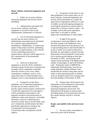#### **Motor vehicles, motorized equipment and aircraft**

 1. Public use of motor vehicles, motorized equipment and aircraft will be prohibited.

 2. Administrative personnel will not use motor vehicles, motorized equipment or aircraft for day-to-day administration, maintenance or research.

 3. Use of motorized equipment or aircraft, but not motor vehicles, by administrative personnel may be permitted for a specific major administrative, maintenance, rehabilitation, or construction project if that project involves conforming structures or improvements, or the removal of non-conforming structures or improvements, upon the written approval of the Commissioner of Environmental Conservation.

 4. Such use of motorized equipment or aircraft will be confined to off-peak seasons for the area in question and normally will be undertaken at periodic intervals of three to five years, unless extraordinary conditions, such as a fire, major blow-down or flood mandate more frequent work or work during peak periods.

 5. Irrespective of the above guidelines, use of motorized equipment or aircraft, but not motor vehicles, for a specific major research project conducted by or under the supervision of a state agency will be permitted if such project is for purposes essential to the preservation of wilderness values and resources, no feasible alternative exists for conducting such research on other state or private lands, such use is minimized, and the project has been specifically approved in writing by the Commissioner of Environmental Conservation after consultation with the Agency.

 6. Irrespective of the above or any other guidelines in this master plan, use of motor vehicles, motorized equipment and aircraft will be permitted, by or under the supervision of appropriate officials, in cases of sudden, actual and ongoing emergencies involving the protection or preservation of human life or intrinsic resource values -- for example, search and rescue operations, forest fires, or oil spills or similar, large-scale contamination of water bodies.

 7. In light of the special circumstances involving Whitney Lake in the West Canada Lake Wilderness Area, seasonal float plane use from spring ice-out to and including June l5 and from October l5 to fall or winter ice-in may be allowed on that lake, by, and subject to permit from the Department of Environmental Conservation for an interim period ending no later than December 3l, l993. Such permits shall require annual reporting of all flights and the number of passengers to and from Whitney Lake. During the winter of l988-89 the Department shall determine, from the use trends indicated, whether Whitney Lake should then be closed to float plane use for either or both seasonal periods or whether such use should be allowed to continue until the final deadline of December 3l, l993.

 8. Written logs will be kept by the Department of Environmental Conservation recording use of motorized vehicles, motorized equipment and aircraft. The Department will prepare an annual report providing details of such motorized uses and the reasons therefor and file it with the Agency.

#### **Roads, snowmobile trails and state truck trails**

 1. No new roads, snowmobile or state truck trails will be allowed.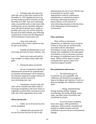2. Existing roads and state truck trails that were to have been closed by the December 31, 1975 deadline but have not yet been removed will be closed by no later than March 3l, l987. Any non-conforming roads, snowmobile trails or state truck trails resulting from newly classified wilderness areas will also be phased out as rapidly as possible and in any case will be closed by the end of the third calendar year following classification. In each case the Department of Environmental Conservation will:

close such roads and snowmobile trails to motor vehicles as may be open to the public;

 -- prohibit all administrative use of such roads and trails by motor vehicles; and,

 -- block such roads and trails by logs, boulders or similar means other than gates.

3. During the phase-out period:

 -- the use of motorized vehicles by administrative personnel for transportation of materials and personnel will be limited to the minimum required for proper interim administration and the removal of non-conforming uses; and,

 -- maintenance of such roads and trails will be curtailed and efforts made to encourage revegetation with lower forms of vegetation to permit their conversion to foot trails and, where appropriate, horse trails.

#### **All terrain bicycles**

 l. Public use of all terrain bicycles will be prohibited.

 2. Administrative personnel will not use all terrain bicycles for day-to-day

administration but use of such vehicles may be permitted for specific major administrative research, maintenance, rehabilitation or construction projects involving conforming structures or improvements, or the removal of non-conforming structures in the discretion of the Department of Environmental Conservation.

#### **Flora and fauna**

 There will be no intentional introduction in wilderness areas of species of flora or fauna that are not historically associated with the Adirondack environment, except: (i) species which have already been established in the Adirondack environment, or (ii) as necessary to protect the integrity of established native flora and fauna. Efforts will be made to restore extirpated native species where such restoration appears feasible.

#### **Recreational use and overuse**

 1. The following types of recreational use are compatible with wilderness and should be encouraged as long as the degree and intensity of such use does not endanger the wilderness resource itself:

 -- hiking, mountaineering, tenting, hunting, fishing, trapping, snowshoeing, ski touring, birding, nature study, and other forms of primitive and unconfined recreation.

 Access by horses, including horse and wagon, while permitted in wilderness, will be strictly controlled and limited to suitable locations and trail conditions to prevent adverse environmental damage.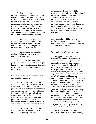#### 2. Each individual unit

management plan will seek to determine the physical, biological and social carrying capacity of the wilderness resource. Where the degree and intensity of permitted recreational uses threaten the wilderness resource, appropriate administrative and regulatory measures will be taken to limit such use to the capability of the resource. Such administrative and regulatory measures may include, but need not be limited to:

 -- the limitation by permit or other appropriate means of the total number of persons permitted to have access to or remain in a wilderness area or portion thereof during a specified period;

 -- the temporary closure of all or portions of wilderness areas to permit rehabilitative measures.

 3. An intensified educational program to improve public understanding of backcountry use, including an anti-litter and pack-in, pack-out campaign, should be undertaken.

#### **Boundary structures and improvements and boundary marking**

 1. Where a wilderness boundary abuts a public highway, the Department of Environmental Conservation will be permitted, in conformity with a duly adopted unit management plan, to locate within 500 feet from a public highway right-of-way, on a site-specific basis, trailheads, parking areas, fishing and waterway access sites, picnic areas, ranger stations or other facilities for peripheral control of public use, and, in limited instances, snowmobile trails.

 2. Where a wilderness boundary abuts a water body accessible to the public by motorboat, the Department of

Environmental Conservation will be permitted, in conformity with a duly adopted unit management plan, to provide, on a site-specific basis, for ranger stations or other facilities for peripheral control of public use or for the location of small, unobtrusive docks made of natural materials on such shorelines in limited instances where access to trailheads or the potential for resource degradation may make this desirable.

 3. Special wilderness area boundary markers will be designed and installed at major access points to enhance public recognition of wilderness boundaries and wilderness restrictions.

#### **Designation of Wilderness Areas**

 The application of the wilderness definition and criteria described above results in the current designation under this master plan of sixteen wilderness areas scattered throughout the Adirondacks. As of the effective date of this revision of the master plan, eleven of these areas meet wilderness standards, and five (Five Ponds, High Peaks, Pharaoh Lake, Siamese Ponds and West Canada Lake) have a few remaining non-conforming uses. These areas encompass approximately 1,016,000 acres or about forty-three percent of the forest preserve within the Adirondack Park. Virtually every Adirondack ecosystem is represented in these wilderness areas, from the alpine, sub-alpine and boreal (spruce-fir) communities of the higher mountains through various mixtures of hardwoods at the middle elevations to the lowland lakes and ponds and a variety of wetland environments -- truly an unparalleled spectrum of wilderness resources for this and future generations of New Yorkers.

 These areas are identified and their boundaries delineated on the map forming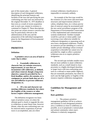part of this master plan. A general description of each designated wilderness, identifying the principal features and facilities of the area and specifying the nonconforming uses that were not removed by the original December 31, 1975 deadline or that exist as a result of recent acquisition and, in each case, remain in existence is contained in Chapter II. These descriptions also point out certain resource concerns that may be particularly relevant to the administration of the area and the preparation of the individual management plans by the Department of Environmental Conservation.

# **PRIMITIVE**

#### **Definition**

 **A primitive area is an area of land or water that is either:** 

 **1. Essentially wilderness in character but, (a) contains structures, improvements, or uses that are inconsistent with wilderness, as defined, and whose removal, though a long term objective, cannot be provided for by a fixed deadline, and/or, (b) contains, or is contiguous to, private lands that are of a size and influence to prevent wilderness designation; or,** 

#### **2. Of a size and character not meeting wilderness standards, but where the fragility of the resource or other factors require wilderness management.**

 The definition recognizes two basic types of primitive areas: (i) where the ultimate goal is clearly to upgrade the area to wilderness at some future time, however distant, when the non-conforming uses can be removed and/or acquisition of private tracts is accomplished, and, (ii) where

eventual wilderness classification is impossible or extremely unlikely.

 An example of the first type would be the existence of a fire tower and associated structures and improvements (observer cabins, telephone lines, etc.) whose precise date of removal cannot be ascertained until the new aerial surveillance program of the Department of Environmental Conservation is fully implemented and communication systems modernized. Another example would be a private or minor public road traversing a tract otherwise suitable for wilderness designation or separating such an area from a designated wilderness. Finally, an extensive private inholding or a series of smaller private inholdings whose eventual acquisition is desirable but cannot now be provided for, might so affect a potential wilderness area as to require primitive designation.

 The second type includes smaller tracts that are most unlikely to attain wilderness standards, such as a small island in close proximity to a highly developed shoreline, or larger tracts with non-conforming uses, such as a railroad or major public highway, that are essentially permanent, but where in each case the high quality or fragility of the resource requires wilderness management.

# **Guidelines for Management and Use**

#### **Basic guidelines**

 1. The primary primitive management guideline will be to achieve and maintain in each designated primitive area a condition as close to wilderness as possible, so as to perpetuate a natural plant and animal community where man's influence is relatively unapparent.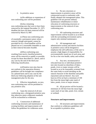#### 2. In primitive areas:

 (a) No additions or expansions of non-conforming uses will be permitted.

#### (b) Any remaining

non-conforming uses that were to have been removed by the original December 31, 1975 deadline but have not been removed will be removed by March 3l, l987.

 (c) Those non-conforming uses of essentially a permanent nature whose removal, though anticipated, cannot be provided for by a fixed deadline will be phased out on a reasonable timetable as soon as their removal becomes feasible.

 (d) Non-conforming uses resulting from newly classified primitive areas will be removed as rapidly as possible, except for those described in c above, and in any case by the end of the third year following classification.

 (e) Primitive tent sites that do not conform to the separation distance guidelines will be brought into compliance on a phased basis and in any case by the third year following adoption of the unit management plan for the area.

 3. Effective immediately, no new, non-conforming uses will be permitted in any primitive area.

 4. Upon the removal of all nonconforming uses, a designated primitive area that otherwise meets wilderness standards will be reclassified as wilderness.

 5. Construction of additional conforming structures and maintenance of existing facilities and improvements will follow the guidelines for wilderness areas.

 6. No new structures or improvements in primitive areas will be constructed except in conformity with finally adopted unit management plans. This guideline will not prevent ordinary maintenance rehabilitation or minor relocation of conforming structures or improvements or the removal of nonconforming uses.

 7. All conforming structures and improvements will be located so as to blend with the surrounding environment and to require only minimal maintenance.

 8. All management and administrative actions and interior facilities in primitive areas will be designed to emphasize the self-sufficiency of the user to assume a high degree of responsibility for environmentally sound use of such areas and for his or her own health, safety and welfare.

 9. Any new, reconstructed or relocated lean-tos or individual primitive tent sites located on shorelines of lakes, ponds, rivers or major streams will be located so as to be reasonably screened from the water body to avoid intruding on the natural character of the shoreline and public enjoyment and use thereof. Any such lean-tos ill be set back a minimum of 100 feet from the mean high water mark of lakes, ponds, rivers or major streams.

 10. All pit privies will be located a minimum of 150 feet from the mean high water mark of any lake, pond, river, stream or wetland.

#### **Structures and improvements**

 1. All structures and improvements that conform to wilderness guidelines will be acceptable in primitive areas.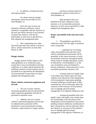2. In addition, existing structures and improvements

 (a) whose removal, though anticipated, cannot be provided for by a fixed deadline, or,

 (b) in the case of areas not destined to become wilderness, whose retention is compatible with the character of the area and whose removal is not essential to protect the resource, will also be permissible, in each case as specified in a duly adopted unit management plan.

 3. Non-conforming uses, other than those that meet the criteria in section 2 above, will be removed by no later than March 3l, l987.

#### **Ranger stations**

 Ranger stations will be subject to the same guidelines as in wilderness areas, except that in areas not destined to become wilderness or in other special situations the indefinite retention of such stations may be provided for as specified by the Department of Environmental Conservation in a duly adopted unit management plan.

#### **Motor vehicles, motorized equipment and aircraft**

 1. All uses of motor vehicles, motorized equipment and aircraft permitted under wilderness guidelines will also be permitted in primitive areas.

 2. Addition, the use of motor vehicles, motorized equipment and aircraft by administrative personnel will be permitted to reach and maintain existing structures, improvements or ranger stations:

 (a) whose eventual removal is anticipated but cannot be removed by a fixed deadline; or,

 (b) in primitive areas not destined to become wilderness whose presence is of an essentially permanent character; in each case as specified in a duly adopted unit management plan.

#### **Roads, snowmobile trails and state truck trails**

 1. The guidelines specified for wilderness areas will also apply to primitive areas, except that:

 -- continued use of existing roads, snowmobile trails and state truck trails by administrative personnel will be permitted, to the extent necessary to reach and maintain structures and improvements whose removal, though anticipated, cannot be effected by a fixed deadline or, in the case of primitive areas not destined to become wilderness, whose presence is of an essentially permanent character; and,

existing roads now legally open to the public may remain open for motor vehicles at the discretion of the Department of Environmental Conservation pending eventual wilderness classification, if their continued use will not adversely affect the character of the resources of the primitive area or impinge upon the proper management of an adjacent wilderness area;

 -- existing snowmobile trails now legally open to the public may remain open for snowmobiles at the discretion of the Department of Environmental Conservation pending eventual wilderness classification if their continued use will not adversely affect the character or resources of the primitive area or impinge upon the proper management of the adjacent wilderness; in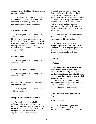each case as specified in a duly adopted unit management plan.

 2. Upon the closure of any road, snowmobile trail or state truck trail, such routes will be effectively blocked as provided in the wilderness guidelines.

#### **All Terrain Bicycles**

 The same guidelines will apply as in wilderness areas except that all terrain bicycles may be used on existing roads legally open to the public and on state truck trails specifically designated for such use by the Department of Environmental Conservation as specified in individual unit management plans.

#### **Flora and fauna**

 The same guidelines will apply as in wilderness areas.

#### **Recreational use and overuse**

 The same guidelines will apply as in wilderness areas.

#### **Boundary structures and improvements and boundary marking**

 The same guidelines will apply as in wilderness areas.

# **Designation of Primitive Areas**

 The application of the primitive definition and criteria described above results in the current designation under this master plan of 24 primitive areas scattered throughout the Adirondack Park. The objective for 22 of these areas is to

eventually upgrade them to wilderness. Two areas (Valcour Island and Schuyler Island) are extremely unlikely to attain wilderness standards. These areas comprise some 6l,400 acres or 3 percent of the forest preserve within the Park. Quite a wide variety of terrain and ecosystems is represented in the designated primitive areas, though not to the same degree as with wilderness.

 All primitive areas are identified and their boundaries delineated on the map forming part of this master plan.

 A general description of each designated primitive area is contained in Chapter III. Each description specifies the goal for ultimate classification and non-conforming uses for each area.

# **CANOE**

#### **Definition**

 **A canoe area is an area where the watercourses or the number and proximity of lakes and ponds make possible a remote and unconfined type of water-oriented recreation in an essentially wilderness setting.** 

 The terrain associated with parcels meeting the above definition is generally ideally suited to ski touring and snowshoeing in the winter months.

# **Guidelines for Management and Use**

#### **Basic guidelines**

 1. The primary canoe area management guideline will be to protect the quality of the water and fishery resources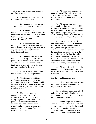while preserving a wilderness character on the adjacent lands.

 2. In designated canoe areas that contain non-conforming uses:

 (a) No additions or expansions of such non-conforming uses will be permitted.

 (b) Any remaining non-conforming uses that were to have been removed by the December 31, 1975 deadline but have not yet been removed will be removed by March 3l, l987.

 (c) Non-conforming uses resulting from newly classified canoe areas will be removed as rapidly as possible and in any case by the end of the third year following classification.

 (d) Primitive tent sites that do not conform to the separation distance guidelines will be brought into compliance on a phased basis and in any case by the third year following adoption of the unit management plan for the area.

 3. Effective immediately, no new non-conforming uses will be permitted.

 4. Construction of additional conforming structures and improvements and maintenance of existing facilities will be on the same basis as in wilderness areas but with particular emphasis on the water and fishery resources.

 5. No new structures or improvements in canoe areas will be constructed except in conformity with finally adopted unit management plans. This guideline will not prevent ordinary maintenance, rehabilitation or minor relocation of conforming structures and improvements, or the removal of non-conforming uses.

 6. All conforming structures and improvements will be designed and located so as to blend with the surrounding environment and to require only minimal maintenance.

 7. All management and administrative actions and interior facilities in canoe areas will be designed to emphasize the self-sufficiency of the user to assume a high degree of responsibility for environmentally sound use of such areas and for his or her own health, safety and welfare.

 8. Any new, reconstructed or relocated lean-tos or individual primitive tent sites located on shorelines of lakes, ponds, rivers or major streams will be located so as to be reasonably screened from the water body to avoid intruding on the natural character of the shoreline and public enjoyment and use thereof. Any such lean-tos will be set back a minimum of 100 feet from the mean high water mark of lakes, ponds, rivers, or major streams.

 9. All pit privies will be located a minimum of 150 feet from the mean high water mark of any lake, pond, river, stream or wetland.

#### **Structures and improvements**

 1. All structures and improvements that conform to wilderness guidelines will be permitted in canoe areas.

 2. In addition, existing state truck trails may be used and maintained by administrative personnel in conformity with the guideline specified below.

 3. The St. Regis Mountain fire tower and observer cabins may be retained so long as retention is considered essential by the Department of Environmental Conservation pending ultimate removal upon final implementation of the aerial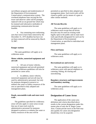surveillance program and modernization of the Department of Environmental Conservation's communication system. The overhead telephone lines serving the fire tower and observer cabin will be promptly replaced with an on-ground line which may be retained until alternative method(s) of maintaining communication become feasible.

 4. Any remaining non-conforming uses that were to have been removed by the December 31, 1975 deadline but have not yet been removed will be removed by March 3l, l987.

### **Ranger stations**

 The same guidelines will apply as in wilderness areas.

## **Motor vehicles, motorized equipment and aircraft**

 1. All uses of motor vehicles, motorized equipment and aircraft permitted under the wilderness guidelines will also be permitted in canoe areas.

 2. In addition, motor vehicles, motorized equipment and aircraft may be used by administrative personnel, but only for purposes designed to preserve or enhance the water or fishery resources of the area as specified in duly adopted unit management plans.

## **Roads, snowmobile trails and state truck trails**

 The guidelines specified for wilderness areas will also apply to canoe areas except that use of state truck trails by administrative personnel for purposes designed to preserve or enhance the water or fishery resources of the area will be

permitted as specified in duly adopted unit management plans. Such truck trails will be closed to public use by means of a gate or other similar methods.

## **All Terrain Bicycles**

 The same guidelines will apply as in wilderness areas except that all terrain bicycles may be used on existing roads legally open to the public and on state truck trails specifically designated for such use by the Department of Environmental Conservation, as specified in individual unit management plans.

## **Flora and fauna**

 The same guidelines will apply as in wilderness areas.

### **Recreational use and overuse**

 The same guidelines will apply as in wilderness areas with special emphasis on canoeing, fishing, ski touring and snowshoeing.

## **Boundary structures and improvements and boundary marking**

 The same guidelines will apply as in wilderness areas.

# **Designation of Canoe Areas**

 The application of the canoe area definition and criteria described above results in the current designation under this master plan of only the St. Regis Canoe Area. Certain private tracts in the Park may also qualify for canoe area designation should they ever be acquired.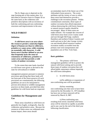The St. Regis area is depicted on the map forming part of this master plan. It is described in narrative form in Chapter III on the same basis as the wilderness and primitive descriptions with an inventory of both the conforming and non-conforming structures and improvements in the area.

## **WILD FOREST**

## **Definition**

 **A wild forest area is an area where the resources permit a somewhat higher degree of human use than in wilderness, primitive or canoe areas, while retaining an essentially wild character. A wild forest area is further defined as an area that frequently lacks the sense of remoteness of wilderness, primitive or canoe areas and that permits a wide variety of outdoor recreation.** 

 To the extent that state lands classified as wild forest were given or devised to the state for silvicultural or wildlife

management purposes pursuant to statutory provisions specifying that these lands will not form part of the forest preserve (if such provisions are constitutional), the following guidelines are not to be interpreted to prevent silvicultural or wildlife management practices on these lands, provided that other guidelines for wild forest land are respected.

# **Guidelines for Management and Use**

 Those areas classified as wild forest are generally less fragile, ecologically, than the wilderness and primitive areas. Because the resources of these areas can withstand more human impact, these areas should

accommodate much of the future use of the Adirondack forest preserve. The scenic attributes and the variety of uses to which these areas lend themselves provide a challenge to the recreation planner. Within constitutional constraints, those types of outdoor recreation that afford enjoyment without destroying the wild forest character or natural resource quality should be encouraged. Many of these areas are under-utilized. For example the crescent of wild forest areas from Lewis County south and east through Old Forge, southern Hamilton and northern Fulton Counties and north and east to the Lake George vicinity can and should afford extensive outdoor recreation readily accessible from the primary east-west transportation and population axis of New York State.

### **Basic guidelines**

 1. The primary wild forest management guideline will be to protect the natural wild forest setting and to provide those types of outdoor recreation that will afford public enjoyment without impairing the wild forest atmosphere.

2. In wild forest areas:

 (a) No additions or expansions of non-conforming uses will be permitted.

 (b) Any remaining non-conforming uses that were to have been removed by the December 31, 1975 deadline but have not yet been removed will be removed by March 3l, l987.

 (c) Non-conforming uses resulting from newly classified wild forest areas will be removed as rapidly as possible and in any case by the end of the third year following classification.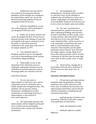(d) Primitive tent sites that do not conform to the separation distance guidelines will be brought into compliance on a phased basis and in any case by the third year following adoption of the unit management plan for the area.

 3. Effective immediately, no new non-conforming uses will be permitted in any designated wild forest area.

 4. Public use of motor vehicles will not be encouraged and there will not be any material increase in the mileage of roads and snowmobile trails open to motorized use by the public in wild forest areas that conformed to the master plan at the time of its original adoption in 1972.

 5. Care should be taken to designate separate areas for incompatible uses such as snowmobiling and ski touring or horseback riding and hiking.

 6. When public access to and enjoyment of the wild forest areas are inadequate, appropriate measures may be undertaken to provide improved access to encourage public use consistent with the

wild forest character.

 7. No new structures or improvements in wild forest areas will be constructed except in conformity with a finally adopted unit management plan. This guideline will not prevent ordinary maintenance, rehabilitation or minor maintenance of conforming structures or improvements, or the removal of non-conforming uses.

 8. All conforming structures and improvements will be designed and located so as to blend with the surrounding environment and to require only minimal maintenance.

 9. All management and administrative actions and interior facilities in wild forest areas will be designed to emphasize the self-sufficiency of the user to assume a high degree of responsibility for environmentally sound use of such areas and for his or her own health, safety and welfare.

 10. Any new, reconstructed or relocated lean-tos, primitive tent sites and other conforming buildings and structures located on shorelines of lakes, ponds, rivers or major streams, other than docks, fishing and waterway access sites and similar water-related facilities, will be located so as to be reasonably screened from the water body to avoid intruding on the natural character of the shoreline and the public enjoyment and use thereof. Any such leantos, ranger stations, storage sheds, horse barns and similar structures will be set back a minimum of 100 feet from the mean high water mark of lakes, ponds, rivers or major streams.

 11. All pit privies, seepage pits or leach fields will be located a minimum of 150 feet from any lake, pond, river or stream.

## **Structures and improvements**

 1. All structures and improvements permitted under the guidelines covering wilderness areas will be allowed in wild forest areas. In addition, the structures and improvements listed below will be allowed and their maintenance, rehabilitation and construction permitted:

small groupings of primitive tent sites below 3,500 feet in elevation, subject to the guidelines set forth below;

-- nature and interpretive trails;

 -- trailheads adjacent to public highways;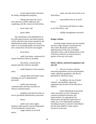-- stream improvement structures for fishery management purposes;

 -- fishing and waterway access sites adjacent to public highways and complying with the criteria set forth below;

- -- horse trails; and,
- picnic tables.

 The maintenance and rehabilitation of the following structures and improvements will be allowed to the extent essential to the administration and/or protection of state lands or to reasonable public use thereof but new construction will not be encouraged:

-- horse barns;

 -- small scale dams, constructed of natural materials wherever possible;

 -- boat docks, constructed of natural materials wherever possible;

small fireplaces in fire-sensitive areas;

 -- storage sheds and similar rustic buildings for use of administrative personnel;

 -- small-scale electronic communication and relay facilities for official communications;

 -- telephone and electrical lines to service permitted administrative structures;

buoys;

 -- small-scale water supply facilities under permit from the Department of Environmental Conservation;

ranger stations as set forth below;

 -- roads, and state truck trails as set forth below;

snowmobile trails as set forth below;

 -- fire towers and observer cabins as set forth below; and,

-- wildlife management structures.

## **Ranger stations**

 Existing ranger stations may be retained and new ranger stations constructed, but only where absolutely essential for administration of the area, no feasible alternative exists, and no deterioration of the wild forest character or natural resource quality of the area will result.

## **Motor vehicles, motorized equipment and aircraft**

 1. All uses of motor vehicles, motorized equipment and aircraft permitted under wilderness guidelines will also be permitted in wild forest areas.

 2. In addition, the use of motor vehicles, snowmobiles, motorized equipment and aircraft will be allowed as follows:

 (a) by administrative personnel where necessary to reach, maintain or construct permitted structures and improvements, for appropriate law enforcement and general supervision of public use, or for appropriate purposes, including research, to preserve and enhance the fish and wildlife or other natural resources of the area;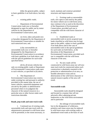(b) by the general public, subject to basic guideline 4 set forth above, but only on:

existing public roads;

 -- Department of Environmental Conservation roads now or hereafter designated as open for public use by motor vehicles by the Department of Environmental Conservation; and,

 -- on rivers, lakes and ponds now or hereafter designated by the Department of Environmental Conservation as suitable for such motorized uses; and,

 (c) by snowmobiles on snowmobile trails now or hereafter designated by the Department of Environmental Conservation in accordance with basic guideline 4 set forth above, and with the special guidelines for such trails specified below.

 (d) by all terrain vehicles but only on existing public roads or Department of Environmental Conservation roads open to such vehicles, as specified in (b) above.

 3. The Department of Environmental Conservation may restrict, under existing law and pursuant to authority provided in this master plan, the use of motor vehicles, motorized equipment and aircraft by the public or administrative personnel where in its judgment the character of the natural resources in a particular area or other factors make such restrictions desirable.

### **Roads, jeep trails and state truck trails**

 1. Continued use of existing roads, snowmobile trails and state truck trails by administrative personnel in wild forest areas will be permitted, to the extent necessary, to

reach, maintain and construct permitted structures and improvements.

 2. Existing roads or snowmobile trails, now open to and used by the public for motor vehicle use in wild forest areas, may continue to be so used at the discretion of the Department of Environmental Conservation, provided such use is compatible with the wild forest character of an area.

 3. Established roads or snowmobile trails in newly-acquired state lands classified as wild forest may be kept open to the public, subject to basic guideline 4 set forth above and in the case of snowmobile trails to the special guidelines for such trails set forth below, at the discretion of the Department of Environmental Conservation, provided such use is compatible with the wild forest character of the area.

 4. No new roads will be constructed in wild forest areas nor will new state truck trails be constructed unless such construction is absolutely essential to the protection or administration of an area, no feasible alternative exists and no deterioration of the wild forest character or natural resource quality of the area will result.

### **Snowmobile trails**

 Snowmobile trails should be designed and located in a manner that will not adversely affect adjoining private landowners or the wild forest environment and in particular:

 -- the mileage of snowmobile trails lost in the designation of wilderness, primitive and canoe areas may be replaced in wild forest areas with existing roads or abandoned wood roads as the basis of such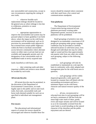new snowmobile trail construction, except in rare circumstances requiring the cutting of new trails;

wherever feasible such replacement mileage should be located in the general area as where mileage is lost due to wilderness, primitive or canoe classification;

 -- appropriate opportunities to improve the snowmobile trail system may be pursued subject to basic guideline 4 set forth above, where the impact on the wild forest environment will be minimized, such as (i) provision for snowmobile trails adjacent to but screened from certain public highways within the Park to facilitate snowmobile access between communities where alternate routes on either state or private land are not available and topography permits and, (ii) designation of new snowmobile trails on established roads in newly acquired state

lands classified as wild forest; and,

 -- deer wintering yards and other important wildlife and resource areas should be avoided by such trails.

## **All terrain bicycles**

 All terrain bicycles may be permitted, in the discretion of the Department of Environmental Conservation, on roads legally open to the public and on state truck trails, foot trails, snowmobile trails and horse trails deemed suitable for such use as specified in individual unit management plans.

## **Fire towers**

 The educational and informational aspects of certain fire towers should be encouraged and wherever feasible these fire towers should be retained where consistent with their need from a fire control and communications standpoint.

## **Tent platforms**

 The Department of Environmental Conservation having removed all tent platforms previously existing under Department permit, erection of new tent platforms will be prohibited.

 Small groupings of primitive tent sites designed to accommodate a maximum of 20 people per grouping under group camping conditions may be provided at carefully selected locations in wild forest areas, even though each individual site may be within sight or sound and less than approximately one-quarter mile from any other site within such grouping, subject to the following criteria:

such groupings will only be established or maintained on a site specific basis in conformity with a duly adopted unit management plan for the wild forest area in question;

such groupings will be widely dispersed (generally a mile apart) and located in a manner that will blend with the surrounding environment and have a minimum impact on the wild forest character and natural resource quality of the area;

 -- all new, reconstructed or relocated tent sites in such groupings will be set back a minimum of 100 feet from the mean high water mark of lakes, ponds, rivers and major streams and will be located so as to be reasonably screened from the water body to avoid intruding on the natural character of the shoreline and the public enjoyment and use thereof.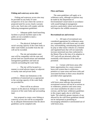## **Fishing and waterway access sites**

 Fishing and waterway access sites may be provided on any body of water irrespective of its size where the current or projected need for access clearly warrants such a site. Such sites will comply with the following management guidelines:

 -- Adequate public hand launching facilities or private facilities open to the public are not available to meet a demonstrated need.

 -- The physical, biological and social carrying capacity of the water body or other water bodies accessible from the site will not be exceeded.

 -- The site and attendant water uses will be compatible with the state and private land use classifications and attendant management guidelines and land use controls surrounding the water body.

 -- The site will be located in a manner to avoid adverse impact on adjacent or nearby state and private lands.

 -- Motor size limitations or the prohibition of motorized use as appropriate to the carrying capacity of the water body are provided for.

 -- There will be no adverse impacts on the physical, biological or scenic resources of the water body and surrounding land.

 Any proposal to create a new fishing or waterway access site will be accompanied by an adequate demonstration that the above guidelines can be complied with.

## **Flora and fauna**

 The same guidelines will apply as in wilderness areas, although exceptions may be made by the Department of Environmental Conservation in accordance with sound biological management practices, particularly where such practices will improve the wildlife resources.

### **Recreational use and overuse**

 1. All types of recreational uses considered appropriate for wilderness areas are compatible with wild forest and, in addition, snowmobiling, motorboating and travel by jeep or other motor vehicles on a limited and regulated basis that will not materially increase motorized uses that conformed to the Master Plan at the time of its adoption in 1972 and will not adversely affect the essentially wild character of the land are permitted.

 2. Certain wild forest areas offer better opportunities for a more extensive horse trail system than in wilderness, primitive or canoe areas and horse trails and associated facilities in these areas should be provided where appropriate.

 3. Although the nature of most wild forest areas indicates that potential recreational overuse will not be as serious as in wilderness, primitive and canoe areas, care must nonetheless be taken to avoid overuse, and the basic wilderness guidelines in this respect apply also to wild forest lands. The relatively greater intensity of use allowed by the wild forest guidelines should not be interpreted as permitting or encouraging unlimited or unrestrained use of wild forest areas.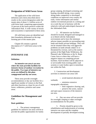## **Designation of Wild Forest Areas**

 The application of the wild forest definition and criteria described above results in the current designation under the master plan of about 1.2 million acres of wild forest land, comprising approximately 53 percent of the forest preserve within the Adirondack Park. A wide variety of terrain and ecosystems is represented in these areas.

 All wild forest areas are identified and their boundaries delineated on the map forming part of this master plan.

 Chapter III contains a general description of 17 wild forest areas in the Park.

## **INTENSIVE USE**

### **Definition**

 **An intensive use area is an area where the state provides facilities for intensive forms of outdoor recreation by the public. Two types of intensive use areas are defined by this plan: campground and day use areas.** 

 These areas provide overnight accommodations or day use facilities for a significant number of visitors to the Park and often function as a base for use of wild forest, wilderness, primitive and canoe areas.

# **Guidelines for Management and Use**

#### **Basic guidelines**

 1. The primary management guideline for intensive use areas will be to provide the public opportunities for family group camping, developed swimming and boating, downhill skiing, cross country skiing under competitive or developed conditions on improved cross country ski trails, visitor information and similar outdoor recreational pursuits in a setting and on a scale that are in harmony with the relatively wild and undeveloped character of the Adirondack Park.

 2. All intensive use facilities should be located, designed and managed so as to blend with the Adirondack environment and to have the minimum adverse impact possible on surrounding state lands and nearby private holdings. They will not be situated where they will aggravate problems on lands already subject to or threatened by overuse, such as the eastern portion of the High Peaks Wilderness, the Pharaoh Lake Wilderness or the St. Regis Canoe Area or where they will have a negative impact on competing private facilities. Such facilities will be adjacent to or serviceable from existing public road systems or water bodies open to motorboat use within the Park.

 3. Construction and development activities in intensive use areas will:

 -- avoid material alteration of wetlands;

 -- minimize extensive topographic alterations;

-- limit vegetative clearing; and,

 -- preserve the scenic, natural and open space resources of the intensive use area.

 4. Day use areas will not provide for overnight camping or other overnight accommodations for the public.

 5. Priority should be given to the rehabilitation and modernization of existing intensive use areas and the complete development of partially developed existing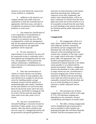intensive use areas before the construction of new facilities is considered.

 6. Additions to the intensive use category should come either from new acquisitions or from the reclassification of appropriate wild forest areas, and only in exceptional circumstances from wilderness, primitive or canoe areas.

 7. Any request for classification of a new acquisition or reclassification of existing lands from another land use category to an intensive use area will be accompanied by a draft unit management plan for the proposed intensive use area that will demonstrate how the applicable guidelines will be respected.

 8. No new structures or improvements at any intensive use area will be constructed except in conformity with a final adopted unit management plan for such area. This guideline will not prevent the ordinary maintenance, rehabilitation or minor relocation of conforming structures or improvements.

 9. Since the concentrations of visitors at certain intensive use facilities often pose a threat of water pollution, the state should set an example for the private sector by installing modern sewage treatment systems with the objective of maintaining high water quality. Standards for the state should in no case be less than those for the private sector and in all cases any pit privy, leach field or seepage pit will be at least 150 feet from the mean high water mark of any lake, pond, river or stream.

 10. Any new, reconstructed or relocated buildings or structures located on shorelines of lakes, ponds, rivers or major streams, other than docks, primitive tent sites not a part of a campground (which will be governed by the general guidelines for

such sites set forth elsewhere in this master plan) boat launching sites, fishing and waterway access sites, boathouses, and similar water related facilities, will be set back a minimum of 150 feet from the mean high water mark and will be located so as to be reasonably screened from the water body to avoid intruding on the natural character of the shoreline and the public enjoyment and use thereof.

## **Campgrounds**

 1. All campgrounds will be of a rustic nature without utility hookups and other elaborate facilities customarily provided by private campgrounds. Each individual site will retain the natural character of the surrounding forest and contain only a fireplace or fire ring, a space for a single vehicle with trailer if needed, picnic table, and appropriate sites. All facilities and appurtenances are to be constructed of natural materials to the fullest extent possible so as to blend with the natural environment. Where a campground involves the shoreline of a lake, pond, river or major stream any new, reconstructed or relocated camping sites will be set back a minimum of 100 feet from the mean high water mark and will be located so as to be reasonably screened from the shoreline and so as to avoid intruding on its natural character or public enjoyment and use thereof.

 2. The maximum size of future campgrounds in the Park will be in the range of 75 to 150 individual camping sites depending on site constraints, resource considerations and impacts on nearby lands.

 3. The older, existing campgrounds will be rehabilitated and reconstructed as soon as possible to reflect modern site planning principles that will better blend the facilities with the environment and will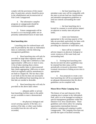comply with the provisions of this master plan. In particular, priority should be given to the rehabilitation and reconstruction of Fish Creek Campground.

 4. The informative campfire programs at campgrounds should be reinstituted and then expanded.

 5. Future campgrounds will be located so as to encourage public use on presently underutilized tracts of state land.

## **Boat launching sites**

 Launching sites for trailered boats will only be provided by the state on Adirondack lakes in conformity with the following management guidelines:

 1. Boat launching sites will only be provided on large lakes regularly used by motorboats. A large lake is defined as a lake approximately 1,000 acres or more in area. A list of lakes meeting these criteria (including smaller lakes in interconnected lake chains aggregating 1,000 acres or more which are regularly used by motorboats) is set forth in Chapter III. The fact that a lake is set forth on this list does not necessarily mean that additional boat launching sites on that lake are needed or desirable.

 2. Boat launching sites will only be provided on the above lakes where:

 -- adequate public or private boat launching facilities open to the public are not available to meet a demonstrated need;

 -- the physical, biological and social carrying capacity of the lake, or a portion of the lake, or other water bodies accessible from the site will not be exceeded;

 -- the boat launching site or attendant water uses will be compatible with the state or private land use classifications and attendant management guidelines as land use controls surrounding the water body;

 -- the boat launching site is located in a manner to avoid adverse impact on adjacent or nearby state and private lands;

 -- motor size limitations appropriate to the carrying capacity of the lake are provided; particularly for lakes with embayment or shoreline configurations providing the character of small lakes; and,

 -- there will be no material adverse impacts on physical, biological or scenic resources of the water body and surrounding land.

 3. Existing boat launching sites that do not meet the above guidelines may be retained but their status will be periodically reviewed to determine if their eventual conversion to fishing access sites is appropriate.

 4. Any proposals to create a new boat launching site will be accompanied by an adequate demonstration that the above guidelines can be complied with.

## **Moose River Plains Camping Area**

The history of use and character of this camping area is unique in the Adirondack Park, and it is to be managed according to special management guidelines within the Intensive Use Area classification. These guidelines and criteria allow for camping opportunities intermediate between primitive camping and camping in public campgrounds. The Camping Area does not provide the types of facilities normally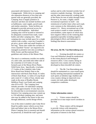associated with Intensive Use Area Campgrounds. While drive-in camping and site separation distances of less than onequarter mile are generally provided, the Camping Area is largely primitive in character and does not include facilities such as bathhouses, water supply, paved roads and similar amenities. Some facilities are designed to provide universal access for persons with disabilities. Individual camping sites will be located or restored to be adequately screened from roads, water bodies and other camping sites. Most camping sites may include space for a single vehicle with a trailer, a tent site if needed, a pit privy, picnic table and small fireplace or fire ring. Those sites within the corridors of rivers classified "Scenic" are required to be managed as primitive tent sites according to Wild, Scenic and Recreational River guidelines and criteria of this Master Plan.

The area is a continuous corridor two tenths of a mile wide, one-tenth mile either side of the centerline of 23.9 miles of roads formerly part of the Moose River Plains Wild Forest Area. Specifically, it includes 17.3 miles of the Limekiln Lake-Cedar River Road from Wakely Dam to the intersection with Rock Dam Road, 4.3 miles of Rock Dam Road, 1.2 miles of Loop Road and a total of 1.1 miles of four, shorter spur roads in the areas of Bradley Brook, Helldiver Pond, Lost Ponds and camping sites #53 to #55. The Camping Area initially provides 116 individual camping sites, with approximately 33 sites that will be relocated due to environmental concerns. Intensive Use camping areas may contain up to 150 individual camping sites, and more sites may be added in the future to this area through additional, careful design efforts.

Use of the entire Limekiln Lake-Cedar River Road for public motor vehicle access from Inlet and Indian Lake to the Moose River Plains Camping Area is essential and should be preserved, as should the road's gravel

surface and its wild, forested corridor free of extensive roadside clearings. Driving this and the other interconnected, winding roads of the Plains for tens of miles through Forest Preserve is, for some, a highly valued recreational experience in itself – one reminiscent of earlier times when such roads were common in the Adirondacks and the eastern U.S. Heavy recreational use of the road system is made in winter months by snowmobilers, some aspects of which may have negative effects on the wintering deer population (possibly including negative physiological effects and habituation to feeding) that deserve assessment.

#### **Ski areas, the Mt. Van Hoevenberg area**

 1. Existing downhill ski centers at Gore and Whiteface should be modernized to the extent physical and biological resources allow. Cross country skiing on improved cross country ski trails may be developed at these downhill ski centers.

 2. The Mt. Van Hoevenberg area should be maintained as a year-round sports facility meeting international standards for such sports as bobsled, luge, biathlon and cross country skiing on improved cross country ski trails under developed, competitive conditions.

## **Visitor information centers**

 1. Visitor centers should be provided on or near major travel corridors in the Park.

 2. These centers will be designed to provide visitors with interpretive information on the various natural resources and points of interest in the Park.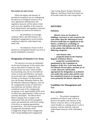#### **Recreation use and overuse**

 Where the degree and intensity of permitted recreational uses are endangering the physical or biological resources of an area, appropriate administrative and regulatory measures will be taken to limit such use to the capability of the resources. Such administrative and regulatory measures may include, but need not be limited to:

 -- the prohibition of overnight camping within a specified distance of a designated campground to avoid overflow camping on adjacent, undeveloped state lands; and,

 -- the temporary closure of all or portions of a designated intensive use area to permit rehabilitative measures.

# **Designation of Intensive Use Areas**

 The intensive use areas are delineated on the map forming part of this master plan and are described in Chapter III. They include (i) day use areas, which include: boat launching sites, the two downhill ski centers at Gore and Whiteface, one beach not associated with a campground, all of the facilities at the Mount Van Hoevenberg area, the Prospect Mountain Parkway and the Whiteface Memorial Highway, and, (ii) 44 campgrounds (certain of which have associated day-use facilities which are considered a part of the campground) occupying, in all, approximately 8,925 acres of which only approximately 1,600 acres are currently developed. The Moose River Plains Camping Area is unique in the Adirondack Park and will be managed to restore and maintain the wild forest setting of the drive-in camping opportunities provided there. The Lake George Islands Campground, Hearthstone Point Campground, Rogers Rock Campground, Lake George Battleground Campground,

Lake George Beach, Prospect Mountain Highway, and Mossy Point boat launch are all located within the Lake George Park.

# **HISTORIC**

## **Definition**

 **Historic areas are locations of buildings, structures or sites owned by the state (other than the Adirondack Forest Preserve itself) that are significant in the history, architecture, archeology or culture of the Adirondack Park, the state or the nation; that fall into one of the following categories;** 

 **-- state historic sites;** 

 **-- properties listed on the National Register of Historic Places;** 

 **-- properties recommended for nomination by the Committee on Registers of the New York State Board For Historic Preservation; and that are of a scale, character and location appropriate for designation as an historic area under this master plan and the state has committed resources to manage such areas primarily for historic objectives.** 

# **Guidelines for Management and Use**

## **Basic guidelines**

 1. The primary management guidelines for historic areas will be to preserve the quality and character of the historic resources, that is, to the greatest extent feasible, in a setting and on a scale in harmony with the relatively wild and undeveloped character of the Adirondack Park.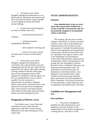2. All historic areas will be designed, managed and interpreted so as to blend with the Adirondack environment and have the minimum adverse impact possible on surrounding state lands and nearby private holdings.

 3. Construction and development activities in historic areas will:

 -- avoid material alteration of wetlands;

 -- minimize extensive topographical alterations;

-- limit vegetative clearing; and,

 -- preserve the scenic, natural and open space resources of the historic area.

 4. Each historic area will be designed, managed and interpreted in conformity with a special historic area unit management plan for the area, filed with and approved by the Agency after public hearing as being consistent with this master plan. Special unit management plans will be prepared in consultation with the Agency for the two existing historic areas as soon as possible. No new structures or improvements at existing or proposed historic areas will be constructed prior to the approval of such special unit management plans. Such structures and improvements will conform to this master plan and special historic area unit management plans.

## **Designation of Historic Areas**

 Two historic areas, Crown Point and John Brown's Farm, result from the application of the above criteria and are delineated on the map forming part of this master plan.

# **STATE ADMINISTRATIVE**

## **Definition**

 **State administrative areas are areas where the state provides facilities for a variety of specific state purposes that are not primarily designed to accommodate visitors to the Park.** 

 This category, like the travel corridor category with which it is closely associated, contains a wide variety of developed uses related directly to the activities of many state agencies. It includes the administrative offices of the Department of Environmental Conservation, Division of State Police and the Adirondack Park Agency itself as well as the Department of Environmental Conservation fish hatcheries, Department of Transportation offices and maintenance and storage sites, the Atmospheric Sciences Research Center at Whiteface Mountain, the Sunmount Developmental Center, the Adirondack Correctional Facility, the Dannemora Correctional Facility, Lyon Mountain Correctional Facility, Camp Gabriels and several sewage treatment plants operated by the Environmental Facilities Corporation. All of these facilities are in close proximity to public highways and are generally in developed areas of the Park.

# **Guidelines for Management and Use**

### **Basic guidelines**

 1. The primary management guideline for state administrative areas should be to provide facilities for the administration of state lands or programs in a setting and on a scale that is, to the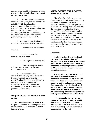greatest extent feasible, in harmony with the relatively wild and undeveloped character of the Adirondack Park.

 2. All state administrative facilities should be located, designed and managed so as to blend with the Adirondack environment and to have the minimum adverse impact possible on surrounding state lands and nearby private holdings. Whenever possible, such facilities should be adjacent to or serviceable from existing public road systems within the Park.

 3. Construction and development activities in state administrative areas will:

 -- avoid material alterations of wetlands;

 -- minimize extensive topographical alterations;

-- limit vegetative clearing; and,

 -- preserve the scenic, natural and open space resources of the state administrative area.

 4. Additions to the state administrative category should come either from new acquisitions or from the reclassification of appropriate wild forest or intensive use areas (assuming such acquisitions or reclassifications to be constitutional) and not from wilderness, primitive or canoe areas.

# **Designation of State Administrative Areas**

 State administrative areas are listed in Chapter III and those of an appropriate scale are designated on the map forming part of this master plan.

# **WILD, SCENIC AND RECREA-TIONAL RIVERS**

 The Adirondack Park contains many rivers which, with their immediate environs, constitute an important and unusual resource. Classification of those portions of rivers that flow through state land is vital to the protection of existing free flowing streams. The classification system and the recommended guidelines specified below are designed to be consistent with and complementary to both the basic intent and structure of the legislation passed by the legislature in 1972 creating a wild, scenic and recreational rivers system on both state and private lands.

## **Definitions**

 **A wild river is a river or section of river that is free of diversions and impoundments, inaccessible to the general public except by water, foot or horse trail, and with a river area primitive in nature and free of any man-made development except foot bridges.** 

 **A scenic river is a river or section of river that is free of diversions or impoundments except for log dams, with limited road access and with a river area largely primitive and undeveloped, or that is partially or predominantly used for agriculture, forest management and other dispersed human activities that do not substantially interfere with public use and enjoyment of the river and its shore.** 

 **A recreational river is a river or section of river that is readily accessible by road or railroad, that may have development in the river area and that may have undergone some diversion or impoundment in the past.**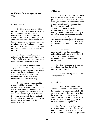# **Guidelines for Management and Use**

## **Basic guidelines**

 1. No river or river area will be managed or used in a way that would be less restrictive in nature than the statutory requirements of the Wild, Scenic and Recreational Rivers Act, Article l5, title 27 of the Environmental Conservation Law, or than the guidelines for the management and use of the land classification within which the river area lies, but the river or river area may be administered in a more restrictive manner.

 2. Rivers will be kept free of pollution and the water quality thereof kept sufficiently high to meet other management guidelines contained in this section.

 3. No dam or other structure impeding the natural flow of a river will be constructed on a wild, scenic or recreational river, except for stream improvement structures for fisheries management purposes which are permissible on recreational and scenic rivers only.

 4. The precise boundaries of the river area will be determined by the Department of Environmental Conservation, will be specified in the individual unit management plans for the river area or the unit of state land through which the river flows, and will normally be one-half mile from the mean high water mark of the river, but in any case will not be less than one-quarter mile.

## **Wild rivers**

 1. Wild rivers and their river areas will be managed in accordance with the guidelines for wilderness areas except that no new, reconstructed or relocated structures or improvements will be permitted other than: foot and horse trails, foot trail bridges constructed of natural materials, primitive tent sites with fire rings, and pit privies. Existing lean-tos in wild river areas may be maintained for the balance of their useful lives. Such lean-tos will not be reconstructed or replaced and will ultimately be phased out in favor of primitive tent sites as specified in individual unit management plans.

 2. Such structures and improvements, other than foot and horse trails and foot trail bridges, will be located so as to be completely screened by vegetation or topography from view from the river itself.

 3. The wild character of the river and its immediate shoreline will be preserved and enhanced.

 4. Motorboat usage of wild rivers will be prohibited.

## **Scenic rivers**

 1. Scenic rivers and their river areas will be managed in accordance with the guidelines for the management of wild forest areas (except where such rivers flow through wilderness, primitive or canoe areas, where the more restrictive guidelines of the particular area will apply) and with the following additional guidelines.

 2. Access points to the river shore or crossings of the river by roads, fire truck trails or other trails open to motor vehicle use by the public or administrative personnel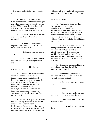will normally be located at least two miles apart.

 3. Other motor vehicle roads or trails in the river area will not be encouraged and, where permitted, will normally be kept at least 500 feet from the river shore and will be screened by vegetation or topography from view from the river itself.

 4. The natural character of the river and its immediate shoreline will be preserved.

 5. The following structures and improvements may be located so as to be visible from the river itself:

 -- fishing and waterway access sites;

 -- foot and horse trails and foot and horse trail bridges crossing the river; and,

 -- motor vehicle bridges crossing the river.

 6. All other new, reconstructed or relocated conforming structures and improvements (other than individual lean-tos, primitive tent sites and pit privies which are governed by the regular guidelines of the master plan) will be located a minimum of 250 feet from the mean high water mark of the river and will in all cases be reasonably screened by vegetation or topography from view from the river itself.

 7. Motorboat usage of scenic rivers will not normally be permitted but may be allowed by the Department of Environmental Conservation, where such use is already established, is consistent with the character of the river and river area, and

will not result in any undue adverse impacts upon the natural resource quality of the area.

## **Recreational rivers**

 1. Recreational rivers and their river areas will be administered in accordance with the guidelines for management of wild forest areas (except where such rivers flow through wilderness, primitive or canoe areas, where the more restrictive guidelines of the particular area will apply) and with the following additional guidelines:

 2. Where a recreational river flows through an intensive use area, structures, improvements and uses permitted in intensive use areas will be permitted, provided the scale and intensity of these intensive uses do not adversely affect the recreational character of the river and the river area.

 3. The natural character of the river and its immediate shoreline will be preserved and enhanced.

 4. The following structures and improvements may be located so as to be visible from the river itself:

 -- fishing and waterway access sites;

-- docks;

 -- foot and horse trails and foot and horse trail bridges crossing the river;

 -- snowmobile trails, roads, and truck trails; and,

 --motor vehicle bridges crossing the river.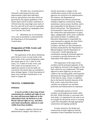5. All other new, reconstructed or relocated conforming structures and improvements (other than individual lean-tos and primitive tent sites which are governed by the regular guidelines of the master plan) will be located a minimum of 150 feet from the mean high water mark of the river and will in all cases be reasonably screened by vegetation or topography from view from the river itself.

 6. Motorboat use of recreational rivers may be permitted, as determined by the Department of Environmental Conservation.

# **Designation of Wild, Scenic and Recreational Rivers**

 The application of the above definitions and criteria to rivers on state lands in the Park results in the current designation under this master plan of 155.1 miles of wild rivers, 511.3 miles of scenic rivers, and 539.5 miles of recreational rivers. A significant amount of private lands not covered by this master plan are included in these mileage figures. A brief description of these rivers and their classification is set forth in Chapter III.

# **TRAVEL CORRIDORS**

## **Definition**

 **A travel corridor is that strip of land constituting the roadbed and right-of-way for state and interstate highways in the Adirondack Park, the Remsen to Lake Placid railroad right-of-way, and those state lands immediately adjacent to and visible from these facilities.**

 This category, together with the state administrative category with which it is

closely associated, is unique in the classification system in that several state agencies are involved in its administration. For instance, the Department of Transportation has obvious jurisdiction relating to highway construction, design, maintenance and accessory facilities, and is also responsible for the Remsen to Lake Placid railroad line. The Department of Environmental Conservation is involved in the construction and maintenance of many signs, campgrounds, picnic areas, trailheads and similar facilities. In addition, the Education Department is responsible for some interpretive signing; the State Police maintain various buildings in these corridors; and there are also institutional facilities maintained by the Department of Mental Hygiene and the Department of Corrections. Careful planning and coordination among all interested agencies is essential to provide distinction to the Adirondack Park highway system.

 The importance of the major travel corridors and the principal segments of the local highway network to the integrity of the Park cannot be over-emphasized. The lands adjacent to these highways are the most visible to the traveling public and frequently determine the image and entire atmosphere of the Park for many visitors. In addition, due to the heavily forested character of the Park, scenic vistas from these travel corridors are relatively rare and their protection and enhancement are important.

 Considerable portions of travel corridors run through private lands within the Park. While this plan is concerned with state lands, it is important for the state to set an example for the private sector in creating a park-like atmosphere through appropriate construction and signing standards.

 In many instances, the design and construction of major highways and the treatment of their immediate environs by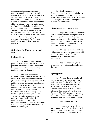state agencies has been enlightened. Obvious examples are the Adirondack Northway, which won two national awards as America's Most Scenic Highway, the reconstruction of Route 10 from Arietta to Route 8 in Hamilton County, the rebuilding of Routes 30 and 28 between Indian Lake and Blue Mountain Lake, the rebuilding of Route 30 between Blue Mountain Lake and South Pond and the rebuilding of Route 73 between Keene and the Adirondack Loj Road. However, there are many areas where more attention to the Park's unique atmosphere is essential. The following guidelines are intended to achieve this objective.

# **Guidelines for Management and Use**

## **Basic guidelines**

 1. The primary travel corridor guideline will be to achieve and maintain a park-like atmosphere on state lands within the travel corridor that complements the total Adirondack environment.

 2. State lands within travel corridors but outside of the right-of-way that are otherwise classified under this master plan will be managed in compliance with the guidelines for the appropriate classification. In addition, no new structures or improvements within the travel corridor but outside of the right-of-way will be constructed except in conformity with a finally adopted unit management plan whether for the travel corridor or the underlying land classification. This guideline will not prevent ordinary maintenance or rehabilitation of conforming structures or improvements or the removal of non-conforming uses.

 3. The Department of Transportation should employ its influence over highways under the jurisdiction of various local governments to try and achieve similar objectives for the other highway corridors within the Park.

### **Highway design and construction**

 1. Highway construction within the Park will concentrate on the improvement of the existing highway network to provide a modern system of two-lane highways with appropriate passing lanes, and significant acquisitions of new rights-of-way will be avoided wherever feasible.

 2. All road designs and standards will consider the need for compatibility with a park environment to be of equal importance with speed between communities.

 3. Additional four-lane, limited access highways will not be located within the park.

## **Signing policies**

 1. A comprehensive plan for all signing on state lands within travel corridors will be prepared by the Adirondack Park Agency jointly with the Department of Environmental Conservation, the Department of Transportation and other interested state agencies by no later than December 31, 1987, with the objective of achieving uniformity and a high quality of design for all signs within these corridors.

This plan will include:

 -- a comprehensive visitor information program designed to inform the traveling public of the availability of state and private services and facilities, which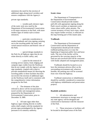minimizes the need for the erection of additional signs along travel corridors and ensures compliance with the Agency's

private sign standards;

 -- wooden park entrance signs of the rustic style now used by the Department of Environmental Conservation at all major entrances to the Park, with more modest signs of similar style at minor entrances;

 -- particular consideration to modest landmark and vista signing, pointing out to the traveling public the many and varied natural resources and historic sites of the Park;

 -- special design standards in the Park for all highway signs that do not relate directly to traffic safety; and,

 -- a plan for the removal of existing service station, food, lodging and campsite signs visible from the Northway that do not comply with the Agency's private sign standards, coupled with a plan to provide standardized means for directing the traveling public to these facilities that does not involve the erection of additional signs on the Northway itself and is consistent with the comprehensive visitor information program for the Park.

 2. The elements of the plan referred to above will be incorporated in travel corridor unit management plans, prepared by the Department of Environmental Conservation, prior to December 3l, l989.

 3. All state signs other than highway signs relating directly to traffic safety shall comply with the standards for private signs promulgated by the Agency pursuant to its statutory authority.

## **Scenic vistas**

 The Department of Transportation or the Department of Environmental Conservation should provide modest pull-offs with appropriate signing along the Park's travel corridors at important scenic vistas where traffic safety permits. The current inventory of forty such vistas, which may require further revision, is reflected on the map forming part of this master plan.

## **Trailheads**

 The Department of Environmental Conservation and the Department of Transportation should provide modest trailhead parking areas at or near the beginning of important public foot and horse trails. The size of the facility will be governed by the carrying capacity of the land use area involved and will be consistent with finally adopted unit management plans.

 Trailheads should be located so as to have the minimum adverse effect on the surrounding environment and, wherever feasible, the parking area will be screened from view from the highway.

 Trailhead construction or rehabilitation should be carefully considered in connection with highway rehabilitation and preservation projects.

## **Roadside aesthetics**

 1. All administrative and maintenance structures or storage areas of any state agency will be designed and constructed to harmonize with the character of the Park.

 2. These structures or facilities will be located in developed areas of the Park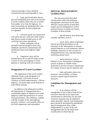wherever possible or they should be screened from the motoring public's view.

 3. Sand, gravel and other borrow pits and stockpiling areas will not be located in travel corridors unless they are screened from public view from the highway. As these excavations are abandoned they will, wherever possible, be back-sloped and re-vegetated.

 4. All future guide rail construction will utilize the new weak post cable system, dark brown treated wooden posts or selfoxidizing rails where appropriate.

 5. Utility companies will be permitted and encouraged to bury their telephone and electric transmission and distribution lines in the highway rightof-way.

 6. Vegetative cover will be maintained on all cut and fill slopes except in areas of rock outcroppings or where gabions or retaining walls are essential.

# **Designation of Travel Corridors**

 The application of the travel corridor definition results in the designation of approximately 1,220 miles of travel corridors, of which approximately 1,100 are highway, 120 miles make up the Remsen to Lake Placid railroad.

 In addition to the delineated corridors, the Department of Transportation has a considerable degree of influence over other highways under the jurisdiction of various local governments. This influence, coupled with the example of the state highway network, can have a very positive effect on the Park's appearance and atmosphere.

# **SPECIAL MANAGEMENT GUIDELINES**

 The nine previously described classifications reflect the minimum management constraints for the lands affected. Certain parcels of land often require special management to reflect unusual resource or public use factors. Examples of these include:

special interest areas deserving of public attention, such as:

scenic areas, places of geologic interest providing information on the formation of the Adirondacks or unusual mineral deposits or rock formations, historic buildings, structures or sites not part of a designated historic area, and particularly interesting natural areas;

 -- nature preserves, such as habitats of rare, threatened or endangered species of plants or wildlife where protection to prevent overuse or destruction of a unique resource may be required; and,

 -- lakes and ponds whose size, character, inaccessibility, or fishery resources require special protective measures.

# **Guidelines for Management and Use**

 1. In no instance will the management of any of these lands be less restrictive than that of the major land classification in which they lie, but more restrictive measures may be employed where desirable. Specific unit management plans should be developed for appropriate special management areas, either independently or as part of the unit management plan for the major land classification in which they lie.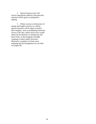2. Special interest areas will receive appropriate publicity and particular attention will be given to interpretive signing.

 3. Where overuse or destruction of unique and fragile resources is a threat, special measures will be taken to protect their integrity, such as prohibiting motorized access to the area, where such access would otherwise be allowed, re-routing foot and horse trails, or discouraging overnight camping to reduce public pressures. Illustrative examples of certain areas requiring special management are set forth in Chapter III.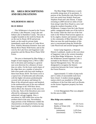# **III. AREA DESCRIPTIONS AND DELINEATIONS**

## **WILDERNESS AREAS**

### **BLUE RIDGE**

 This Wilderness is located in the Towns of Arietta, Lake Pleasant, Long Lake and Indian Lake in Hamilton County. The area is roughly bounded on the north by Route 28; on the east by Route 28/30 and private lands; on the south by private lands immediately north and west of Cedar River Flow, Wakely Mountain Primitive Area and Moose River Plains Wild Forest; and on the west by the Lake Kora and Sagamore Lake properties and the Moose River Plains Wild Forest.

 The area is dominated by Blue Ridge, a height of land ranging from 2,700 to 3,683 feet in elevation and running in a general east-west direction for a distance of more than six miles. On the lower north slopes of the ridge there are a number of attractive little trout ponds with foot trails leading to them from Route 28/30. The forest cover is a typical mix of hardwoods and softwoods, with the higher elevations predominantly covered with red spruce and balsam fir. Most of the old growth spruce and hemlock in the northwestern part of the area suffered heavy damage in the 1950 blow down, which affects the character of the area even to this day. Parts of the blowdown area were affected by subsequent, legislatively authorized, salvage logging. Also, a microburst in 1995 felled trees across the northern third of the area. Nevertheless, large portions of the Wilderness exhibit the characteristics of old growth forest, having been largely untouched by windstorms and logging.

 The Blue Ridge Wilderness is easily accessible along most of its perimeter. A portion of the Northville-Lake Placid foot trail runs north from Wakely Pond past Stephens Pond and Lake Durant. A major rerouting in 2009 moved six miles of trail from along Cedar River Road to a new trail along the southern boundary of the Wilderness. Campers from the Lake Durant public campground make use of the trails in the vicinity while the chief use of the foot trails in the Wilson Pond section appears to be by anglers, hunters and summer visitors to the community of Blue Mountain Lake. Most use near the south boundary of this area is concentrated along the Northville-Lake Placid trail and around Sprague Pond.

 Great Camp Sagamore, a National Historic Landmark, stands on the west shore of Sagamore Lake at the western boundary of the Blue Ridge Wilderness. An area of the Wilderness around Sagamore Lake is included in the Historic Great Camps Special Management Area. The area was designated to recognize the historic connection between the Great Camps and the Forest Preserve.

 Approximately 5.5 miles of jeep trails and 5.5 miles of snowmobile trails have been closed. A modest stream-gauging station which was installed in 1978 at the confluence of the East Inlet and Lost Brooks on the former Sagamore property has been removed.

 A Unit Management Plan was adopted for this area in 2006.

#### **Blue Ridge area statistics:**

| <b>State Lands</b>   | 47,125 Acres |
|----------------------|--------------|
| Bodies of Water (24) | 252 Acres    |
| Elevation            |              |
| (minimum)            | 1,676 Feet   |
| (maximum)            | 3,744 Feet   |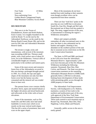| <b>Foot Trails</b>                        | 23 Miles |
|-------------------------------------------|----------|
| Lean-tos                                  | 3        |
| Non-conforming Uses:                      |          |
| Golden Beach Campground Septic            |          |
| <b>Blue Mountain Cemetery Access Road</b> |          |

### **DIX MOUNTAIN**

 This area is in the Towns of Elizabethtown, Keene and North Hudson, Essex County. It is roughly bounded on the north by Route 73; on the east by the Adirondack Northway; on the south by the Boreas Road (County Route 2B); and on the west by Elk Lake and Adirondack Mountain Reserve lands.

 The terrain is rough, rocky and mountainous, with several of the mountain tops exceeding 4,000 feet. Thirteen small ponds, with a total surface area of about 93 acres, lie in the Wilderness. Vertical cliffs of considerable height are common, particularly in the northern and eastern parts.

 Some of the most severe and extensive forest fires of the Adirondacks occurred in this area during a prolonged drought period in 1903. As a result, the tops and upper slopes of the mountains not only lost their forest cover but the humus was also consumed and the mineral soil was eroded down to bare rock.

 The present forest cover consists chiefly of yellow birch, aspen and stunted balsam at the higher elevations and mixed hardwoods and softwoods on the richer soils at lower elevations.

 Some of the mountains, such as Dix, South Dix and McComb, have had small landslides in recent years which occur mostly on the near vertical north slopes. This has left a series of prominent, bare rock scars on the upper slopes.

 Most of the mountains do not have marked foot trails leading to their summits even though excellent views can be experienced from these summits.

 There are four "trail-less" peaks in the area that are over 4,000 feet in elevation: South Dix, East Dix, Hough and McComb. Recreational use of these trail-less peaksI is high. The steep, rugged terrain of this area, is instrumental in retaining the region's Wilderness atmosphere.

 Hikers and campers probably outnumber all other recreational users in this area, but there is also substantial use by hunters and anglers. Hunting is less abundant on the southern portion of the unit due to seasonal access restrictions on the Elk Lake Conservation Easement.

 The State, in l978 and l980, purchased in fee 9,3ll acres from the Adirondack Mountain Reserve. Approximately 3,269 acres have become part of the Dix Mountain Wilderness including the following summits: Noonmark, Bear Den, Dial, Colvin, and Pinnacle. The State was given a conservation easement on the remaining Adirondack Mountain Reserve (AMR) lands generally below 2,500 feet in elevation, limiting future development of these lands while permitting public access through the AMR property to State lands

 The Adirondack Trail Improvement Society, with headquarters at St. Huberts, maintains a system of foot trails in the northern and northwestern part of the area, with approval of the New York State Department of Environmental Conservation. These trails extend to such mountain tops as Round Top, Noonmark, Bear Den, Dial, Nippletop, Colvin, Blake and Pinnacle.

 Generally, public access to the area is easily gained.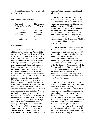A Unit Management Plan was adopted for this area in 2004.

#### **Dix Mountain area statistics:**

| <b>State Lands</b>   | 44,743 Acres                |
|----------------------|-----------------------------|
| Bodies of Water (13) | 93 Acres                    |
| Elevation            |                             |
| (minimum)            | 885 Feet                    |
| (maximum)            | 4,857 Feet                  |
| <b>Foot Trails</b>   | 48 Miles                    |
| Lean-tos             | $\mathcal{D}_{\mathcal{L}}$ |
| Non-conforming Uses: | None                        |

#### **FIVE PONDS**

 This Wilderness is located in the Towns of Fine, Clifton, Colton and Piercefield in St. Lawrence County, the Town of Webb in Herkimer County and the Town of Long Lake in Hamilton County. The lands of this unit are bounded on the north by Cranberry Lake, a portion of the Oswegatchie River, and the road from NYS Route 3 leading to Inlet and private lands; on the northeast by the Cranberry Lake Wild Forest and the southern edge of Otter Brook Road; on the southeast by the 2.4 mile road from the Otter Brook Road to the Lows Upper Dam and the 2.2 mile road from the road to the Lows Upper Dam (providing deeded access to a large inholding on the north shore of Lows Lake owned by the Boy Scouts and private lands) and south across Lows Lake to easement lands near Long Pond and down to and including Bog Lake and Clear Pond; on the south by private lands in the vicinity of Gull Lake, and the Stillwater Reservoir; on the southwest by the Pepperbox Wilderness; and on the west by Watson's East Triangle and Aldrich Pond Wild Forests. In the vicinity of Young's Road in Star Lake the Wild Forest and Wilderness boundary is the Tamarack Creek snowmobile trail and the South Access Trail from Youngs Road. Land south and east of this boundary will be

classified Wilderness upon acquisition of inholdings.

 In 1975, the Oswegatchie River was classified as a wild river by the Wild, Scenic and Recreational Rivers Act, and in 1977 was closed to motorboat use. The fire truck trail that once served High Falls from Wanakena was closed in 1976. Within the former Oswegatchie Primitive Area, approximately 7.2 miles of snowmobile trails were closed and two tent platforms were removed. These actions made the reclassification of the Oswegatchie Primitive Area possible, adding 16,920 acres to the Five Ponds Area.

 The Broadhead Gore was acquired by the State in 1976. Prior to that, this parcel was considered State land from about 1890 to 1947 when the State lost it in a lawsuit brought by the late Augustus Low. The Gore, which contained original growth timber, was logged soon after the lawsuit and was then sold to the Onondaga Council of the Boy Scouts of America. Although the Gore was only about 300 acres in size, it extended from Mud Pond westward a distance of about eight miles, coming to a point in the Wilderness. This acquisition offers significant additional protection to the Five Ponds Wilderness.

 In 1979 the State purchased 15,850 acres in the Towns of Webb and Long Lake, 8,635 acres of which became part of this Wilderness. The remainder of the tract lies on the opposite side of the railroad and the road leading to Partlow Lake which became the Lake Lila Primitive Area. In 2000, approximately 1,340 acres of the Lake Lila Primitive Area lying westerly of the railroad were added to the Five Ponds Wilderness Area. The State accepted the gift of a conservation easement over 6,646 acres of land surrounding Nehasane Lake, as well as fee interest subject to a 50-year estate over 3,664 acres in the vicinity of Gull Lake. This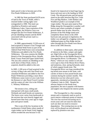latter parcel is due to become part of the Five Ponds Wilderness in 2029.

 In 1982 the State purchased 6,676 acres of land in the Town of Webb, seller's retained timber cutting rights were extinguished in 1990. This land was classified as Primitive and named Wilderness Lakes. Upon expiration of the timber rights, the Primitive Area was merged into the Five Ponds Wilderness. A private inholding remains and the ROW associated with the private road is a Primitive Area.

 In 2000, approximately 13,220 acres of land acquired in Watson's East Triangle and land classified Wild Forest as part of the Aldrich Pond Wild Forest were reclassified Wilderness and added to the Five Ponds Wilderness. This area contains the Middle Branch of the Oswegatchie River, Brindle Pond, Grassy Pond and Upper South Pond. The area also contains an inholding on the north shore of Bear Pond, which, if acquired, should be added to this unit.

In 2005, 1,100 acres of land acquired in the vicinity of Bog Lake and Clear Pond were classified Wilderness and added to the Five Ponds Wilderness providing a more direct Wilderness canoe route to Lows Lake from the Remsen to Lake Placid Travel Corridor and the waters of Lake Lila in the William C. Whitney Wilderness.

 The terrain is low, rolling and interspersed with many small ponds. Wetlands and small brooks are numerous. The forest cover varies from hardwoods in the sections that were heavily logged and burned more than forty years ago to virgin pine and spruce stands.

 This is one of the few locations in the northeastern United States where stands of virgin timber can be found. Early logging efforts avoided the area because it was

found to be impractical to haul huge logs by horse and oxen out to the landing on Wolf Creek. The old growth pine and red spruce stand on the esker between Big Five, Little Five and Big Shallow, Little Shallow and Washbowl ponds is an example of this virgin timber. The pure pine stand at Pine Ridge along the Oswegatchie is another well known spot where examples of original growth timber may be seen. However, portions of the Pine Ridge stand were completely blown down in the 1950 hurricane and, pursuant to legislation, the timber was salvaged by a logging contractor. Additional pines on Pine Ridge and the esker through the Five Ponds were blown down in the 1995 Derecho.

 In addition to these spots, other points of interest to the hiker, camper and angler are: High Falls on the Oswegatchie River; Alder Bed Flow on the Middle Branch of the Oswegatchie River; Cat Mountain; "The Plains," which are very similar in soil and cover type to that of the Moose River Plains; and numerous, clear, spring-fed ponds, most of which support brook trout. The Oswegatchie River was long considered the top brook trout stream in the State, with catches of three to four pound brook trout common during the summer months. This distinction was lost when perch were, apparently, introduced accidentally into Cranberry Lake in 1945. Despite the adverse impacts to the brook trout population, the area is popular with hunters and anglers who frequent the interior ponds.

 The Oswegatchie is a fine canoeing stream and is commonly used as such to reach interior wilderness points of interest. The river has received increasing use in recent years and care must be taken that such use does not result in resource degradation. The existing lean-tos on the river will be phased out and ultimately replaced by primitive tent sites.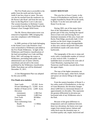The Five Ponds area is accessible to the public from the north and also from the south if one has a boat or canoe. The area can also be reached from the southwest via the Raven Lake Road and from the east, by boat via the Bog River/ Low's Lake tract. The western boundary in Herkimer County is accessible from the Bear Pond Road in the Watson's East Triangle Wild Forest.

 The Mt. Electra observation tower was removed in September 1989, bringing this area into compliance with Wilderness standards

 In 2009, portions of the lands belonging to the former Lows Lake Primitive Area were reclassified to Wilderness and added to the Five Ponds Wilderness. In light of the Wilderness and Primitive classifications of the land surrounding Lows Lake and Bog River, DEC will manage the waters as Wilderness, precluding both public and administrative use of motor vehicles, motorboats and aircraft to the extent prohibited by the Wilderness classification. Public float plane use will be eliminated December 31, 2011.

A Unit Management Plan was adopted for this area in1994.

## **Five Ponds area statistics**:

| <b>State Lands</b>     | 125,363 Acres |  |
|------------------------|---------------|--|
| Private Inholdings (7) | 13,092 Acres  |  |
| Bodies of Water (213)  | 2,699 Acres   |  |
| Elevation              |               |  |
| (minimum)              | 1,386 Feet    |  |
| (maximum)              | 2,489 Feet    |  |
| <b>Foot Trails</b>     | 68 Miles      |  |
| Lean-tos               | 14            |  |
| Non-conforming Uses:   |               |  |
| Roads                  | 1.5 Miles     |  |
| <b>Gravel Pit</b>      |               |  |

#### **GIANT MOUNTAIN**

 This area lies in Essex County, in the Towns of Elizabethtown and Keene, and is roughly bounded by Route 9N on the north; by Route 73 on the west and south; and Route 9 on the east.

 During 1903, one of the major forest fires of the Adirondacks swept over the greater part of this area, burning the topsoil down to bare rock and leaving the two dominant mountains of this area, Giant and Rocky Peak Ridge, practically bald. A few pockets on the lower slopes escaped the intense burn and are easily distinguishable as they now contain old growth white pine and hemlock stands with some mixed hardwoods.

 The topography of the area is steep and rocky with a considerable number of vertical or near vertical cliffs. A number of landslides have occurred on the west side of Giant Mountain, exposing bare rock. Numerous small brooks cascade down from the upper slopes.

 The tops of the higher mountains are still bare rock but aspen, white birch, balsam and spruce are slowly filling in the upper slopes.

 From the eastern boundary of Route 9, a few miles south of Elizabethtown, to the top of Giant Mountain, the elevation changes about 4,000 feet in a horizontal distance of approximately six (6) miles. This represents the greatest differential in elevation per horizontal mile of any Wilderness area in the Park.

 Because of the great difference in temperatures and soil conditions between these two elevations, the forest cover type ranges from stunted spruce, balsam and white birch near the mountain tops, to excellent quality oak, maple, basswood and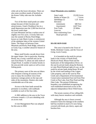white ash at the lower elevations. There are also some excellent stands of hemlock on the Keene Valley side near the AuSable River.

 Two of the three small ponds are rather unique because of their location and attractiveness. Giant's Washbowl lies in a small depression near the 2,300 foot level on the lower south slope of Giant Mountain and has a surface area of slightly over five acres. A lovely little tarn near the summit of Rocky Peak Ridge, known as Lake Marie Louise, is reminiscent of the subalpine lakes of the western United States. The sharp col between Giant Mountain and Rocky Peak Ridge, referred to as Gusty Gap, is another attractive feature of the area.

 Many small brooks cascade down from the upper slopes. One in particular, Roaring Brook, has a scenic waterfall and can be seen from Route 73, about one mile north of Chapel Pond. A number of similar brooks in the area provide scenic spots as well as trout fishing pools.

 The primary users of the area are hikers who frequent it during all seasons of the year to enjoy the excellent views from numerous vantage points on the tops and sides of the mountains. Hunters also make considerable use of the area.

 Access to the State lands around the perimeter is excellent, with trailheads available on each of the four sides.

 A 2002 addition to the area in the Town of Keene created a 1.25 acre inholding with an access road.

 A Unit Management Plan was adopted for this area in 2004.

## **Giant Mountain area statistics:**

| <b>State Lands</b>   | 23,528 Acres |
|----------------------|--------------|
| Bodies of Water (3)  | 7 Acres      |
| Inholdings $(1)$     | 1.25 Acres   |
| Elevation            |              |
| (minimum)            | 580 Feet     |
| (maximum)            | 4,627 Feet   |
| <b>Foot Trails</b>   | 33 Miles     |
| Lean-tos             |              |
| Non-conforming Uses: |              |
| Road (private)       | 0.23 Miles   |

#### **HA-DE-RON-DAH**

 This area is located in the Town of Webb, Herkimer County, and the Town of Greig, Lewis County.

 It is bounded on the north by private lands in the vicinity of North Pond, Hitchcock Pond, Moose Pond and the headwaters of the Independence River; on the east by private lands along the Remsen to Lake Placid Railroad right-of-way; on the south by private lands along Route 28 and by the wood road leading to the Copper Lake property; and on the west by Pine Creek and a Department of Environmental Conservation maintained foot trail from Pine Creek to Pine Lake, East Pine Pond and Big Otter Lake. The present Wilderness boundary was established recognizing the well established motorized access in the adjacent Independence River Wild Forest.

 The terrain consists of low rolling hills with many beaver meadows and wetlands.

 Although the area is forest covered, extensive forest fire damage in the southern half has resulted in much of it now being covered with brush, pin cherry, aspen and bracken fern.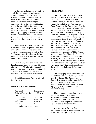In the northern half, a mix of relatively small diameter hardwood and softwood stands predominate. The exceptions are the scattered individual white pine trees just north of the former truck trail which remained following the last logging operations prior to the State acquiring this area in the early l900's. Some of these trees exceed 100 feet in height and are more than 40 inches in diameter. The probable reason they escaped logging operations was that the final cut was for hardwoods. The scattered pines represented insufficient revenue in relation to the logging costs to fell and haul them.

 Public access from the north and south is nearly all blocked by private lands. The same is true for most of the eastern and western boundaries except at the Big Otter Trail entrance near Thendara and the Big Otter Lake road in Independence River Wild Forest from the west.

 The following non-conforming uses have been removed from this area: 6.5 miles of a truck trail, 2.3 miles of snowmobile trails, one fire tower, one observer cabin and 1.8 miles of telephone line. This area now fully complies with Wilderness standards.

 A Unit Management Plan was adopted for this area in 1995.

#### **Ha-De-Ron-Dah area statistics:**

| <b>State Lands</b>   | 25,272 Acres  |
|----------------------|---------------|
| Bodies of Water (41) | 406 Acres     |
| Elevation            |               |
| (minimum)            | 1,437 Feet    |
| (maximum)            | 2,353 Feet    |
| <b>Foot Trails</b>   | 35 Miles      |
| Lean-tos             | $\mathcal{D}$ |
| Non-conforming Uses: | None          |

#### **HIGH PEAKS**

 This is the Park's largest Wilderness area and it is located in three counties and six Towns: the Town of Harrietstown in Franklin County, the Towns of North Elba, Keene, North Hudson and Newcomb in Essex County and the Town of Long Lake in Hamilton County. It is roughly bounded on the north by Route 3, the Pine Pond Road, which runs from Oseetah Lake to Averyville Road, the Adirondack Loj property at Heart Lake, the Mount Van Hoevenberg Intensive Use Area and Route 73 near the Cascade Lakes. Private lands to the west of Route 73 form the eastern boundary. The southern boundary is also formed by private lands, including the Adirondack Mountain Reserve, The Nature Conservancy, NL Industries and Huntington Wildlife Forest, managed by the State University College of Environmental Science and Forestry. Much of these private lands are encumbered by conservation easements held by the State or are held in trust for the People of the State of New York. This Wilderness is bounded on the west by Long Lake and the Raquette River.

 The topography ranges from small areas of low-lying wetland (e.g., along the West Branch of the Ausable, Raquette and Saranac Rivers) to the highest point in New York State at the top of Mount Marcy. Although there is a considerable variety of topography, it is predominantly high mountain country.

 Like the topography, the forest cover also varies. It ranges from young hardwoods, to mature, large diameter hardwood and softwood stands, to the spruce-fir of the subalpine region and the alpine meadows above timberline.

 Forest fires near the turn of the century were intense enough in some locations, such as the Cascade Range, to destroy both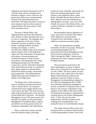vegetation and topsoil, leaving bare rock. It will take many years for enough soil to develop to support a forest. However, the greater part of this area is predominantly forested with mixed hardwoods and softwoods. The higher elevations at and near most mountain tops have thick stands of stunted balsam with some spruce, white birch and yellow birch.

 The tops of Mount Marcy and Algonquin Peak are above the timberline and a number of other mountain tops are at, or close to, timberline. The subalpine and alpine vegetation on the tops of these mountains has been of interest to many people, including students of botany, ecology and zoology, as well as recreationists willing to hike to the mountain tops for superb views of the High Peaks region and close observation of unique plant associations. Overuse threatens the continued existence of some of these associations. The Department has a longstanding partnership with The Nature Conservancy and the Adirondack Mountain Club which places stewards on a number of these alpine summits to educate hikers, interpret the alpine ecology, and monitor plant populations. This partnership has significantly improved conditions on a number of the high peaks.

 The Range Trail, which traverses a series of mountain summits from Keene Vally to Mount Marcy, has long been considered the most rugged and the most scenic trail in the State. This trail traverses eight of the mountain peaks in this area that exceed 4,000 feet in elevation. The Western Management Zone of the area receives substantially less public use than the Eastern Management Zone (Mount Marcy region) and affords one of the greatest senses of remoteness obtainable in the Adirondacks.

 Many crystal-clear streams cascade from the mountain slopes, providing

numerous scenic waterfalls, deep pools and brook trout fishing opportunities. Such streams as the Opalescent River, Johns Brook, Klondike Brook, Marcy Brook, Cold River, Moose Creek and Cold Brook are photographers' favorites. Lake Tear of the Clouds, the source of the Hudson River, lies at about 4,300 feet in altitude on a flank of Mount Marcy.

 Recreationalists find an abundance of scenic spots such as Wanika Falls, Indian Falls, Indian Pass, the Duck Hole, Avalanche Pass, and Panther Gorge, in addition to numerous mountain peaks.

 Hikers and mountaineers probably outnumber all other user groups. Skiing and snowshoeing throughout the area, particularly the Eastern Management Zone, had increased in popularity in the late 1960's through the 1980's. Winter mountaineering and winter camping continue to be highly popular.

 The most heavily used trails in the entire Adirondacks are those to Mount Marcy from Adirondack Loj via Marcy Dam or Lake Colden. The heavy public use near Marcy Dam, Lake Colden and in the John's Brook Valley threatens to destroy the wilderness character of these sections. Management recommendations adopted in the 1999 Unit Management Plan (UMP) have identified appropriate management actions to minimize or eliminate many of the threats to the resource. Subsequent to the adoption of the UMP for this unit in 1999, the Department developed a comprehensive campsite plan for the Eastern Management Zone. To date, this plan has been implemented, with the exception of the camping sites along Meadows Lane (formally known as South Meadows Road).

 The ranger station at Marcy Dam will be phased out in accordance with the policy of achieving peripheral control. Due to the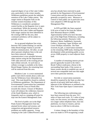expected degree of use of the Lake Colden area, particularly in the winter months, Wilderness guidelines permit the indefinite retention of the Lake Colden station. The ranger station at Raquette Falls on the extreme western boundary of this Wilderness is considered a peripheral control facility as the Raquette river is open to motorboats. While the necessity of the retention of the Lake Colden and Raquette Falls ranger stations has been identified in the existing UMP for the area, their continued usefulness will be subject to periodic review.

 An on-ground telephone line exists between The Garden Parking Lot and the Johns Brook Ranger Station to provide reliable communication. All other, on and above ground, telephone lines in the unit have been removed. Adequate communication is now possible between other stations using the the Departments' VHF radio network or the existing private land cellular network. At such time as cellular coverage is available at the Johns Brook Ranger Station, the remaining lines will be removed from this area.

 Meadows Lane is a town maintained public road which extends about a mile east into the Wilderness from Adirondak Loj road. This road should be closed to conform to Wilderness guidelines. The Department of Environmental Conservation has committed to work with the Town of North Elba towards this closure. Closure of Meadows Lane will enhance the wilderness character of the South Meadows area, which is frequently used as a jumping-off point for trips into the Eastern Management Zone.

 The level of public use in the High Peaks Eastern Management Zone has attained levels where trail erosion, soil compaction and generalized resource problems are readily apparent. Group camping in the Lake Colden/Flowed Lands area has already been restricted in peak periods by the Department of Environmental Conservation and this measure has been generally accepted by users. Measures to control or limit public use in particular areas were adopted in 1999 through the Unit Management Plan

 In l978 and l980, the State acquired 9,3ll acres of land in fee from the Adirondack Mountain Reserve (AMR). Approximately 6,039 acres have become part of the High Peaks Wilderness, including the following summits: Haystack, Little Haystack, Basin, Saddleback, Sawtooth, Gothics, Armstrong, Upper Wolfjaw and Lower Wolfjaw mountains. The State received, by gift, a conservation easement on the remaining AMR lands, limiting future development while permitting public access across AMR property to reach adjacent State land.

 A number of remaining interior private parcels (generally located in the John's Brook Valley) could pose a threat to the surrounding State lands, if the owners or future owners decide to establish any one of several non-compatible land uses that might serve their particular interests.

 Fee title or conservation easements should be acquired by the State on other key parcels of privately held land within or adjacent to this Wilderness as outlined in the New York State Open Space Conservation Plan.

 The following non-conforming uses have been removed from the area: 19.3 miles of State truck trails, 35.1 miles of jeep trails, two fire towers, two observer cabins, two ranger cabins telephone lines, four tent platforms, two lean-to clusters, and ten lean-tos above 3,500 feet in elevation.

 A minor change in the boundary of this area was made in 1979 recognizing a small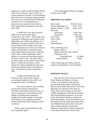segment of a public road near Walton Brook in the Town of Keene. Also in 1979, two sub-lots adjacent to the Mt. Van Hoevenberg Recreation Area consisting of approximately 260 acres were reclassified from Wilderness to Intensive Use in recognition of an improved cross country ski trail that has been mechanically maintained in this area since 1966.

In 2009 New York State acquired 6,806 acres from the Open Space Conservancy, Inc. (OSC). These lands were classified as Wilderness and included in the High Peaks unit. Within this addition are 3 inholdings: one parcel contains a fire tower on the summit of Mt. Adams, the second contains remnants of two fire tower observer cabins, and the third is a shoreline parcel along Upper Preston Pond with a small log cabin. Each of these inholdings will be subject to a conservation easement held by the State of New York. The State holds a purchase option for the Upper Preston Pond parcel. A fourth private parcel, which adjoins the Tahawas/Henderson Lake tract, includes the Masten House on Henderson Lake. This parcel has been retained by OSC.

In light of the Wilderness and Primitive Area classification of lands surrounding Henderson Lake, DEC will manage the waters as Wilderness.

The newly acquired parcel contains several trails already maintained by NYSDEC and includes structures such as a lean-to and pit privy on Henderson Lake, bridges (including cable suspension bridges), historical remnants of old roads, road culverts, water pipelines and other remains found from when mining occurred on the site.

 Public access to the perimeter of the area is generally good.

 A Unit Management Plan was adopted for this area in 1999.

#### **High Peaks area statistics**:

| 203,526 Acres                        |
|--------------------------------------|
| 3,743 Acres                          |
| Bodies of Water (128)<br>2,030 Acres |
|                                      |
| 1,040 Feet                           |
| 5,344 Feet                           |
| 249 Miles                            |
| 52 Miles                             |
| 85                                   |
| $\mathcal{D}_{\mathcal{L}}$          |
|                                      |
| 2                                    |
| (Marcy Dam and Lake Colden)          |
|                                      |
| 4.0 Miles<br>On-ground line*         |
| 1 Mile                               |
|                                      |

\*Non-conforming uses whose removal cannot be scheduled by a fixed deadline.

#### **HOFFMAN NOTCH**

 This area lies in the Towns of Schroon, North Hudson and Minerva in Essex County. It is bounded on the north by private lands lying south of the Boreas Road (County Route 2B) and the Sand Pond Mountain tract donated to the State by Finch, Pruyn and Company for fish and wildlife management, silvicultural research and experimentation purposes; on the east by the Adirondack Northway and private lands immediately west of the Northway; on the south by private lands lying north of the Loch Muller Road; and on the west by the jeep road and trail that extends from Irishtown along Minerva Stream northward to the Boreas Road near Cheney Pond.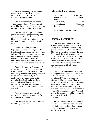The area is mountainous and rugged, dominated by three north-south ridges in excess of 3,000 feet: Blue Ridge, Texas Ridge and Washburn Ridge.

 Sixteen bodies of water are located within the area. Cheney Pond, a former flow created for the purpose of driving logs down the Boreas River, lies adjacent to the area.

 The forest cover ranges from second growth hardwoods saplings to nearly solid conifer stands of near mature size at the higher elevations. On some of the better soil, exceptionally large diameter hardwoods occur.

 Hoffman Mountain, which is the highest point in the area and a part of the Blue Ridge Range, was selected by Town of Schroon officials as a potential ski area, but their proposal was defeated in the 1967 referendum. Subsequent studies by independent experts have revealed that the mountain is not suited for a major ski center.

 Three fairly extensive Department of Environmental Conservation snowmobile trails, totaling 17.5 miles, were removed: one running north to south through Hoffman Notch; one running from Big Pond northward, then eastward; and another extending from Loch Muller northward by Baily Pond to Washburn Ridge. A 2.5-mile jeep trail was also removed, bringing this area fully into compliance with Wilderness standards.

 Public access to the area is easily gained, and its present use comes chiefly from hunters and anglers.

 This area does not yet have an adopted Unit Management Plan.

## **Hoffman Notch area statistics**:

| <b>State Lands</b>   | 38,360 Acres |
|----------------------|--------------|
| Bodies of Water (16) | 177 Acres    |
| Elevation            |              |
| (minimum)            | 900 Feet     |
| (maximum)            | 3,700 Feet   |
| Foot trails          | 15 Miles     |
|                      |              |

Non-conforming Uses: None

### **HURRICANE MOUNTAIN**

 This area is located in the Towns of Elizabethtown, Jay, Keene and Lewis, Essex County. It is predominantly steep, rocky ground with thin soils. Hurricane Mountain, 3,694 feet in elevation, dominates the area. On the north the area is separated from the Jay Wilderness Area by the Jay Mountain Road, a rough road not plowed in the winter. Should the road ever be closed or abandoned, all or a major portion of this area could be consolidated with the Jay Wilderness.

 Spectacular views of Giant Mountain and High Peaks regions to the south, as well as the Champlain Valley and the Green Mountains of Vermont to the east, are afforded the hiker who scales Hurricane. There are three trails to Hurricane Mountain, permitting access by all types of hikers. Hikers can also traverse the fairly open circuit trail from Big Crow Mountain across Weston Mountain, down to Lost Pond and back to the starting point while enjoying the panorama of the High Peaks to the southwest.

 In 2010, 13,948 acres of the area were reclassified as Wilderness from Primitive when 0.5 acres of land associated with the Hurricane Mountain Fire Tower was reclassified to Historic.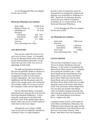A Unit Management Plan was adopted for this area in 2010.

## **Hurricane Mountain area statistics:**

| <b>State Lands</b>        |                             | 13,948 Acres |
|---------------------------|-----------------------------|--------------|
| Bodies of Water (1)       |                             | 7.4 Acres    |
| Inholdings $(2)$          |                             | 41 Acres     |
| Elevation                 |                             |              |
| (minimum)                 |                             | 810 Feet     |
| (maximum)                 | 3,694 Feet                  |              |
| <b>Foot Trails</b>        |                             | 13.7 Miles   |
| Lean-tos                  | $\mathcal{D}_{\mathcal{L}}$ |              |
| Non-conforming Uses: None |                             |              |

#### **JAY MOUNTAIN**

 This area lies within the Towns of Jay and Lewis in Essex County. It is bounded by the Jay Mountain Road on the south and private land boundaries elsewhere, except where the road west of Mt. Fay severs an appendage of State lands.

 The high and precipitous mountains in this area are generally similar in character to the Hurricane Range and require careful management in order to avoid natural resource degradation. The vistas from Jay, Saddleback and Slip Mountains make the climb to the vantage points well worthwhile. The AuSable Valley can be seen as well as the Champlain Valley and the High Peaks.

 The Jay Mountain Road, a seasonally maintained road, separates this area from the Hurricane Mountain Wilderness. A drive along this rough gravel road offers both attractive views of the upland region above Keene Valley and access to lovely stands of white birch on the lower slopes.

 Although this area is below 10,000 acres in size and was originally classified as a Primitive Area, it is large enough to

provide a sense of remoteness and to be maintained in an unimpaired condition and therefore was reclassified as Wilderness in l985. Should the Jay Mountain Road be closed, this area could be extended to encompass all, or a major portion, of the Hurricane Mountain Wilderness..

 A Unit Management Plan was adopted for this area in 2010.

#### **Jay Mountain area statistics:**

| State lands               | 7,896 Acres |
|---------------------------|-------------|
| Elevation                 |             |
| (minimum)                 | 1,420 Feet  |
| (maximum)                 | 3,600 Feet  |
| <b>Foot Trails</b>        | 3 Miles     |
| Non-conforming Uses: None |             |

#### **LITTLE MOOSE**

This area lies in Hamilton County, in the Towns of Arietta, Morehouse and Lake Pleasant. To the north it is bounded by the Moose River Plains Intensive Use Camping Area (along the Limekiln Lake – Cedar River Road) and the South Branch of the Moose River; to the west by the Moose River Plains Wild Forest near the Otter Brook Road; and on the south and east by the Moose River Plains Wild Forest corridor along the routes of the former Otter Brook Truck Trail and former Wilson Ridge Road. The area does not include Little Moose Lake, its boundary looping around the lake and crossing its outlet just west of where the outlet – the South Branch of the Moose River – begins at the lake.

Comprised almost entirely of the slopes of Little Moose and Manbury Mountains, this Wilderness exists between the upper reaches of the South Branch of the Moose River and that river's first major tributary, Otter Brook. Both these rivers are designated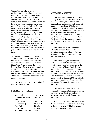"Scenic" rivers. The terrain is predominantly steep and rugged, the only notable areas of exception being some wetland flats in the upper river area of the South Branch of the Moose River. Sly Pond, at an elevation of 2,872 feet above sea level, is more than 1,000 feet higher than nearby Beaver Lake or Icehouse Pond down in the Moose River Plains and is one of the highest water bodies in the Adirondacks. Nearly 800 feet upslope from Sly Pond is the 3,634-feet summit of Little Moose Mountain, the highest point in the area. Some restricted but rewarding views are afforded from a small ledge near the sprucefir forested summit. The spruce-fir forest here, which also encompasses the higher elevations of nearby Manbury Mountain, is potential breeding habitat for the Bicknell's thrush.

While the entire perimeter of the area is accessible via either the Forest Preserve road network of the Moose River Plains or the mountain bike trail of the Moose River Plains Wild Forest corridor, the South Branch of the Moose River on the north and west lacks foot bridges and can be challenging to cross, and no foot trails lead into the area from the corridor. Public use of this area is low and the opportunities for solitude very high.

This area does not yet have an adopted Unit Management Plan.

#### **Little Moose area statistics:**

| <b>State Lands</b>   | 12,258 Acres |
|----------------------|--------------|
| Bodies of Water (2)  | 24 Acres     |
| Elevation            |              |
| (minimum)            | 1,840 Feet   |
| (maximum)            | 3,634 Feet   |
| <b>Foot Trails</b>   | 4.6 Miles    |
| <b>Horse Trails</b>  | 3.3 Miles    |
| Non-conforming Uses: | None         |

#### **MCKENZIE MOUNTAIN**

 This area is located in western Essex County in the Towns of St. Armand, North Elba and Wilmington. In general, the Saranac River and Franklin Falls Reservoir border on the north; the Wilmington-Franklin Falls Road, the Whiteface Mountain Memorial Highway and the west branch of the AuSable River form the eastern boundary; the Saranac Lake-Lake Placid Road, Route 86 between Lake Placid and Ray Brook, forms the southern boundary; and the Saranac River forms the western boundary.

 McKenzie Mountain, sometimes referred to as Saddleback, and Moose Mountain, sometimes called St. Armand Mountain, are the dominant topographical features of the area.

 McKenzie Pond, from which the Village of Saranac Lake obtains its water supply, forms part of the boundary on the west side as does Moose Pond However, few ponds are fully encompassed within the boundaries of this area. Bartlett Pond, lying at about 2,800 feet altitude on the southeast side of McKenzie Mountain, and Loch Bonnie which is at about 2,900 feet altitude on the southeast side of Moose Mountain, are completely within the Wilderness boundary.

 The area is densely forested with softwoods. Spruce and balsam dominate the forests above the 2,500 feet and mixed hardwoods and softwoods dominate the lower elevations.

 During the 1950 hurricane, heavy blow down occurred in a number of spots, chiefly in the saddle between Whiteface Mountain and Mount Alton to the west.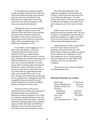In the legislatively authorized timber salvage operation conducted after 1950, log roads were bulldozed along Lincoln Brook from the north and at the head of Lake Placid from the south. Most of these log roads have now become overgrown with dense, second growth hardwoods.

 Although the area is in close proximity to the Villages of Saranac Lake on the southwest and Lake Placid on the southeast, the interior has retained its wilderness atmosphere. This is due to the steep and rugged terrain which effectively prevented motor vehicle penetration prior to its Wilderness designation in 1972.

 In the 1800's, when logging was at its peak in the Adirondacks, a road was constructed from the vicinity of the Whiteface Toll Gate southwestward following the 2,400 foot contour for several miles along the side of Esther Mountain and Whiteface Mountain. The road was well built, with culverts and ditches, for horsedrawn sleds to transport logs to the head of Red Brook, where a small pool of water, known as Lake Stevens, formed the start of a log flume that ran approximately three miles to the Ausable River. Once at the river, the logs were floated down to the pulp mill in Ausable Forks. Although the old road is gradually being reclaimed by second growth hardwoods, its location will likely remain in evidence for many years.

 The attractiveness of the area is enhanced by the excellent views that may be obtained from the top of McKenzie Mountain and Moose Mountain. Also, there are numerous spring-fed brooks in the area. Lincoln Brook and French Brook, with their tributaries originating high on the northwest slopes of Esther Mountain and Whiteface Mountain, are crystal clear trout streams with many scenic spots along their courses.

 The Adirondack Mountain Club originally maintained a foot trail from the vicinity of Wolf Pond near Route 86 to the top of McKenzie Mountain. To avoid private land conflicts, the trail was relocated in 1984 and now begins at the pull-off east of the Saranac Lake Golf Course on Route 86.

 Public access to the area is relatively good from all but the northern side. The area is used to a considerable extent by hikers to climb the mountains, by anglers to try their luck in the small brooks and by hunters chiefly during the big game season.

 Approximately six miles of snowmobile trails have been closed and four tent platforms removed from this area. The former drive-in theater site adjacent to Route 86 was added to this Wilderness in 1979. After temporary use as a vehicle parking area and storage area for the 1980 Winter Olympics, this area was allowed to revegetate.

 This area does not yet have an adopted Unit Management Plan.

#### **McKenzie Mountain area statistics**:

| <b>State Lands</b>     | 37,220 Acres |
|------------------------|--------------|
| Private Inholdings (1) | 184 Acres    |
| Bodies of Water (12)   | 74 Acres     |
| Elevation              |              |
| (minimum)              | 1,320 Feet   |
| (maximum)              | 4,869 Feet   |
| <b>Foot Trails</b>     | 18.4 Miles   |
| Lean-tos               |              |
| Non-conforming Uses:   | None         |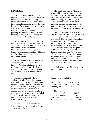#### **PEPPERBOX**

 The Pepperbox Wilderness lies within the Town of Webb in Herkimer County and the Town of Watson, Lewis County. Stillwater Reservoir and the Beaver River form the southern boundary, while the north bank of the West Branch of the Oswegatchie River generally forms the northern boundary. The western boundary is primarily the county line, and the eastern boundary is the Raven Lake Road Primitive Area and the Five Ponds Wilderness Area.

 In 2000, approximately 7,935 acres of lands classified Wild Forest were classified Wilderness and added to this unit. This area included the West Branch of the Oswegatchie River, Tied Lake, and Buck Pond. There are three inholdings within this area that, if ever acquired, should be included in this unit.

 In 2006, the State acquired the gravel extraction rights in the Beaver River Primitive Area, thus eliminating the nonconforming use of that area. The Beaver River Primitive Area has been reclassified as Wilderness and added to the Pepperbox area.

 The terrain is generally flat with a few small, rolling hills. Wetlands predominate along with spruce, fir and red maple. Alder thickets, marsh and beaver flows are also common. The drier sites are vegetated with northern hardwoods. The entire area appears to have been heavily burned over and logged in the past and is not particularly scenic by usual standards. It is, however, ideally suited for snowshoeing and crosscountry skiing.

 Several ponds are found in the area. They are generally of low productivity and some may even be sterile.

 The area is classified as Wilderness because of its remoteness and its extensive wetland ecosystems. The flora and fauna associated with wetland ecosystems, such as found in the Pepperbox, exhibit great species diversity. Bird life and small mammals are especially abundant and the protection afforded Wilderness will ensure this areas significant biological importance.

 The remnant of the deserted Beaver Lake Mountain fire tower has been removed and the rough road, 2.5 miles in length, has been closed. There is very little use of the area at present, except for some light hunting. Access is moderately difficult because of the distance from public roads and the lack of a trail system except for the trail to Jakes Pond in a portion of the area that was reclassified from Wild Forest to Wilderness in 2000. There is little or no demand for a trail system and this offers an opportunity to retain a portion of the Adirondack landscape in a state that even a purist might call Wilderness.

 A Unit Management Plan was adopted for this area in 1985.

#### **Pepperbox area statistics**:

| <b>State Lands</b><br>Bodies of Water (59)<br>Inholdings $(3)$ | 23,816 Acres<br>549 Acres<br>594 Acres |
|----------------------------------------------------------------|----------------------------------------|
| Elevation                                                      |                                        |
| (minimum)                                                      | 1,360 Feet                             |
| (maximum)                                                      | 2,168 Feet                             |
| <b>Foot Trails</b>                                             | 2.0 Miles                              |
| Non-conforming Uses:                                           | <b>Utility ROW</b>                     |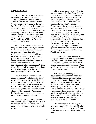## **PHARAOH LAKE**

 The Pharaoh Lake Wilderness Area is located in the Towns of Schroon and Ticonderoga in Essex County and in the Towns of Horicon and Hague in Warren County. The area is bounded on the west by East Shore Road and private land; north by Route 74, the great lot line between Eagle and Pyramid Lakes and private land; east by Bald Ledge Primitive Area, Putnam Pond Public Campground and private land; and south by Route 8 and private land. Part of the Pharaoh Lake Wilderness Area lies within the Lake George Park.

 Pharaoh Lake, an extremely attractive body of water, is one of the largest lakes in the Adirondack Park totally surrounded by forest preserve lands. Due to its configuration, it can provide a wilderness experience to relatively large numbers of people. In addition, the numerous crystal-clear ponds, vistas resulting from rock outcrops and severe fires, and intriguing geographic names such as Grizzle Ocean, Thunderbolt Mountain, Oxshoe Pond and Desolate Brook, make this one of the most appealing of all Adirondack areas.

 Fires have burned over most of the region in the past. Coupled with the relative dryness of the area, there is a proliferation of conifers mixed with some white birch. The white pine-white birch mixture along the shores of several of the lakes and ponds adds immeasurably to their attractiveness. Stands of some of the best quality Adirondack hardwoods exist in the cove-like pockets of the unburned area in the northeast.

 Pharaoh Mountain is the only mountain of significant size, although the smaller hills have very steep sides and cliffs, presenting more of an impression of relief than actually exists.

 This area was expanded in 1979 by the reclassification of the Crane Pond Primitive Area to Wilderness, with the exception of the right-of-way Crane Pond Road. The 3.5 miles snowmobile trail leading from Route 74 to the Crane Pond Road, was closed in 1975 by the Department of Environmental Conservation, making this reclassification possible. On December 4, 1989, Environmental Conservation Commissioner Jorling issued an order pursuant to Highway Law 212 closing Crane Pond Road. The closure order was subsequently upheld in State Supreme Court and the Appellate Division, Third Department. The Department and the Agency will work together with local government officials and others to resolve continuing public use issues in the Crane Pond Road corridor.

 In 2007, the State acquired a 101 acre parcel along the eastern boundary of the area. This acquisition extinguished a rightof-way, enabling an adjacent parcel of 210 acres to be reclassified from Primitive Area to Wilderness, thus extinguishing the Hague Brook Primitive Area.

 Because of the proximity to the Adirondack Northway and the population pressures of the Capital District, the thin soils left on the burned slopes, and the relatively small size of the Pharaoh Lake Wilderness, restrictive management is necessary to protect the resources in this area. In addition to peripheral control, called for in the guidelines, increasing levels of public use and associated resource impacts indicate that limitations on public access will be required to protect the fragile character of the area in the future.

 The following non-conforming uses have been removed from the area: 8.5 miles of jeep trails, 5.3 miles of snowmobile trails, a fire tower, an observer cabin and telephone lines.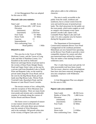A Unit Management Plan was adopted for this area in 1992.

## **Pharaoh Lake area statistics**:

| State Land                       | 44,588 Acres |  |
|----------------------------------|--------------|--|
| Bodies of Water (49) 1,587 Acres |              |  |
| Elevation                        |              |  |
| (minimum)                        | 820 Feet     |  |
| (maximum)                        | 2,556 Feet   |  |
| <b>Foot Trails</b>               | 63 Miles     |  |
| Horse Trails                     | 14 Miles     |  |
| Lean-tos                         | 13           |  |
| Impoundments                     | 1            |  |
| Non-conforming Uses:             |              |  |
| Road (public)                    | 1 Mile       |  |
|                                  |              |  |

## **PIGEON LAKE**

 This area lies in the Town of Webb, Herkimer County, and the Towns of Long Lake and Inlet in Hamilton County. It is bounded on the north by Stillwater Reservoir and large blocks of private land in the vicinity of Rose Pond, Shingle Shanty Pond and Upper Sister Lake; on the east by a private road from Brandreth Lake to North Point and Raquette Lake; on the south by private lands along the Uncas Road; and on the west by the Big Moose Road, private lands near Big Moose Lake, Thirsty Pond, Twitchell Lake, Razorback Pond, and the Remsen to Lake Placid Travel Corridor.

 The terrain consists of low, rolling hills, with the exception of West Mountain near the eastern boundary. There are many brook trout ponds and streams and a considerable expanse of wetlands along the courses of Sucker Brook and Beaver Brook.

 The forest cover is composed of mature or near-mature mixed softwoods and hardwoods, with some dense spruce-balsam near the summit of West Mountain and in the wetlands. Old growth white pine in the vicinity of Pigeon Lake and a few

other places adds to the wilderness character.

 The area is easily accessible to the public from the south, southeast and southwest, but to a lesser extent from the west and north because of posted private lands. The chief attractions for the public are the trout ponds, which entice anglers as well as campers who frequent scenic spots around Cascade Lake, Queer Lake, Constable Pond, Pigeon Lake and Gull Lake. It is also a popular area for hunters during the big game season.

 The Department of Environmental Conservation maintains Brown Tract Pond Campground on the southeast perimeter. Motorboats are now banned from operating on the Brown Tract Ponds to provide a more compatible situation for canoes and other non-motorized boats utilized by campers. This site makes a fine starting location for wilderness users.

 The 1.5 mile State truck trail and the 3.8 mile snowmobile trail have been closed. The fire tower, observer cabin and telephone lines have also been removed, bringing this area into compliance with Wilderness standards.

 A Unit Management Plan was adopted for this area in 1992.

### **Pigeon Lake area statistics**:

| <b>State Lands</b>   | 48,358 Acres |
|----------------------|--------------|
| Bodies of Water (78) | 1,468 Acres  |
| Elevation            |              |
| (minimum)            | 1,686 Feet   |
| (maximum)            | 2,928 Feet   |
| <b>Foot Trails</b>   | 42 Miles     |
| Lean-tos             | 5            |
| Horse trails         | 1.6 Miles    |
| Non-conforming Uses: | None         |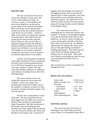#### **ROUND LAKE**

The area is located in the Town of Long Lake, Hamilton County and in the Towns of Piercefield and Colton, St. Lawrence County. It is bounded on the north by the Bog River; on the east by private lands; on the south by the Sabattis Road; and on the west by the privatelyowned Loon Pond tract and the Remsen to Lake Placid Travel Corridor. Created in 2006, as the result of re-classifying a portion of the Horseshoe Lake Wild Forest and classifying the more recently acquired Round Lake tract, this area provides an important linkage between the William C. Whitney Wilderness and the Eastern Five Ponds Access Primitive Area to the north. This linkage serves to protect important ecological connections as well as primitive recreational opportunities for the public.

Portions of the Bog River and Round Lake Outlet classified as Scenic according to the Wild, Scenic and Recreational Rivers Act of 1975 flow through the area. Round Lake and a number of ponds with large, associated wetland complexes are important water features, including Trout, Little Trout and High Ponds.

The terrain consists of low and rolling hills interlaced with streams and wetlands. Forest cover ranges from predominately moist beech-maple cover in the uplands to complexes of spruce-fir flats, evergreen wetlands and shrub swamps in the lower lying areas.

Round Lake is impounded by a manmade dam. The area around the lake has been logged since the 1800's first as part of Whitney Park and later by International Paper Corporation. This lake formed part of the historic route for floating logs that traveled from Little Tupper Lake into Round Lake, then down the Round Lake Outlet and Bog River into Tupper Lake. A network of

logging roads and landings are evidence of the logging activities that occurred on the property prior to State acquisition. The roads also provided access to hunting clubs that leased the property. The cabins built by the clubs have been removed from the property, along with storage facilities and the Sabattis Forest Ranger Station.

This same route now offers a challenging trip for advanced canoeists and kayakers. It features a run through the gorge cut by the Round Lake Outlet down to the Bog River, as well as a series of rapids and carries around rapids and falls on the Bog River below the Lower Dam. In addition to opportunities for boating, the waters of the area provide good fishing and primitive camping opportunities. Foot trails from the Lower Dam and Sabattis Road provide hiking access to Trout Pond. These trails were closed to snowmobile use after the area was reclassified from Wild Forest to Wilderness.

This area does not yet have an adopted Unit Management Plan.

## **Round Lake area statistics:**

| <b>State Lands</b>   | 10,356 Acres |
|----------------------|--------------|
| Bodies of Water (15) | 1,020 Acres  |
| Elevation            |              |
| (minimum)            | 1,575 Feet   |
| (maximum)            | 2,277 Feet   |
| Trails               | 2 Miles      |
| Impoundments         |              |
| Non-conforming uses: | None         |

## **SENTINEL RANGE**

 This area is located in the Towns of Wilmington, Jay, North Elba and Keene, Essex County. It is bounded by Route 86 on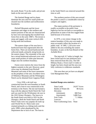the north; Route 73 on the south; and private lands on the east and west.

 The Sentinel Range and its slopes dominate the area and five small ponds are situated near the northern and northwestern boundaries.

 Pitchoff Mountain and the lower mountains and ridges in the northern and eastern portions of the unit are characterized by bare rock outcropping that resulted from forest fires in the early 1900's. The terrain is steep and rugged, with some vertical cliffs facing north and northeast.

 The eastern slopes of the area have a hardwood forest that regenerated after the forest fires. There are mixed hardwood and softwood stands, primarily along brooks on the eastern slopes. The remainder of the area has a mixed hardwood-softwood cover with some small pockets of white pine between ledges near the northern boundary.

 Forest cover restricts the views from the highest summits in the unit. However, good views may be obtained from Pitchoff Mountain and some of the lower mountains on the periphery of the unit. Excellent views of Whiteface Mountain and the Wilmington Notch can be obtained from Copperas Pond.

 Circa 1930, a ski trail was constructed from the west boundary to South Notch, and a lean-to was constructed at the terminus in the Notch. The ski trail formed a loop with the adjacent North Notch Ski Trail and was used for the 50 kilometer ski race in the 1932 Winter Olympics. The lean-to in the South Notch was built in 1931 for the Olympics. Both the South Notch and North Notch Trails were very popular ski trails up until World War II. These trails were retained primarily as a hiking trails until the early 1990's when abandoned by the Department due to lack of use. The lean-to

in the South Notch was removed around this time as well.

 The northern portion of this area around the ponds is used to a considerable extent by campers and anglers.

 The major portion of the perimeter is readily accessible to the public from highways but has not been as susceptible to penetration as some of the less rugged State land because of its terrain.

 In 1979, a very minor change in the eastern boundary of this area was made to more accurately reflect the location of a public road. In 1985, 1,120 acres were added to the area extending the eastern boundary, in part, to the East Branch of the AuSable River.

 The jeep trail, 0.7 miles in length, has been closed and two tent platforms have been removed from this area. The Old Military Road, a Town road 3.5 miles in length, has been closed and the area now fully conforms to wilderness standards.

This area does not yet have an adopted Unit Management Plan.

#### **Sentinel Range area statistics**:

| <b>State Lands</b>        | 24,017 Acres |
|---------------------------|--------------|
| Bodies of Water (9)       | 88 Acres     |
| Elevation                 |              |
| (minimum)                 | 660 Feet     |
| (maximum)                 | 3,880 Feet   |
| <b>Foot Trails</b>        | 7.1 Miles    |
| Lean-tos                  |              |
| Non-Conforming Uses: None |              |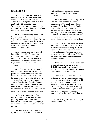#### **SIAMESE PONDS**

 The Siamese Ponds area is located in the Towns of Lake Pleasant, Wells and Indian Lake in Hamilton County and the Towns of Johnsburg and Thurman in Warren County. It is one of the largest Wilderness areas, extending about 23 miles from north to south and about 17 miles from east to west at its widest part.

 It is roughly bounded by Route 28 on the north; by private land tracts near Thirteenth Lake, Gore Mountain and Bakers Mills and Route 8 on the east; by Route 8 on the south; and by Route 8, Speculator Tree Farm conservation easement lands and Indian Lake on the west.

 The topography consists of relatively low rolling hills with a few mountain summits above the 3,000 foot level, including Bullhead, Eleventh, Puffer and South Pond. In addition, the area contains a large number of beaver meadows and wetlands.

 Most of the area was heavily logged nearly a century ago and some sections, particularly in the southeastern part, were burned over in forest fires. Much of the forest cover has been re-established and in some locations there are excellent quality stands of both hardwoods and softwoods. On most of the higher elevations, except those in severely burned spots, spruce and fir predominate, while mixed hardwoods and softwoods cover the remainder of the area.

 This large block of State land is unbroken by public roads and has been generally protected from wheeled motor vehicle use. Old roads from logging days, most of which have been brushed in, are still evident.

 This area has an approximately 33 square mile trail-less area in its southern

region which provides users a unique opportunity to experience a remote experience.

 The area is known for its lovely natural features. Some of the more popular attractions are: Thirteenth Lake, Chimney Mountain, Puffer Pond, Siamese Ponds, Auger Falls on the West Branch of the Sacandaga River, the East Branch of the Sagandaga River, and John Pond. Chimney Mountain has ice caves that usually retain snow and ice through the summer months and provide an interesting spot for visitors.

 Some of the unique streams and water bodies in this area are tannic and tea-like in color as a result of surrounding vegetative material, while others are crystal clear. Water bodies range from stagnant ponds and seasonal vernal ponds to swift-flowing waters such as County Line and Peaked Mountain Brooks.

 Thirteenth Lake has a small sand beach at the northern end that makes a very desirable spot for picnics, bathing, boating and camping. Additional desirable camping spots can be found around this lake,

 A portion of the eastern shoreline of Indian Lake, formerly classified as Intensive Use, has been reclassified and added to this Wilderness. A very minor change in the western boundary of this area was made in 1979, resulting in the creation of the Dug Mountain Primitive Area, a legal, private right-of-way separating it from the remainder of the Siamese Ponds Wilderness.

A Unit Management Plan was adopted for this area in 2005.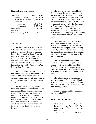#### **Siamese Ponds area statistics**:

| <b>State Lands</b>     | 113,176 Acres |
|------------------------|---------------|
| Private Inholdings (2) | 141 Acres     |
| Bodies of Water (88)   | 1,084 Acres   |
| Elevation              |               |
| (minimum)              | 1,048 Feet    |
| (maximum)              | 3,472 Feet    |
| <b>Foot Trails</b>     | 61 Miles      |
| Lean-tos               | 5             |
| Non-conforming Uses:   | None          |

## **SILVER LAKE**

 This area is located in the Towns of Lake Pleasant, Benson, Hope, Wells and Arietta in Hamilton County. It is roughly bounded on the north by Route 8 and private lands near Piseco Lake, Oxbow Lake, Hamilton Lake, Sand Lake and Lake Pleasant; on the east by Route 30; on the south generally by the Hamilton County line; and on the west by Route 10, the West Branch of the Sacandaga.

 The terrain is relatively low with rolling hills and only four mountain summits that exceed 3,000 feet elevation. There is considerable acreage of coniferous wetland as well as some beaver meadows along the streams.

 The forest cover is chiefly mixed hardwoods and softwoods with some nearly pure stands of large diameter hemlocks . Although the entire area was logged at some time in the past, much of the standing timber, both hardwoods and softwoods, is now at or near maturity. In the wetland area along streams as well as the higher elevations around the mountain tops, the forest cover is predominantly spruce and balsam.

 The famous Northville-Lake Placid Trail runs from the southern edge of the area through its center in a northerly direction, crossing the northern boundary near Piseco Lake. This trail was established by the Adirondack Mountain Club in 1922, but was subsequently taken over by the Department of Environmental Conservation for marking and maintenance. Two steel suspension bridges are on this trail, one crosses the West Branch of the Sagandaga River and the second crosses the Hamilton Lake Stream Outlet.

 Silver Lake is the principal attraction near the center of this area, chiefly for brook trout anglers. Mud Lake, Rock Lake and Canary Pond are also popular trout fishing spots. Big Eddy on the West Branch of the Sacandaga River also attracts visitors to the area. Hunters frequent the area during the big game season.

 The perimeter of the area is quite accessible to the public except for a few parcels of private, posted land. In 1979 Great Lot 121, consisting of approximately 200 acres, was re-classified from Wilderness to become the Cathead Mountain Primitive Area.

 The following non-conforming uses have been removed from the area: 12 miles of jeep trails, 1.3 miles of snowmobile trails, one fire tower, two observer cabins and five miles of telephone lines.

 A Unit Management Plan was adopted for this area in 2006.

#### **Silver Lake area statistics**:

| <b>State Lands</b>     | 107,731 Acres |
|------------------------|---------------|
| Private Inholdings (5) | 1,748 Acres   |
| Bodies of Water (55)   | 575 Acres     |
| Elevation              |               |
| (minimum)              | 807 Feet      |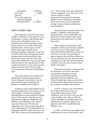| (maximum)                 | 3,250 Feet    |
|---------------------------|---------------|
| <b>Foot Trails</b>        | 21 Miles      |
| Lean-tos                  | 3             |
| Non-conforming Uses:      |               |
| <b>Suspension Bridges</b> | $\mathcal{D}$ |
| Powerline ROW             | 0.2 Miles     |

## **WEST CANADA LAKE**

 This Wilderness is located in the Town of Ohio in Herkimer County and the Towns of Morehouse, Arietta, Lake Pleasant and Indian Lake in Hamilton County. It is bounded on the north by the Moose River Plains Wild Forest area and conservation easement lands in the vicinity of Little Moose Lake, Squaw Brook, Snowy Mountain and Squaw Mountain; on the east by Route 30, Perkins Clearing conservation easement lands and the Northville-Lake Placid trail; on the south by lands of the Jessup River Wild Forest Area, private lands north of Route 8, the South Branch of West Canada Creek and an access road to private lands; and on the west by West Canada Creek and private lands east of Honnedaga Lake.

 The terrain ranges from wetlands and rolling hills to steep mountains such as Snowy Mountain. Water drains from the area into three major watersheds: the Hudson, the Mohawk and the Black.

 Among the area's chief attributes are its numerous ponds, lakes and streams, most of which support a brook trout population. Although there are many good trout fishing waters in this area, the ones that are most frequented by anglers are Big Rock Lake, Whitney Lake, Phillsbury Lake, Spruce Lake and Cedar Lake. The river area originating at the source of the Indian River to the South Branch of the Moose River is a designated Wild River under the New York State Wild, Scenic and Recreational Rivers

Act. West Canada Creek and Cedar River are also designated rivers. The forest cover consists chiefly of mixed hardwood-softwood species with large diameter trees of both types on the more fertile soils. There is also considerable acreage of spruce-balsam wetlands and beaver meadows.

 Among the spots that attract hikers and campers, in addition to the previously mentioned lakes, are the Northville-Lake Placid Trail, West Canada Creek, Snowy Mountain and the eastern shore of Cedar River Flow.

 Many campers from the three public campsites on Piseco Lake and the campsites at Lewey Lake, as well as those in the Moose River Plains Wild Forest, utilize the foot trails in the area to reach points of special interest. Since the Moose River tract was purchased by the State, there has been increased use of the foot trail from that area to Brook Trout Lake and vicinity by both hunters and anglers.

 Enforcement problems, stemming from the remoteness of the area, have been encountered in attempts to prevent snowmobile and all-terrain vehicle penetration into the Wilderness area. Physical barriers have been erected within the Moose River Plains Wild Forest Area at key locations to diminish this problem.

 In 1979, a 700-acre tract of the Moose River Plains Wild Forest Area was reclassified to become part of this Wilderness. This tract lies to the west and south of Indian Lake. Also in 1979, the western boundary was modified due to the identification of a private right-of-way adjacent to the West Canada Mountain Primitive Area.

 In 1984, 14,458 acres were added to the Wilderness as a result of the Perkins Clear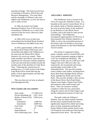ing land exchange. This land was previously classified as Primitive, Wild Forest and Resource Management. Five more lakes and the remainder of Whitney Lake were added to the Wilderness, as were one lean-to and 11 miles of trail.

 In 1985, the former Fort Noble Mountain Primitive Area of 450 acres was reclassified to Wilderness as a result of the removal of the fire tower, observers cabin and phone line.

 In 1994, 9,925 acres of land were reclassified from the Buell Brook Primitive Area to Wilderness and added to this area.

 In 2010, approximately 2,398 acres of the Moose River Plains Wild Forest were reclassified and added to the Wilderness at the same time the Moose River Plains Intensive Use Area was created. These lands included Little Moose Lake and some significant low-elevation wetland complexes in the east and north that extends toward and include some of the shoreline of Cedar River Flow. Following the construction of a parking area, a 2.3 mile section of the Indian Lake Road will be closed allowing the public to drive approximately one half mile from Squaw Lake.

 This area does not yet have an adopted Unit Management Plan.

## **West Canada Lake area statistics**:

| <b>State Lands</b>                | 171,308 Acres |
|-----------------------------------|---------------|
| Private Inholdings (4)            | 2,027 Acres   |
| Bodies of Water (163) 2,928 Acres |               |
| Elevation                         |               |
| (minimum)                         | 1,390 Feet    |
| (maximum)                         | 3,899 Feet    |
| <b>Foot Trails</b>                | 67.2 Miles    |
| Lean-tos                          | 16            |
| Impoundments                      | 1             |
| Non-conforming Uses:              | None          |

## **WILLIAM C. WHITNEY**

 This Wilderness Area is located in the Town of Long Lake, Hamilton County. It is bounded on the east by County Route 10; on the south by lands of Whitney Industries; on the west by private lands; on the northwest by the Remsen to Lake Placid Travel Corridor; and on the north by other private land holdings. This Wilderness encompasses approximately 14,700 acres of land acquired from Whitney Industries in 1998, as well as the reclassified portions of the former Lake Lila Primitive Area lying south of the Remsen to Lake Placid Railroad Travel Corridor.

 The terrain is comprised of lakes, ponds, wetlands, and low forested hills with a few modest mountains ranging as high as 2,297 foot Antediluvian Mountain. The centerpieces of this area are 2,300 acre Little Tupper Lake and 1,400 acre Lake Lila, respectively, the seventeenth and twentysecond largest water bodies in the Adirondack Park. The area also includes twelve smaller water bodies, including Rock Pond, Bum Pond, Hardigan Pond, Doctors Pond, Antediluvian Pond, and Lily Pad Pond. The area also includes a short section of the Beaver River, Rock Pond Outlet, Salmon Lake Outlet, Charley Pond Outlet, and numerous other small streams and flows. There are extensive wetland complexes within the area, particularly along the western end of Little Tupper Lake and the southeastern portions of Lake Lila.

 The lands within the William C. Whitney Area are almost entirely forested, but the newly acquired lands have been significantly impacted by timber harvesting (prior to State acquisition) and both the former Whitney lands and the former Lake Lila Primitive Area lands have been heavily impacted by blow down. The area falls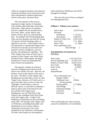within an ecological transition zone between temperate deciduous forest and boreal forest and is dominated by northern hardwoods, mixed woods, pine, and spruce flats.

 The vast expanses of the area are important to larger species of mammals, most notably white-tailed deer, black bear, and moose. Other species of mammals known to inhabit the area include beaver, river otter, fisher, coyote, bobcat, pine marten, red fox, gray fox, and snowshoe hare. According to the NYS Breeding Bird Atlas, the area abounds with bird life, listing 125 species of birds breeding within, or adjacent to, the area. Little Tupper Lake is the natal home to a genetically unique strain of brook trout that has proven itself to be superior in terms of longevity, survival, growth, and reproductive capability. The Little Tupper Lake strain of brook trout is present in Little Tupper Lake, Rock Pond, and Bum Pond. Unfortunately, the illegal introduction of bass has diminished the native brook trout population.

 The property contains an extensive network of logging roads which provide prime cross-country ski trails. However, the primary access to the interior of this area is by water. The DEC's Little Tupper Lake Headquarters provides direct access to Little Tupper Lake, whereas a 0.25 mile carry to a put-in provides canoe access to Lake Lila. Although it would require a series of difficult carries, it is possible to undertake a point-to-point canoe route between Lake Lila and the Little Tupper Lake Headquarters via Lily Pad Pond, Little Salmon Lake, Hardigan Pond, Rock Pond, and Little Tupper Lake. In light of the Wilderness classification of the surrounding lands, DEC will manage Little Tupper Lake as Wilderness, precluding both public and administrative use of motor vehicles, motorboats and aircraft to the extent prohibited by the Wilderness classification. All other water bodies are surrounded by

lands classified as Wilderness and will be managed accordingly.

 This area does not yet have an adopted Unit Management Plan.

## **William C. Whitney area statistics**:

| 13,678 Acres         |
|----------------------|
|                      |
| 1,713 Feet           |
| 2,280 Feet           |
| 4,234 Acres          |
| 17.4 Miles           |
| 4.2 Miles            |
| Non-conforming Uses: |
| Steele Bridge        |
|                      |

## **WILDERNESS STATISTICAL TOTALS:**

| 1,122,319 Acres |
|-----------------|
| 21,530 Acres    |
| 19,295 Acres    |
| 780 Miles       |
| 75 Miles        |
| 151             |
| $\overline{5}$  |
|                 |

| Non-conforming Uses:     |                       |
|--------------------------|-----------------------|
| Ranger Cabins*           | $\mathcal{D}_{\cdot}$ |
| <b>Telephone Lines</b>   | 4 Miles               |
| (on the ground)          |                       |
| Roads (public)           | 2.73 Miles            |
| <b>Steel Bridge</b>      |                       |
| <b>Suspension Bridge</b> | 1                     |
| <b>Gravel Pit</b>        |                       |
| Powerline                | 0.6 Miles             |
|                          |                       |

\*Non-conforming uses whose removal cannot be scheduled by a fixed deadline.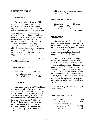# **PRIMITIVE AREAS**

#### **ALDER CREEK**

 This area lies in the Town of Webb, Herkimer County and consists of a right-ofway to an inholding of private land in the Pepperbox Wilderness. Should problems with motorized trespass on wilderness lands develop, this primitive corridor should be gated at the State land boundary and its use limited to private access. While the inholder has used this right-of-way as access, the legal status of this right-of-way is unclear. At such time as the inholding may be acquired, or at such time as the Department of Environmental Conservation determines that there is no legal right-of-way, this Primitive Area should be added to the Pepperbox Wilderness Area.

 This area does not yet have an adopted Unit Management Plan.

## **Alder Creek area statistics**:

| <b>State Lands</b>   | 23 Acres  |
|----------------------|-----------|
| Non-conforming Uses: |           |
| Roads (private) $*$  | 1.9 Miles |

## **ALICE BROOK**

This area is located in the Town of Fine and consists of a fifty-foot wide corridor, which includes a snowmobile trail that cuts across the top of the Five Ponds Wilderness Area between the Youngs Road in Star Lake and the Inlet Road adjacent to Wanakena on the former Sternberg and Post Henderson Roads. Efforts should be made to relocate this important trail in the St. Lawrence County snowmobile trail system so that this area can become part of the Wilderness Area.

This area does not yet have an adopted Unit Management Plan.

#### **Alice Brook area statistics**:

| <b>State Lands</b>   | 21 Acres  |
|----------------------|-----------|
| Non-conforming Uses: |           |
| Snowmobile Trails    |           |
| $(public)*$          | 3.5 Miles |

#### **AMPERSAND**

 This area consists of a small belt of forest preserve between Ampersand Brook up to and including ampersand Park Road in the Town of Harrietstown, Franklin County. It extends from the Ampersand Lake property westward to Stony Creek and northward to Stony Creek Ponds.

 The road, used as access to a large private parcel, prevented this area from being classified as part of the High Peaks Wilderness. Should this parcel become State property at some future time, the road should be terminated at or west of Stony Creek and the Primitive Area together with the private inholding should then be added to the High Peaks Wilderness. Ampersand Brook is a picturesque white water stream once renowned for its excellent brook trout fishing.

 A Unit Management Plan was adopted for this area in 1999.

#### **Ampersand area statistics**:

| <b>State Lands</b>   | 424 Acres |
|----------------------|-----------|
| <b>Foot Trails</b>   | 0.5 Miles |
| Non-conforming Uses: |           |
| Roads (private)*     | 3.5 Miles |
| Roads (public)*      | 0.8 Miles |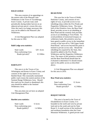#### **BALD LEDGE**

 This area consists of an appendage on the eastern side of the Pharaoh Lake Wilderness in the Town of Ticonderoga, Essex County. A private road, used periodically during timber harvest on an adjacent private parcel, crosses this area. Once the road is no longer necessary this area can be added to the Pharaoh Lake Wilderness.

 A Unit Management Plan was adopted for this area in 1992.

### **Bald Ledge area statistics**:

| <b>State Lands</b>   | 529 Acres |
|----------------------|-----------|
| Non-conforming Uses: |           |
| Roads (private) $*$  | 0.5 Miles |

## **BARTLETT**

 This area is in the Towns of Jay, Wilmington and Keene in Essex County and consists of the right-of-way known as Bartlett Road. This seasonally maintained public road crosses the eastern portion of the Sentinel Range Wilderness Area. Should this road ever be closed or abandoned, this area should be added to the Sentinel Wilderness Area.

 This area does not yet have an adopted Unit Management Plan.

#### **Bartlett area statistics**:

| <b>State Lands</b>   | 6 Acres   |
|----------------------|-----------|
| Non-conforming uses: |           |
| Roads (public) $*$   | 1.4 Miles |

### **BEAR POND**

 This area lies in the Town of Webb, Herkimer County, and consists of two rights-of-way, to provide access to two inholdings deep within the Five Ponds and Pepperbox Wilderness Areas. The main fork of this Primitive Area, the Bear Pond Road, provides access to an inholding at Bear Pond and the westerly fork provides access to an inholding at Twin Ponds. To avoid problems of motorized trespass on wilderness lands, this primitive area has been gated to public access in the immediate vicinity of the turn-off to "Old Upper South Pond Road," and access beyond this point is limited to private access only. Should the inholdings be acquired by the State, they should be added to the Five Ponds Wilderness and the Pepperbox Wilderness Area. The status of this primitive corridor and the Bear Pond Road should then be evaluated to determine if it should remain open to the public access as described above.

 A Unit Management Plan was adopted for this area in 2010.

#### **Bear Pond area statistics**:

| <b>State Lands</b>   | 12 Acres  |
|----------------------|-----------|
| Non-conforming Uses: |           |
| Roads (private) $*$  | 4.2 Miles |

#### **BOQUET RIVER**

 This area is located in the Town of Elizabethtown in Essex County. It is bounded on the north and west by private land and on the south and east by State Route 9. A small section of the northwest and northeast boundaries abut the Giant Mountain Wilderness. A gated private road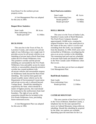from Route 9 to the northern private property exists.

 A Unit Management Plan was adopted for this area in 2004.

## **Boquet River Statistics:**

| <b>State Lands</b>   | 86 Acres  |
|----------------------|-----------|
| Non-conforming Uses: |           |
| Roads (private)*     | 0.5 Miles |

## **BUCK POND**

 This area lies in the Town of Fine, St. Lawrence County, and consists of a private right-of-way following a very rough road. It provides access for all terrain vehicles to an inholding of private land at Buck Pond deep within the Five Ponds Wilderness Area. This primitive corridor and the private inholding are surrounded by the Five Ponds Wilderness Area and public access by motor vehicles or snowmobiles along this primitive corridor has created problems with all-terrain vehicles and snowmobile trespass on Wilderness lands beyond the Buck Pond inholding. The road has been gated and closed to public motor vehicle use by the Department of Environmental Conservation and private access only is allowed beyond Youngs Road.. Should this inholding be acquired by the State, which should be a matter of highest priority, this road should be terminated at the northwestern State land boundary. The right-of-way and the acquisition should then be included in the Five Ponds Wilderness Area, precluding future motorized access.

 A Unit Management Plan was adopted for this area in 1994.

## **Buck Pond area statistics**:

| <b>State Lands</b>   | 48 Acres  |
|----------------------|-----------|
| Non-conforming Uses: |           |
| Roads (public) $*$   | 0.6 Miles |
| Roads (private)*     | 7.3 Miles |

#### **BUELL BROOK**

This area is in the Town of Indian Lake, Hamilton County north of Buell Mountain. The Finch Pruyn Company donated approximately 10,000 acres, creating the original Primitive Area. One small parcel in the center of the area, with it's access road extending from the north, was exempted from the donation. In 1994, 9,925 acres were reclassified as Wilderness, reconfiguring the area as an access corridor to the inholding. The remaining land and road are scheduled to become State lands and should be added to the West Canada Lakes Wilderness when that occurs.

 This area does not yet have an adopted Unit Management Plan.

## **Buell Brook Statistics:**

| <b>State Lands</b>   | 14 Acres  |
|----------------------|-----------|
| Non-conforming Uses: |           |
| Roads (private)      | 3.5 Miles |

#### **CATHEAD MOUNTAIN**

 This area consists of the Great Lot (121) in the Town of Benson, Hamilton County, a telephone line for the state operated fire tower on Cathead Mountain, lying within an inholding. Should this inholding be acquired by the State, two options are available depending upon the need then for the Cat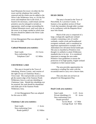head Mountain fire tower: (i) either the fire tower and the telephone line could be removed and the whole area be added to the Silver Lake Wilderness Area, or, (ii) the fire tower and telephone line to the tower, if found to be necessary, could remain and the primitive area be enlarged to include an appropriate, small acreage surrounding the Cathead Mountain tower, until such time as the tower is no longer needed at which time the area should be added to the Silver Lake Wilderness.

A Unit Management Plan was adopted for this area in 2006.

## **Cathead Mountain area statistics**:

| <b>State Lands</b>   | 212 Acres |
|----------------------|-----------|
| Non-conforming Uses: |           |
| Telephone Line*      | 0.5 Miles |

## **CHATIEMAC LAKE**

 This area is located in the Town of Johnsburg, Warren County, and consists of the right-of-way of Chatiemac Road, a Town road. The road provides access through the eastern edge of the Siamese Ponds Wilderness Area to a private inholding at Chatiemac Lake. Should this inholding ever be acquired, the road should be abandoned and made part of the Siamese Ponds Wilderness Area.

 A Unit Management Plan was adopted for this area in 2005.

## **Chatiemac Lake area statistics:**

| <b>State Lands</b>   | 2 Acres   |
|----------------------|-----------|
| Non-conforming Uses: |           |
| Roads (public) $*$   | 0.5 Miles |

## **DEAD CREEK**

The area is located in the Town of Piercefield, St. Lawrence County. It features a low-gradient section of Dead Creek that meanders through alder swamps to its confluence with the Raquette River near Sols Island.

Much of the area is comprised of a large, ecologically significant wetland complex containing a mix of conifer wetlands, conifer scrub and broadleaved evergreen wetlands, and is considered an important representative example of the Adirondack low elevation boreal landscape. The area is classified as Primitive even though it is unlikely to attain Wilderness standards due to its size. It is considered important to manage the area under Primitive Area guidelines to ensure the protection of its high-quality, fragile wetland complexes in their natural states.

The area provides opportunities for canoeing in winding flat water with the occasional need to carry over a beaver dam.

 This area does not yet have an adopted Unit Management Plan.

## **Dead Creek area statistics:**

| <b>State Lands</b>      | 1,125 Acres |
|-------------------------|-------------|
| Private Inholdings (1)  | 10 Acres    |
| Non-conforming Uses:    |             |
| Roads (private)*        |             |
| Access Road 0.7 Mile    |             |
| Carriage Road 6.0 Miles |             |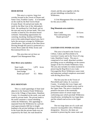#### **DEER RIVER**

This area is a narrow, long river corridor located in the Towns of Duane and Santa Clara, Franklin County. It is bounded on the south by the Red Tavern Road (County Route 14) and private lands; the north by the Blue Line of the Adirondack Park; the northeast by Cole Road; and on the east and west by private lands. This river corridor is lined by low elevation boreal wetlands. Outstanding opportunities for canoeing, kayaking, hunting and fishing exist in this undeveloped natural area, but it lacks the necessary acreage for Wilderness classification. The portion of the Deer River flowing through this parcel is protected as a Scenic River under the Wild, Scenic and Recreational Rivers Act.

 This area does not yet have an adopted Unit Management Plan.

## **Deer River area statistics:**

| <b>State Lands</b>   | $1,870$ Acres |
|----------------------|---------------|
| Non-conforming Uses: |               |
| Steel bridge         |               |
| Roads (private)*     | $0.5$ Miles   |

## **DUG MOUNTAIN**

 This is a small appendage of State land adjacent to the Siamese Ponds Wilderness Area in the Village of Speculator, Hamilton County. It is bounded on the north, west and south by private lands. The private lands to the north constitute a virtual inholding within the Wilderness. This appendage is separated from the Wilderness by a private road approximately 600 feet in length leading to the private holdings in the north. In the event that the private lands ever are acquired by the State, the road should be

closed, and this area together with the private inholdings reclassified to Wilderness.

 A Unit Management Plan was adopted for this area in 2005.

### **Dug Mountain area statistics**:

| <b>State Lands</b>   | 50 Acres  |
|----------------------|-----------|
| Non-conforming uses: |           |
| Roads (private) $*$  | 0.1 Miles |

#### **EASTERN FIVE PONDS ACCESS**

 This area is located in the Towns of Clifton, Colton and Piercefield in St. Lawrence County and in the Town of Long Lake, Hamilton County. The area is comprised of six small, detached corridors providing access to inholdings on the eastern margin of the Five Ponds Wilderness Area. The area also includes two dams essential to preserving the Bog River-Lows Lake-Osewagatchie River Wilderness canoe route and important wetland complexes associated with the Bog River Flow.

 The first area lies in the Towns of Piercefield and Colton, St. Lawrence County. It includes the Lows Upper and Lower Dams and the related access road to the Upper Dam. The area is classified as primitive because of the essentially permanent nature of certain major nonconforming uses which preclude Wilderness classification, including the two large dams and the related road access to the Upper Dam.

 The two large dams are of a scale and character incompatible with a Wilderness designation. However, the dams are essential to preserving the canoe route and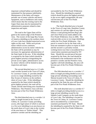important wetland habitat and should be maintained for that purpose indefinitely. Maintenance of the dams will require periodic use of motor vehicles and heavy equipment, such as bulldozers and cranes, which means that the existing road to the Upper Dam must also be maintained for administrative purposes related to dam inspection and repair.

 The road to the Upper Dam will be gated at the eastern edge of the Primitive Area. The owners of the large Boy Scouts of America inholding on the northern shore of Lows Lake have deeded motorized access rights on this road. While such private motor vehicle access continues, administrative access by motor vehicles by the State will be permitted as may be necessary for appropriate administration of the State lands in the area. If this inholding is acquired by the State (which should be given highest priority) extinguishing the private access rights, administrative access by motor vehicles will be limited to dam inspection and repair.

 The second detached area is a 2.2 mile road corridor located in the Town of Colton, St. Lawrence County. It provides deeded access to a large inholding owned by the Boy Scouts of America on the northern shore of Lows Lake. If this inholding is acquired by the State (which should be given highest priority), the road will be closed, and the intervening area classified as Wilderness. This Primitive Area will then become part of the Five Ponds Wilderness Area.

 The third detached area is a corridor 1.6 miles in length located in the Town of Clifton, St. Lawrence County providing access, (the legal nature of which is unclear) to a five-acre inholding in an area known on the north shore of Lows Lake in the vicinity of the area know as "Parker Island". This primitive corridor and the inholding are

surrounded by the Five Ponds Wilderness Area. Should the inholding be acquired (which should be given the highest priority), or the access rights extinguished, the area will become part of the Five Ponds Wilderness Area.

The fourth detached area is located in the Town of Long Lake, Hamilton County and consists of a private right-of-way that follows a road passing between Bog Lake and Clear Pond across lands added to the Five Ponds Wilderness Area in 2006. The road provides access to two large inholdings within the Five Ponds Wilderness. One parcel is owned in fee by the State with a term-use easement in place to expire in 2029 and the second is a privately-owned, working-forest tract that is encumbered by a conservation easement purchased by NY State. Should this second parcel become acquired by the State, the road should be terminated at the northeastern end of the primitive corridor and the Primitive Area, together with both inholdings, the area will become part of the Five Ponds Wilderness Area.

 The fifth detached area is a corridor 1.7 miles in length providing deeded access to a large private inholding surrounding Lake Marian located in the Town of Colton, St. Lawrence County. Should the inholding be acquired by the State the area will become part of the Five Ponds Wilderness Area.

 The sixth detached area is a corridor 0.7 miles in length providing deeded access to a large private inholding owned by the Sabattis Land Company on the south shore of Lows Lake. The Inholding is located in the Town of Colton, St. Lawrence County and is encumbered by a conservation easement purchased by NY State. Should the inholding be acquired by the State it will become part of the Five Ponds Wilderness Area.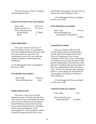This area does not yet have an adopted Unit Management Plan.

## **Eastern Five Ponds Access area statistics**:

| <b>State Lands</b>   | $1,647$ Acres |
|----------------------|---------------|
| Bodies of Water (1)  | 197 Acres     |
| Non-conforming Uses: |               |
| Private Roads*       | 9.7 Miles     |
| $Dams*$              |               |

snowmobile trail system so that this area can become part of the Wilderness Area.

 A Unit Management Plan was adopted for this area in 2005.

### **Forks Mountain area statistics**:

State Lands 15 Acres Non-conforming Uses: Snowmobile Trail (public)\* 2.5 Miles

## **FIRST BROTHER**

 This area is located in the Town of Horicon, Warren County. It is bounded on the west by Palisades Road and by the north, east, and south by private lands. The northwestern corner of the area abuts the southern boundary of the Pharoah Lake Wilderness.

A Unit Management Plan was adopted for this area in 1992.

## **First Brother area statistics:**

| <b>State Lands</b>   | 99 Acres |
|----------------------|----------|
| Non-conforming Uses: | None     |

## **FORKS MOUNTAIN**

 This area is in the Town of Wells, Hamilton County. It includes the fifty-foot wide corridor of the snowmobile trail which cuts across the southern tip of the Siamese Ponds Wilderness between the Teachout Road on the East Branch of the Sacandaga and the State land boundary on the Sacandaga River. Efforts should be made to relocate this important trail in the county

#### **GOOSENECK POND**

 This area includes a 100 foot wide corridor between the State land boundary and the outlet of Gooseneck Pond in the Town of Ticonderoga, Essex County. Gooseneck Pond is the Town's water supply. It includes the access road, the control valve and the retaining dike at the north end of the lake and is intended solely for the purpose of the Town maintaining the dike and control valve. If the Town ceases to use Gooseneck Pond as a water supply, the road should be closed and the area added to the Pharaoh Lake Wilderness.

 A Unit Management Plan was adopted for this area in 1992.

## **Gooseneck Pond area statistics**:

| <b>State Lands</b> | 1 Acre |
|--------------------|--------|
|--------------------|--------|

| Non-conforming uses: |           |
|----------------------|-----------|
| Roads (private) $*$  | 0.2 Miles |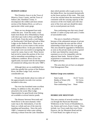## **HUDSON GORGE**

 This Primitive Area is in the Town of Minerva, Essex County, and the Town of Indian Lake, Hamilton County. It encompasses the wildest and most remote section of the Hudson River, as well as a spectacular white water gorge.

 There are two designated foot trails within this area. From the south, a trail leads from Route 28 to Whortleberry Pond, with short spur trails to Ross and Big Bad Luck Ponds. From the north, a trail begins on Northwoods Club Road and ends at Blue Ledge on the Hudson River. There are no public roads or access routes to this section of the Hudson River. In the past relatively few people were successful in navigating the waters by canoe, boat or raft. These factors had served to retain this portion of the river and its immediate surroundings in a near wilderness condition. River access has significantly increased with the development of commercial rafting since the early 1980's.

 Although there are no established foot trails that parallel this section of the Hudson River, the Blue Ledge Trail, receives considerable use.

 Private lands border about two miles of the approximately ten-mile river section included in this area.

 The river has furnished some excellent fishing. In addition to this, the public is attracted to the scenic Blue Ledge. Opportunities for good brook trout fishing are available at several interior ponds.

 The distance between Newcomb and North River is the most dramatic white water trip in the Adirondacks, if not the State as a whole and one of the most demanding and hazardous. Since the early 1980's, commercial white water rafting, utilizing a release from the Lake Abanakee dam which permits rafts to gain access via the Indian River, has increased dramatically on the lower portion of this route. This type of use has reached about the maximum level consistent with the carrying capacity of the resources of the river banks and wild character of the river and care should be taken not to exceed present use levels.

 Non-conforming uses that were closed include 2.5 miles of jeep trails and 2.3 miles of snowmobile trails.

 The area is classified as Primitive because of the substantial amount of private land that intrudes the area and the critical relationship of that land to the river gorge. This area should be upgraded to Wilderness as soon as the private lands can be acquired or their uses limited by conservation easement so as to be compatible with the adjacent State lands. Pursuit of these acquisitions or easements should be a matter of highest priority.

 This area does not yet have an adopted Unit Management Plan.

## **Hudson Gorge area statistics**:

| <b>State Lands</b>        | 16,517 Acres |
|---------------------------|--------------|
| Bodies of Water (29)      | 352 Acres    |
| <b>Foot Trails</b>        | 6.6 Miles    |
| Non-conforming Uses: None |              |

### **HURRICANE MOUNTAIN**

This area consists of several corridors that cut through the Hurricane Mountain Wilderness in the Towns of Elizabethtown, Jay, Keene and Lewis, Essex County. These include: two Town roads that cross Forest Preserve, the Jay Mountain Road and the O'Toole Road; two rights-of-way to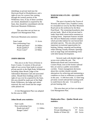inholdings on private land near the Hurricane Road in Elizabethtown; and a right-of-way for a power line running through the western portion of the Wilderness Area. If any of these corridors are closed, abandoned or acquired by the State, they should be consolidated with the Hurricane Mountain Wilderness.

 This area does not yet have an adopted Unit Management Plan.

Hurricane Mountain area statistics:

| <b>State Lands</b>   | 11 Acres  |
|----------------------|-----------|
| Non-conforming Uses: |           |
| Roads (private)*     | 0.6 Miles |
| Roads (public) $*$   | 2.4 Miles |
| Power Lines*         | 3.9 Miles |

### **JOHNS BROOK**

 This area is in the Town of Keene in Essex County. It consists of the private right-of-way across State lands to several private parcels in the High Peaks Wilderness including Johns Brook Lodge of the Adirondack Mountain Club and associated cabins. Should these holdings and/or the right-of-way ever be acquired by the State, this area should be made part of the High Peaks Wilderness, the lodge and cabins removed, the road closed and the ranger cabin phased out.

 A Unit Management Plan was adopted for this area in 1999.

#### **Johns Brook area statistics:**

| <b>State Lands</b>   | 156 Acres |
|----------------------|-----------|
| Non-conforming Uses: |           |
| Roads (private)*     | 1.1 Miles |
| Ranger Cabin*        |           |

## **MADAWASKA FLOW – QUEBEC BROOK**

The area is located in the Towns of Waverly and Santa Clara, Franklin County. It is bounded on west by the Blue Mountain Road and on the northwest by the Benz Pond Road. The remaining boundaries abut private lands. Much of the private land is under State-held conservation easement as working forest. Important features include the 330-acre Madawaska wetland complex which provides habitat for rare boreal bird and plant species. The area also provides important recreational opportunities for hunting, fishing, canoeing and kayaking, while offering visually dramatic openings such as large bogs and meandering rivers with little human development.

Several roads with deeded rights of access exist within the unit. The Madawaska Road and Conversations Corners Road, west of the former railroad bed, are used as a public snowmobile corridor. Future management decisions about this corridor should consider alternatives for achieving and maintaining a condition as close to wilderness as possible in this area. A 100-foot-wide, 3.2 mile long privately owned railroad bed running north to south bisects the unit. It is used by a private hunting club.

This area does not yet have an adopted Unit Management Plan.

## **Madawaska Flow – Quebec Brook area statistics**:

| <b>State Lands</b>     | 5,774 Acres |
|------------------------|-------------|
| Private Inholdings (1) | 97 Acres    |
| Bodies of Water (6)    | 220 Acres   |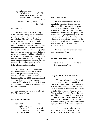Non-conforming Uses: Roads (private)\* 3.0 Miles Madawaska Road 1 Mile Conversation Corners Road 2.9 Miles Snowmobile Trail (private)\* 2.3 Miles

## **NEHASANE**

 This area lies in the Town of Long Lake, Hamilton County and consists of the private right-of-way providing access from the end of the Charley Pond Road to the private land holdings at Nehasane Lake. This road is approximately 4.5 miles in length with the first 0.2 miles open to public use of motor vehicles to provide access to the Lake Lila trailhead. The road is gated at this trailhead and access beyond is limited to private access to the inholdings. Should, at some point in the future, the private lands to the west and southwest be acquired by the State extinguishing deeded access rights, the Primitive Area will be terminated at the Lake Lila trailhead parking lot.

 This Primitive Area also contains the Nehasane Railroad Station, listed on the National Register of Historic Places, including one acre of land surrounding the building and the short (0.1 mile) access road servicing the station. In the event that the station itself is relocated or removed, the one acre surrounding it and the access road will become Wilderness.

This area does not yet have an adopted Unit Management Plan.

#### **Nehasane area statistics**:

| <b>State Lands</b>   | 55 Acres  |
|----------------------|-----------|
| Non-conforming Uses: |           |
| Roads (private)*     | 4.4 Miles |
| $(public)*$          | 0.2 Miles |
| Railroad Station*    | 1 Acre    |

### **PARTLOW LAKE**

 This area is located in the Town of Long Lake, Hamilton County. It is a 3.1 mile road which connects the Nehasane Primitive Area with the private lands encompassing Gull Lake, Deer Pond and Partlow Lake to the west. The private land owners have a legal right of way to use this road to access their land. This inholding is scheduled to pass to State ownership in the year 2029 at which time this Primitive Area will become part of the Five Ponds Wilderness Area.

 This area does not yet have an adopted Unit Management Plan.

## **Partlow Lake area statistics**:

| <b>State Lands</b>   | 77 Acres |
|----------------------|----------|
| Non-conforming Uses: |          |
|                      | None     |

**RAQUETTE-JORDAN BOREAL** 

The area is located in the Towns of Colton, Hopkinton and Piercefield, St. Lawrence County. It includes three blocks of State lands, formerly classified as Wild Forest, bounded on the west by the Lassiter Main Haul Road and the Raquette River. Also part of this Primitive Area is the State owned lands comprising the Raquette River Corridor from the Colton-Piercefield Town line to the dam at Piercefield Flow. The corridor is generally 500 feet wide from the high water line on both banks of the river.

The Jordan River, classified as Scenic under the NYS Wild, Scenic and Recreational Rivers Act, flows through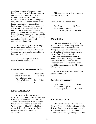significant expanses of this unique area's boreal forest and, as such, has the character of a northern Canadian river. Certain ecological resources found here are considered to be critical on both a regional and global scale. These include one of the largest representative samples of the lowland boreal forest under protection in the Adirondack Park, old-growth forest, and rare animal species such as the spruce grouse and extra-striped snaketail dragonfly. Hunting, fishing, canoeing and kayaking in a lowland boreal forest setting are some of the outstanding primitive recreational opportunities afforded here.

There are four private lease camps on fee lands on the north side of the Raquette River in the Town of Piercefield. These private rights may be retained by the landowner until 2025.

A Unit Management Plan was adopted for this area in 2006.

#### **Raquette-Jordan Boreal area statistics:**

| <b>State Lands</b>   |     | 12,034 Acres |
|----------------------|-----|--------------|
| Bodies of Water (1)  |     | 28 Acres     |
| Non-conforming Uses: |     |              |
| Roads (private)*     | 3.1 | Miles        |
| Camps                |     |              |

## **RAVEN LAKE ROAD**

 This area is in the Town of Webb, Herkimer County and consists of a 1.84 mile road to a 8 acre inholding on Raven Lake. This road serves as a part of the boundary between the Pepperbox and Five Ponds Wilderness units. Should the inholding be acquired, the road should be closed and this property added to the Pepperbox Wilderness.

 This area does not yet have an adopted Unit Management Plan.

Raven Lake Road area statistics:

| <b>State Lands</b>          | 25 Acres |
|-----------------------------|----------|
| Non-conforming uses:        |          |
| Roads (private)* 2.33 Miles |          |

## **SACANDAGA**

 This area is in the Town of Wells in Hamilton County, immediately north of the West Branch of the Sacandaga River through the Silver Lake Wilderness. It consists of the West River Road where it crosses Forest Preserve lands from Blackbridge westernly to Whitehouse. Should private lands be acquired by the State, segments of the road that are no longer necessary to access private lands should be incorporated into the Silver Lake Wilderness.

 A Unit Management Plan was adopted for this area in 2006.

## **Sacandaga area statistics:**

| <b>State Lands</b>   | 7 Acres    |
|----------------------|------------|
| Non-conforming Uses: |            |
| Roads (public) $*$   | 1.95 Miles |

#### **SCHUYLER ISLAND**

 This Lake Champlain island lies in the Town of Chesterfield in Essex County and is designated Primitive to insure protection of its relatively fragile resources. While a small island and lacking the unique flora and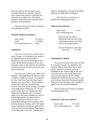fauna of Valcour Island (which is also classified Primitive), Schuyler Island is more remote than Valcour Island and has lower levels of public use. The island requires careful protection consistent with Primitive Area guidelines.

 This area does not yet have an adopted Unit Management Plan.

## **Schuyler Island area statistics**:

| <b>State Lands</b>   | 167 Acres |
|----------------------|-----------|
| <b>Trails</b>        | 0.3 Miles |
| Non-conforming Uses: | None      |

## **TAHAWUS**

 This area is in the Town of Newcomb, Essex County. It is bounded to the south by the Hudson River from the Dam at Henderson Lake east to the bridge on the Upper Works Road extension; on the east along this road; on the north by the road that provides access to the dam; and on the west by the dam itself.

 This area was created as the result of an addition to the High Peaks Wilderness Area in 2009. A 6,806 acre parcel was acquired by New York State from the Open Space Conservancy, Inc. (OSC). The boundaries of this parcel abut pre-existing Forest Preserve and most of this acreage was added to the High Peaks Wilderness. A 1.8 acre parcel of this land was omitted from the Wilderness designation due to retained rights to use the dam at Henderson Lake for producing hydroelectric power and to transmit that power. Power is to be transmitted underground, if possible, from the dam along an existing road to the Upper Works Parking lot. The power generated is to be used only for the Masten House parcel or the Adirondac "core area". Should these

rights be extinguished, this parcel should be added to the High Peaks Wilderness.

This area does not yet have an adopted Unit Management Plan.

## **Tahawus area statistics:**

State Lands 2 Acres Non-conforming uses:

Reserved private right at Henderson Dam for use of this conforming structure for hydroelectric power generation.

Road to Henderson Lake Dam (private)\* 0.1 Mile

## **TAMARACK CREEK**

 This area is located in the Town of Fine, St. Lawrence County. It is bouded on the north by Aldrich Pond Wild Forest and a private road that extends to a private inholding on the western edge of the area; by private lands to the south; and on the west and east edges by the Five Ponds Wilderness. Should the private parcel to the south become State land, that parcel and the Tamarack Creek Primitive Area should be added to the Five Ponds Wilderness.

This area does not yet have an adopted Unit Management Plan.

## **Tamarack Creek area statistics:**

| <b>State Lands</b>   | 46 Acres |
|----------------------|----------|
| Non Conforming Uses: | None     |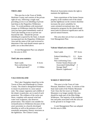## **TIED LAKE**

 This area lies in the Town of Webb, Herkimer County and consists of the private right-of-way, following a rough road, providing access to an inholding of private land deep in the Pepperbox Wilderness Area. To avoid problems with motorized trespass on Wilderness lands this Primitive Area has been gated immediately south of Tied Lake limiting access to private use beyond the lake. Should the private inholding be acquired by the State, it should incorporated into the Pepperbox Wilderness Area and the status of the road reviewed to determine if the road should remain open to public use as described above.

 A Unit Management Plan was adopted for this area in 2010.

## **Tied Lake area statistics**:

| <b>State Lands</b>   | 8 Acres   |
|----------------------|-----------|
| Non-conforming Uses: |           |
| Roads (private) $*$  | 2.5 Miles |

#### **VALCOUR ISLAND**

 This Lake Champlain island lies in the Towns of Peru and Plattsburgh in Clinton County. The island is designated Primitive to insure its protection in a near natural state. The unique vegetation and wildlife of the island, in particular, are in need of such protection. The wildness of the rocky east shore, complete with unusual wind and water rock sculptures, also deserves preservation. This island is not suitable for reclassification to Wilderness because of the area's proximity to a heavily developed shoreline as well as the presence of such essentially permanent, historic structures as the lighthouse. The Clinton County

Historical Association retains the right to maintain the lighthouse.

 State acquisitions of the former Seaton property at the southern end of the island and the lighthouse on the western shoreline increases the area's suitability for water-oriented recreational uses. Any interpretive program for the island should stress both its historical significance and its special natural features.

This area does not yet have an adopted Unit Management Plan.

## **Valcour Island area statistics**:

| елине папив             | 2.711      |
|-------------------------|------------|
| Federal Inholding (1)   | 0.1 Acres  |
| Trails                  | 12.6 Miles |
| Non-conforming Uses:    |            |
| Former Seaton House and |            |
| Associated Outbuilding* | 2          |
| Storage Shed*           |            |
| Historic Lighthouse*    |            |
|                         |            |

 $\frac{1}{2}$  State Lands 957 Acres

## **WAKELY MOUNTAIN**

 This area is in the Town of Lake Pleasant, Hamilton County. It consists of the State land south of the Wakely Mountain Trail. Once the fire tower on Wakely Mountain is no longer needed, this area should be made part of the Blue Ridge Wilderness. The majority of the telephone line and poles associated with this area are on the ground or no longer exist.

 A unit Management Plan was adopted for this area in 2006.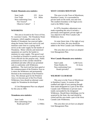#### **Wakely Mountain area statistics**:

| <b>State Lands</b>           | 225 Acres   |
|------------------------------|-------------|
| <b>Foot Trails</b>           | $0.4$ Miles |
| Non-conforming Uses:         |             |
| Fire Towers*                 |             |
| Observer Cabins <sup>*</sup> |             |

## **WANAKENA**

 This area is located in the Town of Fine, St. Lawrence County. The Wanakena Water Company, which supplies water to the Hamlet of Wanakena, has reserved rights along the former State truck trail to lay and maintain water lines to a spring which serves as the water supply for the hamlet of Wanakena. Motor vehicles and motorized equipment are used by the hamlet to maintain its water supply. This gravel road is classified as Primitive to permit access by Town officials for this purpose only. Public motorized use of this corridor should be prohibited and other official use permitted only in conformity with Wilderness guidelines. The truck trail has been gated at the commencement of the Primitive Area as it enters the Wilderness and permanently blocked at the termination of the Primitive Area. The ultimate goal for the Primitive Area is to become part of the Five Ponds Wilderness Area should an alternate water supply for Wanakena be developed.

 A Unit Management Plan was adopted for this area in 1994.

#### **Wanakena area statistics:**

| <b>State Lands</b>   | 7 Acres   |
|----------------------|-----------|
| Non-conforming Uses: |           |
| Roads (private) $*$  | 1.2 Miles |

### **WEST CANADA MOUNTAIN**

 This area is in the Town of Morehouse, Hamilton County. It is surrounded by private lands on the north, east and west. The southern boundary is the legal access road to the Miller Camp.

 In 1979 a boundary adjustment was made expanding this area to include a previously unrecognized, private right-ofway adjacent to the West Canada Lake Wilderness Area.

 At some future time, if the right-of-way reverts to the State, this area should be added to the West Canada Lake Wilderness.

 This area does not yet have an adopted Unit Management Plan.

## **West Canada Mountain area statistics:**

| <b>State Lands</b>   | 3,260 Acres |
|----------------------|-------------|
| Water Bodies (3)     | 14 Acres    |
| Non-conforming Uses: |             |
| Roads (private)*     | 2.8 Miles   |

## **WILMURT CLUB ROAD**

 This area is in the Town of Morehouse in Hamilton County. It consists of the roadbed and right-of-way passing through State lands designated as a part of the West Canada Lake Wilderness to private tracts totally surrounded by the designated Wilderness. Should these inholdings ever be acquired by the State, the road should be closed and this area made a part of the West Canada Lake Wilderness.

 This area does not yet have an adopted Unit Management Plan.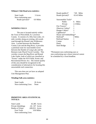## **Wilmurt Club Road area statistics:**

| <b>State Lands</b>   | 3 Acres   |
|----------------------|-----------|
| Non-conforming uses: |           |
| Roads (private) $*$  | 0.9 Miles |

### **WINDING FALLS**

The area is located entirely within the Town of Piercefield, St. Lawrence County. It consists of a fifty-foot-wide, 2.6 mile corridor along an existing, old woods road through the Round Lake Wilderness Area. Located between the Hamilton County Line and the Bog River, it provides a potential route for snowmobile travel between the Hamlet of Long Lake and the Remsen-Lake Placid Travel Corridor. This corridor crosses the Bog River and Round Lake Outlet, both of which are classified as "Scenic" under the NYS Wild, Scenic and Recreational Rivers Act. The remote quality of this area should be recognized in the consideration of alternatives for locating this snowmobile trail connection.

This area does not yet have an adopted Unit Management Plan.

## **Winding Falls area statistics:**

| State Lands:              | 26 Acres |
|---------------------------|----------|
| Non-conforming Uses: None |          |

## **PRIMITIVE AREA STATISTICAL TOTALS:**

| <b>State Lands</b>     | 45,385 Acres     |
|------------------------|------------------|
| Private Inholdings     | (3) 107 Acres    |
| <b>Bodies of Water</b> | $(40)$ 811 Acres |
| <b>Foot Trails</b>     | 19.8 Miles       |
| Non-conforming Uses:   |                  |

| Roads (public)*  |                         |                | 7.85 Miles  |
|------------------|-------------------------|----------------|-------------|
| Roads (private)* |                         |                | 63.43 Miles |
|                  | Snowmobile Trails*      |                |             |
|                  | Public                  | 6.             | Miles       |
|                  | Private                 |                | 2.3 Miles   |
| Fire Towers*     |                         | 1              |             |
|                  | Observer Cabins*        | 1              |             |
| Ranger Cabins*   |                         |                |             |
| Lighthouse*      |                         | 1              |             |
|                  | House and Outbuildings* |                |             |
| Railroad*        |                         |                | 2 Miles     |
| Railroad Station |                         |                |             |
| Camps            |                         | 4              |             |
| Dams             |                         | $\overline{2}$ |             |
| Steel Bridge     |                         |                |             |

\*Permanent non-conforming uses or non-conforming uses whose removal cannot be scheduled by a fixed deadline.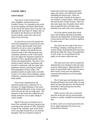# **CANOE AREA**

## **SAINT REGIS**

 This area is in the Towns of Santa Clara, Brighton, and Harrietstown in Franklin County. It is bounded on the north by private property and Keese Mills Road; on the east by the Santa Clara Town line, old logging roads and Upper St. Regis Lake; on the south by the Remsen to Lake Placid Travel Corridor, and on the west by the Santa Clara Town line.

 Its selection as an area for special and restricted management is based on the numerous, closely-spaced ponds which lend themselves to use as canoe or guideboat waterways. Similar to the ponds that are clustered south of the railroad tracks and commonly referred to as the "Fish Creek" area, this region has long been noted for its qualities of clear, spring-fed ponds, short carries and tranquil beauty. The area is now closed to motor vehicles, motorboats and aircraft in conformity with the master plan guidelines, thereby restoring the tranquil, wild atmosphere of these waters. The peripheral ponds are quite easily accessible via one or two short carries making a unique wilderness canoeing experience available to many people.

 The terrain is dominated by the numerous ponds and is relatively low in elevation. St. Regis Mountain in the north and Long Pond Mountain in the western part of the area are the only two high spots. The character of the terrain also makes the area ideally suited for cross country skiing in winter months.

 Much of the area was burned over in forest fires, probably the most extensive one occurring in the summer of 1903. Therefore, except for the wetlands, most of the forest cover was either burned off or very heavily damaged. This has resulted in stands of

hardwoods which have regenerated after aspen, pin cherry, and white birch started rebuilding the humus layer. There are low-lying stands of hemlock and spruce, now mature or nearly mature, which escaped the burn because of their location. There are also some spots near the ponds where white pine escaped the fires, and these large shoreline trees add to the scenic attractions.

 All of the interior ponds have brook trout, and stocking and pond reclamation efforts by the Department of Environmental Conservation have been carried on regularly for many years.

 The chief use now made of the area is for fishing, camping, canoeing and crosscountry skiing. Snowmobile trails have been phased out under the Canoe Area guidelines, as well as the use of motorboats by the public on all waters within the area.

 The State truck trail will be retained for administrative use relating to fish and water resource enhancement. Approximately 15.4 miles of snowmobile trails in this area have been closed, twenty-one tent platforms removed and motorboat use by the public prohibited.

 The l/4 mile spur road leading from the Floodwood Road to the south shore of Long Pond, has been blocked near the Floodwood Road and a small parking area has been provided at that point.

 Public access to the area is restricted from the north and west by private posted land but is readily available on the south and east.

In 2010, a half acre of land associated with the St. Regis Mountain Fire Tower was reclassified to Historic.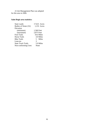A Unit Management Plan was adopted for this area in 2006.

# **Saint Regis area statistics**:

| <b>State Lands</b>        | 17,615 Acres |  |  |
|---------------------------|--------------|--|--|
| Bodies of Water (52)      | 1,153 Acres  |  |  |
| Elevation                 |              |  |  |
| (minimum)                 | 1,560 Feet   |  |  |
| (maximum)                 | 2,873 Feet   |  |  |
| <b>Foot Trails</b>        | 18.4 Miles   |  |  |
| Horse Trails              | 4.9 Miles    |  |  |
| <b>Bike Trails</b>        | 5 Miles      |  |  |
| Lean-tos                  | 3            |  |  |
| <b>State Truck Trails</b> | 5.9 Miles    |  |  |
| Non-conforming Uses:      | None         |  |  |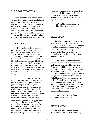# **WILD FOREST AREAS**

 Because wild forest areas include many various-sized scattered parcels, as indicated on the map, only the largest tracts are described to illustrate the largely untapped resources available in this category. No statistics are presented, and the narrative deals with general areas rather than specific parcels. Future revisions of the master plan should provide more detailed information about state lands in the wild forest category.

### **ALDRICH POND**

This area is bounded on the north by the Oswegatchie River, Star Lake, private lands, the Oswegatchie River and the Adirondack Park boundary; on the east by Youngs Road (County Route 60) and the Five Ponds Wilderness; on the south by the Middle Branch of the Oswegatchie River; and on west by the Lewis/St. Lawrence County Line and Adirondack Park Blue Line. It is located in the Towns of Fine and Pitcairn in St. Lawrence County, Diana, in Lewis County and Webb in Herkimer County.

Communities, such as Aldrich and Kalurah, once thrived in the area and are now reminders of the region's industrial past. Scotch pine plantations, second growth forests, telephone poles and old roads found along trails are additional signs of the area's human history. Visitor use is most evident during the hunting and fishing seasons. The State lands within the unit afford local residents close proximity to opportunities for many types of recreation, solitude and wild open space. The low hills and moderate grades make use of trails enjoyable for all ages. During winter months, the area receives considerable amounts of lake effect snow from Lake Ontario, making it an optimum location for

winter outdoor activities. The Little River flows through this unit and the Middle Branch of the Oswegatchie River (a designated Wild and Scenic River) flows adjacent to this unit.

A Unit Management Plan was adopted for this area in 1995.

## **BLACK RIVER**

 This area includes Wild Forest lands within an area primarily in Herkimer County, south of Route 28, north of Route 8, east of the Adiorndack Park boundary and west of the Adirondack League Club holdings. The Black River flows in a generally east-west direction through the middle of the area.

 A considerable number of interior, privately-owned parcels exist to which jeep trails extend from the public highways. Relatively low hills interspersed with small wetland areas covered with second growth hardwoods on the more fertile soils and spruce-fir combinations along water courses are typical in this southwestern corner of the Park. Mohawk Valley population centers such as Rome, Utica and Herkimer are within short driving distance, and big game hunting pressure in the fall season is heavy. The streams attract many trout anglers to the area. South Lake is a favorite fishing, hunting and boating spot.

A Unit Management Plan was adopted for this area in 1996.

## **BLUE MOUNTAIN**

 This area is located in Hamilton and western Essex counties. It is bounded by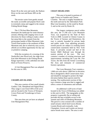Route 30 on the west and south, the Hudson River on the east and Route 28N on the north.

 The terrain varies from gentle around the easily accessible and popular Rock Lake to extremely steep and rugged in the remote Fishing Brook Range.

 The 3,759-foot Blue Mountain dominates the landscape for some distance around, offering wide ranging views in all directions for those willing to make a short but steep hike to the summit from the picturesque hamlet of Blue Mountain Lake. Tirrell Pond nestles to the northeast of Blue Mountain and, due to relatively easy access, affords an excellent opportunity for day use or primitive camping.

 With the exception of a crossing of the Northville-Lake Placid trail, the ridge from East Inlet Mountain to the Fishing Brook Range represents a wild, unbroken ten mile block of Forest Preserve,

 A Unit Management Plan was adopted for this area in 1995.

## **CHAMPLAIN ISLANDS**

 This area consists of four small islands: Garden, Cole, Sheephead and Signal Bouy. They range is size from 0.08 to 0.82 acres and are located in the Towns of Westport, Crown Point and Ticonderoga in Essex County.

 This area does not yet have an adopted Unit Management Plan.

#### **CHAZY HIGHLANDS**

This area is located in portions of eight Towns in Franklin and Clinton Counties. The unit is roughly bounded on the north and east by the Adirondack Park Blue Line boundary; on the south by Route 3; and on the west by Route 26.

The largest contiguous parcel within this area, the 17,190 acre Lyon Mountain Tract, was acquired by the State of New York in 2008. Located in Clinton County in the Towns of Saranac and Dannemora, the tract is entirely bounded by private lands and public roads. Four adjoining privately owned parcels are subject to working forest conservation easements held by New York State. A privately owned rail bed of the former D&H Railroad runs through the eastern portion of the tract. The tract contains a number of existing structures and improvements including the Lyon Mt. Fire Tower, the lifts from the former Lowenburg Ski Area and remnants of commercial forestry operations.

The Lyon Mountain Tract contains a 1,860 acre area above 2,800 feet in elevation that is designated a Bird Conservation Area and should be managed to protect the high elevation habitat these species need for nesting. The southwestern section of this tract contains a large area that is rugged and offers a sense of remoteness and solitude.

An additional 1,629 acres of land located in the Town of Ellenburg was added to this unit in 2010. The topography at this property is generally flat to rolling and provides the best available access to the summit and cliffs of Ellenburg Mountain. The parcel is criss-crossed with a number of small streams which feed Graves Brook, Loomis Brook and eventually, Lake Champlain. Graves and Loomis are known native brook trout waters. The area is well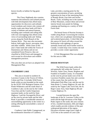known locally as habitat for big game species.

The Chazy Highlands also contains numerous discontinuous and isolated parcels with little development that afford many opportunities for discovery and solitude. Local residents and visitors who venture off nearby roads onto these lands will find a variety of habitats and natural features, including open wetlands and rolling hills with rock outcroppings that afford scenic views of surrounding lands and fishing access along the North Branch of the Saranac River. They may also encounter bobcat, bald eagle, beaver, porcupine, deer, and other wildlife. While some of this area's State lands fall within the Towns of Dannemora and Altona and are not considered Forest Preserve, they are classified as Wild Forest and managed as such except for silviculture and wildlife management practices.

This area does not yet have an adopted Unit Management Plan.

## **CRANBERRY LAKE**

 This area is located in southern St. Lawrence County in the Towns of Clifton, Colton and Fine. It includes Wild Forest lands within an area bounded on the south by the SUNY ESF Biological Station, Five Ponds Wilderness and the south shore of Cranberry Lake; on the east by the Colton Town line and the Conifer Emporium easement lands; on the north by State Highway 3 and the Oswegatchie River; and on the west by private lands and the Inlet Road. It provides a considerable amount of snowmobiling opportunity in the winter in a setting offering the snowmobiler a sense of remoteness.

 Cranberry Lake Public Campground, on the northeastern shoreline of Cranberry

Lake, provides a starting point for the greatest concentration of users, permiting exploration by boat of the interesting flows of Brandy Brook, East Inlet and Sucker Brook. Trails, including one to the summit of Bear Mountain, connect these and several interior brook trout ponds for fishing, camping and hunting on a variety of Wild Forest land.

 The boreal forest of Peavine Swamp is visible along Route 3 traversing the western tract, where one can glimpse interesting bog and scattered great pines. A short hike into this spruce-fir forest will often reward the birdwatcher with sightings of species normally found only much further north in Canada. A multi-loop cross country ski trail provides a scenic winter opportunity

 A Unit Management Plan was adopted for this area in 1984.

## **DEBAR MOUNTAIN**

The Wild Forest lands within this unit generally fall within the Towns of Waverly, Santa Clara, Duane, Brighton and Franklin in Franklin County. It is bounded on the west by private lands west of the St. Lawrence-Franklin county line and a section of the county line; the north by the Adirondack Park Blue Line; and the east by State Route 3, County Highway 26; and the south by the Tupper Lake Town line, the St. Regis Canoe Area, State Highway 86 and County Highway 55.

Located between the open flat landscape of the St. Lawrence Valley to the north and the high elevations of the High Peaks region to the south, this area consists of low, rounded mountains, hills and ridges which readily provide evidence of the past widespread glaciation of the region. Elevation extremes range from a high of 3,355 feet at the summit of Loon Lake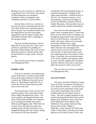Mountain to a low elevation of 1,299 feet on Long Pond (Town of Waverly). The summit of Debar Mountain once permitted Verplanck Colvin to triangulate Lake Champlain and the St. Lawrence River.

 Several miles of the river corridors in this unit have been classified under the New York State Wild, Scenic and Recreational Rivers System. Hays and Hatch Brooks and the Osgood River provide trout fishing opportunities and the slopes of Sable, East and DeBar mountains offer a challenge to the big game hunter.

 The East and Main Branches of the St. Regis River traverse this area. These rivers provide an opportunity for paddling in a generally remote setting. The rivers are also lined with extensive wetland systems that provide habitat to a large variety of boreal species.

 This area does not yet have an adopted Unit Management Plan.

## **FERRIS LAKE**

 This area is located in the southwestern corner of the Park. It consists of those Wild Forest lands south of Route 8 and the West Canada Lake Wilderness Area and west of Route 10. Both Route 8 and Route 10, as well as the Powley-Piseco Road, provide easy access to the area.

 The attractiveness of this area lies in its numerous ponds, lakes and streams which attract anglers throughout the season. The area is popular with big game hunters and many of the ponds and lakes are connected by an existing snowmobile trail system following old logging roads. While there are no trails, these old roads also make easy walking routes and their potential use in a designated hiking (and cross country skiing) trail network for the area should be

considered in the unit management plan, as should the potential for camping on the larger ponds and lakes. Another feature of the area is its mountain summits or rock outcroppings, in particular the ledges on Good Luck Mountain and Echo cliffs on Panther Mountain, which provide vistas not readily found in the southern Adirondacks.

 One of the last old Adirondack dirt public roads, extending about 17 miles from Route 10 near Piseco Lake to Stratford, cuts through the approximate center of this large block of Forest Preserve. It provides the public with motor vehicle access through practically unbroken forest, quite comparable to some of the Wilderness areas. Many motorists take advantage of the attractive drive over this old winding dirt road, the like of which has become a rare and vanishing facility in the eastern United States. If possible, this road should remain in its current condition and measures taken to insure roadside camping does not detract from the character of the area or adversely affect the resources of the road corridor.

 This area does not yet have an adopted Unit Management Plan.

## **FULTON CHAIN**

 This unit is located in Herkimer County, Town of Webb, Township 8, John Brown's Tract, Macombs Purchase. It is divided into five main sections separated by three strips of privately-owned lands, one of which includes lands near the Fulton Chain of Lakes. The unit is roughly bordered on the north by the Razorback Pond Outlet and the Pigeon Lake Wilderness Area; on the east by the Big Moose Road, Pigeon Lake Wilderness Area, private lands near Big Moose Lake and the Village of Eagle Bay; on the south by the Third Lake Creek, County Route 118 and private lands adjacent to the Fulton Chain of Lakes; and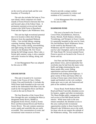on the west by private lands and the west boundary of Township 8.

 The unit also includes DeCamp or Treasure Island, which comprises two small islands of Forest Preserve between the First and Second Lakes of the Fulton Chain. A permanent easement across private lands connects this Wild Forest to Razorback Pond and the Pigeon Lake Wilderness Area.

 This unit has high recreational potential due to its location within short driving distances from the populated Mohawk Valley. Uses include hiking, camping, canoeing, hunting, fishing, horse-back riding, cross country skiing, snowmobiling, and sight-seeing, the latter drawing many visitors to the Rondaxe Mt. Fire Tower during the fall foliage season. Moss Lake, a former girls summer camp, is also a popular and scenic location for hiking, skiing, and camping.

 A Unit Management Plan was adopted for this area in 1990.

## **GRASSE RIVER**

 This unit is located in St. Lawrence County in the Towns of Clare, Clifton, Colton, Fine and Parishville. It includes the Wild Forest lands bounded on the west and north by the Adirondack Park Blue Line; the south by the Oswegatchie River and Route 3; and on the east by Route 56.

 The four Branches of the Grasse River flow through this unit, including the Main (a designated Study River), Middle (a designated Scenic River), South (a Scenic River and Recreational River) and North (a Scenic River). The unit contains numerous scenic rapids and waterfalls that are easily accessible. This concentration of scenic and recreational water resources on Forest

Preserve provide a unique outdoor recreational opportunity for visitors and residents of St. Lawrence County.

 A Unit Management Plan was adopted for this area in 1990.

### **HAMMOND POND**

 This area is located in the Towns of Crown Point, Elizabethtown, Horicon, Keene, Moriah, North Hudson ,Schroon, Ticonderoga, and Westport in Essex County. It is generally bounded on the west by Giant, Dix and Hoffman Notch Wilderness Areas; on the south by the Pharaoh Lake Wilderness and NY State Route 74; on the east by Lake Champlain; and on the north by NY State Route 9N. Several isolated Forest Preserve parcels are located in the Towns of Keene and Jay.

 Owl Pate and Hail Mountain provide great distant views, and exceptionally fine overlooks may be had from the many rocky bluffs and ledges dominating the area. Many ponds offer scenic fishing opportunities and have defined but unmarked trails leading from highways. A great variety of flora and fauna reflect an overlap of forest types where beech, birch, maple and hemlock on the cool, northern slopes give way to oak, ash, basswood and pine on the southerly exposures.

 Tracey Road, North Hudson-Moriah Road and Route 9 provides abundant access for hunters, anglers and other recreationists. The Sharp Bridge public campground offers trail access to East Mill Brook and the interior. While most trails in the area remain unmarked, the abundant access to this area could provide recreational opportunities similar to those found in the Pharaoh Lake Wilderness area to the south for those who do not require the solitude of the Wilderness setting. This would relieve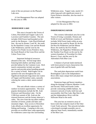some of the use pressure on the Pharaoh Lake area.

 A Unit Management Plan was adopted for this area in 1988.

## **HORSESHOE LAKE**

 This area is located in the Towns of Colton, Piercefield and Tupper Lake in St. Lawrence and Franklin Counties. The unit includes Wild Forest land bounded on the north by the Remson – Lake Placid Railroad line; the east by Routes 3 and 30; the south by the Hamilton County Line and the Round Lake Wilderness; and the west by the Eastern Five Ponds Access Primitive Area, the South Branch of the Grass River and the Colton Town Line.

Important biological resources abound in this unit. Several large lakes featuring both shallow and deep waters provide habitat for the Common Loon. Rich marsh communities include rare plant species and provide prime breeding grounds for a variety of birds. Bald Eagles can be spotted in the area throughout the year. Significant headwater bogs drain into waters of Tupper and Horseshoe Lakes, naturally coloring the waters a dark, tannin-stained color.

This unit affords visitors a variety of outdoor recreation opportunities. The most popular destinations include the Mt. Arab Firetower and Horseshoe Lake. On the 2,500-foot summit of Mt. Arab are the restored firetower and the former observer's cabin. The view from the top offers endless stretches of forests, ponds and lakes and mountain ridges. Easy access to Horseshoe Lake affords an excellent opportunity for fishing and boating. Camping in this area provides an excellent base camp opportunity for wilderness canoe trips into surrounding

Wilderness areas. Tupper Lake, nearly 8.5 miles long and with significant extent of Forest Preserve shoreline, also has much to offer visitors.

A Unit Management Plan was adopted for this area in 2002.

## **INDEPENDENCE RIVER**

 This western Adirondack area lies in the Towns of Greig, Lyonsdale, Watson and Webb in Lewis and Herkimer counties. It includes Wild Forest lands within an area bounded on the south by Route 28, the Ha-De-Ron-Da Wilderness and the Moose River; the north by the Five Ponds Wilderness, the Pepperbox Wilderness and the Number Four Road; on the east by the western boundary of Township 8 in John Brown's Tract; and the west by the Adirondack Park Blue Line.

 A balance of private lands interlaced with forest preserve tracts characterize this area of gentle hills and flat lands.

 The sand plain depressions north from Brantingham Lake to the Independence River offer many unique bird and plant life associations.

 Numerous bogs and beaver meadows along the drainage of Beaver Meadow Creek and Second, Third and Fourth Creeks provide contrasting wildlife habitats. An extensive network of trails, both foot and snowmobile, link Pine Lake, Big Otter Lake and the Independence River with the Stillwater Road in the north.

 This area has an extensive array of horse trails that comprise much of the Otter Creek Trails network. This network includes a developed overnight assembly area in adjacent State Forest, immediately outside of the Blue Line.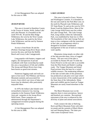A Unit Management Plan was adopted for this area in 1986.

#### **JESSUP RIVER**

 This area is located in Hamilton County in the Towns of Arietta, Wells, Indian Lake and Lake Pleasant. It is bounded on the north NYS Rt. 30 and the Blue Ridge Wilderness; the west by the West Canada Lake Wilderness; the south by the Silver Lake Wilderness; and the east by Siamese Ponds Wilderness.

 Access is from Route 30 and the (Perkins Clearing) Jessup River Road, which traverse the area, and from the Moffitt Beach and Lewey Lake Campgrounds.

 Long popular with hunters, trappers and anglers, the interspersion of private woodlands with State ownership has made this area a top producer of fish and wildlife. The Jessup and Miami Rivers have long been known as good trout streams.

 Numerous logging roads and trails are open to foot travel. The Pillsbury and Snowy Mountain summits and associated fire towers, from which vast views of lakes and forest may be obtained, offer particularly enjoyable hikes.

 In 1979, the Indian Lake Islands were reclassified to Intensive Use, leaving campsites in the Siamese Ponds Wilderness Area and campsites in the Jessup River Wild Forest. These campsites are administered through the Department's campground recreation program during the operating season.

 A Unit Management Plan was adopted for this area in 2006.

## **LAKE GEORGE**

 This area is located in Essex, Warren and Washington Counties. It is bounded on the east and south by the Park Blue Line; on the north by Pharaoh Lake Wilderness and NY State Route 74; and on the west by NYS Route 9 and the Hudson River. Most of the Lake George Wild Forest area lies within the Lake George Park. The Lake George Park, lying wholly within the Adirondack Park, was established by State law in 1961. The boundaries of the Lake George Park are more or less contiguous with the watershed of the Lake, an arrangement which is designed to facilitate coordinated management of the use of land as it impacts water quality.

 Mountains rising steeply on either side of the lake provide many views of rugged beauty. The area west of the lake is accessible by Routes 9N and 74 while the Forest Preserve on the east side is accessible from the Pilot Knob and Hulett's Landing roads. The Tongue Mountain and Island Pond sections form the base for a varied wildlife resource. The moderating influence of the lake on both sides of this peninsula has produced an oak-pine cover type which is more characteristic of the southern part of the State than of the Adirondacks. Many plant and wildlife species found on Tongue Mountain are rarely found elsewhere in the Park.

 The Black Mountain tract on the opposite shore is more precipitous. Spruce and hemlock are common. Recreational enjoyment of the area is enhanced by this diversity of plant and animal associations.

 Trails connect the lake at Shelving Rock and Black Mountain Point with interior ponds and the summits of Black Mountain and Sleeping Beauty. The latter provides some exceptional views.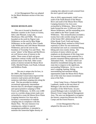A Unit Management Plan was adopted for the Black Mountain section of this area in 1986.

## **MOOSE RIVER PLAINS**

 This area is located in Hamilton and Herkimer counties in the Towns of Arietta, Inlet, Lake Pleasant, Long Lake, Morehouse, Ohio and Webb. This area is bounded on the north by Pigeon Lake Wilderness; on the east by Blue Ridge Wilderness; on the south by West Canada Lake Wilderness and Little Moose Mountain Wilderness; and on the west by the boundary of Township Two and Three. The scenic "plains" of the Moose and Red Rivers are well-known areas of interest to the public. These zones of herb and grass vegetation contrast vividly with the overall forested nature of the Park. Other scenic points of interest include the Moose River Cliffs, Mitchell Ponds, Lost Ponds, Icehouse and Helldiver Ponds.

 The area is unique also for how, in the 1960's, the Department of Environmental Conservation improved the extensive road system and developed numerous individual camping sites along the road. This has provided an outdoor recreational opportunity intermediate between that of a developed campground and typical primitive camping in Wild Forest and Wilderness. In 2010, over 2,900 acres in a corridor along certain roads were reclassified to create the Moose River Plains Camping Intensive Use Area and to facilitate a concentration of roadside camping sites in compliance with this Master Plan. The new Intensive Use camping area, subject to special management guidelines, is intended to maintain this somewhat higher density of

camping sites adjacent to and screened from the area's gravel road system.

Also in 2010, approximately 14,667 acres south of the South Branch of the Moose River and south of the Moose River Plains Camping Intensive Use Area were reclassified to Wilderness. Most of these lands formed the new 12,269-acre Little Moose Wilderness, and the remainding acres were added to the West Canada Lake Wilderness. This reclassification excluded a twenty-foot-wide corridor along the routes of the former DEC administrative road (Otter Brook Truck Trail) and former Wilson Ridge Road, retained as Wild Forest expressly to allow for non-motorized, recreational uses such as a mountain-biking, hiking and cross-country skiing. The exclusion of motor-vehicle use and emphasis on development of this long route for mountain biking creates potential for a premier mountain-biking opportunity in the Adirondack Park. No motor-vehicle use should be reestablished along this remote route due to impacts to the significant, surrounding Wilderness. As it is now, the area's camping, hunting, fishing, snowmobiling and mountain biking opportunities make the Moose River Plains one of the truly four-season recreational areas of the Park.

 Great Camp Uncas, a National Historic Landmark, stands on the east shore of Mohegan Lake near the northeastern boundary of this Wild Forest. An area around Mohegan Lake is included in the Historic Great Camps Special Management Area. The area was designated to recognize the historic connection between the Great Camps and the Forest Preserve.

A Unit Management Plan was adopted for this area in 2011.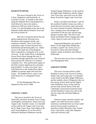#### **RAQUETTE RIVER**

This area is located in the Towns of Colton, Hopkinton, and Parishville, St. Lawrence County. It extends to the north along the Raquette River impoundments to Stark Reservoir and to the south to Jamestown Falls just north of Seveys Corner. It is also bounded on the east by the Raquette-Jordan Boreal Primitive Area and the west by Route 56.

This unit is characterized by flat and gentle sloping terrain, flowing rivers, deciduous and evergreen forests, and numerous wetlands. Prior to the State's acquisition, many of these forested tracts had limited and informal public use. Public access to the lands east of the Raquette River is gained by crossing the river or the reservoir. As the Jordan River (a designated Scenic River) flows through this unit, it meanders through significant areas of boreal forest and has the character of a northern Canadian river. This northwestern region of the Park contains significant low elevation boreal habitat. A canoe carry from Carry Falls Reservoir to the Jordan River allows paddlers to portage rapids and reach flat waters. The Raquette River, above Carry Falls Reservoir, is a designated Scenic River.

A Unit Management Plan was adopted for this area in 2006.

## **SARANAC LAKES**

 This area is located in the Towns of North Elba and Saint Armand, Essex County and Brighton, Harrietstown, Santa Clara and Tupper Lake, Franklin County. It is bounded on the north by the Tupper Lake Town line, the St. Regis Canoe Area, State Highway 86 and County Highway 55; on the east by McKenzie Mountain Wilderness and the

Sentinel Range Wilderness; on the south by the High Peaks Wilderness and the Tupper Lake Town line; and on the west by State Route 30 and the Tupper Lake Town line.

 Easily accessible from Routes 3 and 30, this southern Franklin County area offers a broad network of streams, lakes and ponds for water-oriented recreation. Boating access sites, camping areas and portages are convenient for the day user and the long distance traveler alike. The Fish Creek Ponds and Rollins Pond Campgrounds offer a base camp for some users of the area.

 Ampersand Mountain, just south of Route 3 in the High Peaks Wilderness, provides a superb view of this area as a reward for a three-mile hike through majestic stands of hemlock and northern hardwoods.

This area does not yet have an adopted Unit Management Plan.

## **SARGENT PONDS**

 This area is located entirely within Hamilton County in the Towns of Arietta, Indian Lake, and Long Lake. It is bounded on the south by the Blue Ridge Wilderness, and the southern shore of Raquette Lake; on the west by private lands and the Pigeon Lake Wilderness Area; on the north by private lands and the Sperry Pond and Cedarlands Conservation Easement lands and the Hamilton County line; and on the east by Long Lake and State Highway 28N/30.

 Known to many canoeists, hunters and anglers, this Wild Forest area contains numerous waterbodies that vary from small interior beaver ponds to portions of shoreline on Blue Mountain Lake, Forked Lake, Lake Eaton, Long Lake, Raquette Lake and Utowana Lake.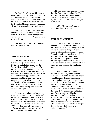The North Point Road provides access to the Upper and Lower Sargent Ponds trails and Buttermilk Falls, a popular destination along this stretch of the Raquette River. The Owls' Head Mountain fire tower and Castle Rock on Blue Mountain Lake provide scenic views of the surrounding lakes and forest.

 Public campgrounds on Raquette Lake, Forked Lake and Lake Eaton plus the North Point Road to the Raquette River provide varied access and recreational opportunity to users of this area.

This area does not yet have an adopted Unit Management Plan.

## **SHAKER MOUNTAIN**

 This area is located in the Towns of, Bleeker, Caroga, Mayfield and Northampton, in Fulton County and the Town of Benson in Hamilton County. With the exception of snowmobile trails and the trail to the Kane Mountain Fire Tower, this area receives relatively little use. Most of the area was heavily logged prior to State acquisition and there are a considerable number of old log roads, chiefly in the southern half, where most of the hills are low and gently sloped. These woods roads make comfortable hiking trails that can be enjoyed by all ages.

 A number of small ponds afford some attractive camping sites. The second growth hardwoods that predominate allow easy foot travel both on and off the old woods roads and foot trails. This is in contrast to much of the State lands north of the area where the 1950 blow down and subsequent dense softwood reproduction has made travel off maintained foot trails quite difficult.

 This tract offers great potential to serve the Wild Forest recreational needs of New York's hikers, horsemen, snowmobilers, cross-country skiers and campers, and is capable of absorbing a considerable degree of public use.

A Unit Management Plan was adopted for this area in 2006.

#### **SPLIT ROCK MOUNTAIN**

This area is located in the eastern foothills of the Adirondack Mountains along the western shore of Lake Champlain, in the Towns of Essex and Westport, Essex County. It is bounded on the east by Lake Champlain, and on the north, west and south by private lands. The area is named for Split Rock Mountain, the predominant feature of the landscape referring to an unusual "split rock" formation and historic landmark found on private land at the northern end of the mountain.

Habitat varies from the open wetlands of Webb Royce Swamp to the precipitous cliffs on the eastern side of Split Rock Mountain. The area also harbors a rich and unique mosaic of flora and fauna. The northernmost breeding population of the New York State endangered timber rattlesnake is found here. All tree species native to New York that are found north of the Mohawk River are represented in this unit. The area provides habitat for representative bird species of the Adirondack Park; eighty percent of the bird species found in the park, including blackcrowned night heron and the peregrine falcon, have been documented in this region. Several threatened plant species reside within the unit as well.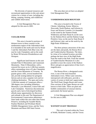The diversity of natural resources and recreational opportunities in this unit attract visitors for a variety of uses, including day hiking, camping, hunting, and wildflower and wildlife observation.

A Unit Management Plan was adopted for this area in 2005.

#### **TAYLOR POND**

This area is located in portions of thirteen towns in three counties in the northeastern region of the Adirondack Park. It is bounded on the north and west by Route 3 and the Adirondack Park Blue Line; the east by Lake Champlain; and on the south by Route 9N between Elizabethtown and Westport.

Significant land features in this unit include Poke-O-Moonshine and Catamount Mountains. Poke-O-Moonshine, with a restored fire tower on its 2,180-foot summit, offers outstanding views of Lake Champlain and the Green Mountains of Vermont. Its granite gneiss cliffs, several hundred feet tall, provide nesting habitat for peregrine falcons and are also a popular rock and ice climbing destination. The open and rocky, 3,168-foot summit of Catamount offers a 360-degree view including Whiteface Mountain, Lyon Mountain, Union Falls and Lake Champlain. Numerous discontinuous parcels and a lack of developed facilities affords many opportunities for discovery and solitude in this unit The Department of Environmental Conservation administers State lands within this area other than Forest Preserve, including the Ausable Marsh, Pauline Murdock and Wickham Marsh Wildlife Management Areas, and the Terry Mountain and Burnt Hill State Forests.

This area does not yet have an adopted Unit Management Plan.

#### **VANDERWHACKER MOUNTAIN**

 This area is located in the Towns of Chester, Johnsburg, Keene, Minerva, Newcomb, North Hudson, and Schroon in Essex and Warren Counties. It is bounded on the south by the Siamese Ponds Wilderness and State Route 8; on the west by the Hudson River and the Hudson Gorge Primitive Area; on the east by State Route 9 and Schroon Lake; and on the north by the High Peaks Wilderness.

 The three primary attractions of the area are the lakes and ponds, the Boreas River and Vanderwhacker Mountain. The latter, by virtue of its isolated location, provides perhaps the best view of the High Peaks from the south in the Park. From the summit of Vanderwhacher Mountain It is also possible to trace the course of the Hudson River and gain an appreciation of that river's magnificance.

 The Boreas River, a designated scenic river, is one of the most beautiful Adirondack rivers. White water stretches, interspersed with stillwaters, provide a variety of scenes to hold one's appreciation. The Wolf Pond, Durgin Brook and Lester Flow sections of the Upper Boreas are well known to bird clubs. There are plant and birdlife communities of unusual interest, particularly the boreal species.

 A Unit Management Plan was adopted for this area in 2005.

## **WATSON'S EAST TRIANGLE**

This unit is located within the Town of Webb, Herkimer County, and the Towns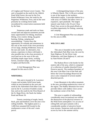of Croghan and Watson Lewis County. The unit is bounded on the north by the Aldrich Pond Wild Forest; the east by the Five Ponds Wilderness Area; the south by the Pepperbox Wilderness Area; and on the west primarily by working forest lands encumbered by conservation easements held by the State.

Numerous roads and trails on Stateowned land and adjacent easements provide many opportunities for hiking, mountain biking, cross country skiing, big game hunting, fishing, camping and snowmobiling. Visitors have the opportunity for solitude and remoteness in this unit as the result of the close proximity of two large, abutting Wilderness Areas to the east and south. An alternative, less remote, experience in these wild lands is also possible due to the close proximity of rural land use to the west of the unit, including maple sugar farms, working forests, seasonal camps, and the villages of Croghan and Harrisville.

A Unit Management Plan was adopted for this area in 2010.

#### **WHITEHILL**

This unit is located in St. Lawrence County and includes Wild Forest lands within an area bounded on the west and north by the Adirondack Park Blue Line; the east by the St. Lawrence-Franklin county line; and on the south by the West Branch of the St. Regis River, the Stark-Joe Indian Road and Route 56.

Forests consisting of maple, beech, birch, pine and hemlock cover the area's low rolling foothills. The highest point is a 1,600-foot unnamed hill located in the southeastern corner of the unit's main parcel.

A distinguishing feature of the area is Wheeler Marsh. This 1,238-acre wetland is one of the largest in the northern Adirondack region. It provides habitat for a wide array of wildlife and offers views of expansive, open peatlands. The largest natural water body is the 35-acre Clear Pond. Easy access to this pond affords an excellent opportunity for fishing, canoeing and camping.

 A Unit Management Plan was adopted for this area in 2006.

#### **WILCOX LAKE**

 This area is bounded on the south by the Adirondack Park Blue Line; the west by State Highway 30, the Silver Lake Wilderness, and State Highway 8 ; and east by State Routes 28 and 9.

 The Hudson River is the border for the eastern side of the area, which is composed of a collection of smaller detached Forest Preserve parcels. The southern boundary of this area is the Blue Line of the Park and below the Great Sacandaga Reservoir the area is also composed of several smaller detached parcels.

 Crane Mountain is the tallest mountain in the area, providing unobstructive views of the region. The Hadley Mountain fire tower provides hikers with endless views across the southeast corner of the Park.

 This area is capable of withstanding considerably more recreational use without the destruction of the physical resource or the Wild Forest atmosphere. It is an area of rolling hills and open summits with a considerable number of attractive brook trout streams. Numerous trails provide easy access by foot in the summer and by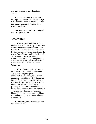snowmobiles, skis or snowshoes in the winter.

 In addition and contrast to this well developed trail system, there is also a large trail-less section north of Wilcox Lake that provides an excellent opportunity for a remote experience.

 This area does not yet have an adopted Unit Management Plan.

#### **WILMINGTON**

The area consists of State lands in the Towns of Wilmington, Jay and Keene in Essex County and Black Brook in Clinton County. It is roughly bounded on the north by the Forestdale and Silver Lake Roads; the east by Route 9N; the south by the Sentinel Wilderness and Whiteface Mountain Ski Center; and on the west by Gillespie Drive, Whiteface Mountain Veteran's Memorial Highway and the McKenzie Mountain Wilderness.

The area's distinguishing feature is its diversity of recreational opportunities. The largest contiguous parcel, approximately 6,400 acres, offers scenic rock cliffs overlooking much of the Jay and Sentinel Ranges, camping at the lean-to on Cooper Kill Pond, and hunting access along the Forestdale Road. Other State land parcels provide access for trout fishing on the renowned Ausable River, viewing scenic waterfalls, rock climbing and mountain biking. In the winter, cross country skiing, ice climbing, trapping, and snowmobiling are available.

A Unit Management Plan was adopted for this area in 2005.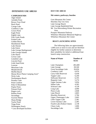## **INTENSIVE USE AREAS**

#### **CAMPGROUNDS**

Alger Island AuSable Point Brown Tract Pond Buck Pond Caroga Lake Cranberry Lake Crown Point Eagle Point Eighth Lake Fish Creek Ponds Forked Lake Golden Beach Hearthstone Point Lake Durant Lake Eaton Lake George Battleground Lake George Islands Lake Harris Lewey Lake Limekiln Lake Lincoln Pond Little Sand Point Luzerne Meacham Lake Meadowbrook Moffitt Beach Moose River Plains Camping Area\* Nicks Lake Northampton Beach Paradox Lake Point Comfort Poke-O-Moonshine Poplar Point Putnam Pond Rogers rock Rollins Pond Sacandaga Scaroon Manor Sharp Bridge Taylor Pond Tioga Point Wilmington Notch \* Less developed facilities

#### **DAY USE AREAS**

#### **Ski centers, parkways, beaches**

Gore Mountain Ski Center Hinckley Day Use Area Lake George Beach Lake George Battlefield Park Mt. Van Hoevenberg Winter Recreation Area Prospect Mountain Parkway Whiteface Mountain Memorial Highway Whiteface Mountain Ski Center

#### **BOAT LAUNCHING SITES**

 The following lakes are approximately 1,000 acres or more in size and are therefore eligible for further analysis to determine their suitability for initial or additional boat launch ramp construction.

| <b>Name of Water</b>         | Number of<br><b>Acres</b> |
|------------------------------|---------------------------|
| Lake Champlain               | 281,600                   |
| Lake George                  | 28,160                    |
| Great Sacandaga Lake         | 26,656                    |
| <b>Cranberry Lake</b>        | 6,976                     |
| Carry Falls Reservoir        | 6,458                     |
| <b>Tupper Lake</b>           | 6,240                     |
| <b>Stillwater Reservoir</b>  | 6,195                     |
| Raquette Lake                | 5,274                     |
| <b>Upper Saranac Lake</b>    | 5,056                     |
| <b>Indian Lake</b>           | 4,365                     |
| Schroon Lake                 | 4,128                     |
| Long Lake                    | 4,090                     |
| Piseco Lake                  | 2,848                     |
| Lake Placid                  | 2,803                     |
| Hinckley Reservoir           | 2,784                     |
| <b>Upper Chateaugay Lake</b> | 2,605                     |
| Little Tupper Lake           | 2,381                     |
| Lower Saranac Lake           | 2,285                     |
| Fourth Lake (Fulton Chain)   | 2,138                     |
| Chazy Lake                   | 1,606                     |
| Sacandaga Lake               | 1,600                     |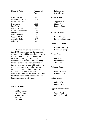| <b>Name of Water</b>      | Number of<br>Acres |
|---------------------------|--------------------|
| Lake Pleasant             | 1,440              |
| Middle Saranac Lake       | 1,376              |
| Union Falls Flow          | 1,376              |
| <b>Brant Lake</b>         | 1,376              |
| Peck Lake                 | 1,370              |
| Big Moose Lake            | 1,286              |
| <b>Blue Mountain Lake</b> | 1,261              |
| <b>Forked Lake</b>        | 1,248              |
| Meacham Lake              | 1,203              |
| Woodhull Lake             | 1,158              |
| Abanakee Lake             | 1,018              |
| Lake Clear                | 1,000              |

## **Tupper Chain**: Tupper Lake Simon Pond Raquette Pond

 Lake Flower Oseetah Lake

#### **St. Regis Chain**:

 Upper St. Regis Lake Lower St. Regis Lake

#### **Chateaugay Chain**:

 Upper Chateaugay Lower Chateaugay

#### **Fulton Chain**:

 First Lake Second Lake Third Lake

## **Rainbow Chain**:

 Lake Kushaqua Rainbow Lake

#### **Indian Chain**:

 Indian Lake Lewey Lake

## **Upper Saranac Chain**:

 Square Pond Fish Creek Pond

The following lake chains contain lakes less than 1,000 acres in size, but the combined acreage of lakes within these chains exceeds approximately 1,000 acres. These lakes, listed below, are eligible for further consideration to determine their suitability for boat launch ramp construction because they are connected by navigable waterways and the aggregate acreage of each chain exceeds 1,000 acres. These chains may contain additional lakes less than 1,000 acres in size which are not listed. Such lakes have been determined to be unsuitable for boat launch ramp construction.

#### **Saranac Chain**:

 Middle Saranac Lower Saranac Second Pond First Pond Lake Kiwassa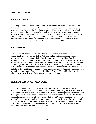#### **HISTORIC AREAS**

## **CAMP SANTANONI**

 Camp Santanoni Historic Area is 35 acres in size and located north of New York State Route 28N in the Town of Newcomb in Essex County. It consists of three clusters of buildings (the Gate House Complex, the Farm Complex and the Main Camp Complex) and a 4.7-mile access road connecting them. Camp Santanoni, one of the oldest and largest great camps, was created by Robert C. Pruyn in 1892. The  $12,900<sub>±</sub>$  acre Santanoni Preserve was acquired by the State of New York in 1972 as part of the Forest Preserve. The three building complexes and the road are listed on the National Register of Historic Places and are in the process of being restored. The Unit Managament Plan for this area was adopted in 2000.

#### **CROWN POINT**

This 390 acre site contains archaeological remains and ruins from a number of periods and events significant to the history of New York State and the nation including: a number of archaeological sites pre-contact Native American, the standing ruins of Fort Saint Frederic constructed by the French in 1731, and archaeological remains of associated military and civilian occupations. Crown Point was the second post captured by American forces in 1775 (after Fort Ticonderoga) and served as the base for the American fleet that fought in the Battle of Valcour Bay. The property surrounding the sites of the French and British forts was donated to the state in 1910 on the condition that the ruins be preserved in perpetuity. Subsequent acquisitions have expanded the boundaries. Crown Point is listed in the State and National Registers of Historic Places and has been designated as a National Historic Landmark.

#### **HURRICANE MOUNTAIN FIRE TOWER**

This area includes the fire tower on Hurricane Mountain and a 0.5 acre square surrounding the fire tower. The fire tower is listed on the National Register of Historic Places. The area was reclassified from Primitive to Historic in 2010. The designation does not preclude the Department of Environmental Conservation from determining the fire towers structurally unsound and should be removed, nor does it preclude the DEC from relocating the fire tower to another location consistent with its historic setting. In this event, the area's classification will, without any further Agency action, become part of the Hurricane Mountain Wilderness Area. The Historic Area designation does not require, obligate or anticipate expenditure of State funds for maintenance and restoration of the fire tower.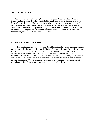#### **JOHN BROWN'S FARM**

This 105 acre area includes the home, farm, pond, and grave of abolitionist John Brown. John Brown was buried at this site following his 1859 execution in Virginia. The bodies of two of Browns' sons and several of Browns' followers, who were killed in the raid on the Harper's Ferry Armory, were relocated to this site. The property was deeded to the State of New York in 1895 on the condition that it be preserved as a park or reservation. A monument to Brown was erected in 1935. The property is listed in the State and National Registers of Historic Places and has been designated as a National Historic Landmark.

#### **ST. REGIS MOUNTAIN FIRE TOWER**

This area includes the fire tower on St. Regis Mountain and a 0.5 acre square surrounding the fire tower. The fire tower is listed on the National Register of Historic Places. The area was reclassified from Primitive to Historic in 2010. The designation does not preclude the Department of Environmental Conservation from determining the fire towers structurally unsound and should be removed, nor does it preclude the DEC from relocating the fire tower to another location consistent with its historic setting. In this event, the area's classification will revert to Canoe Area. The Historic Area designation does not require, obligate or anticipate expenditure of State funds for maintenance and restoration of the fire tower.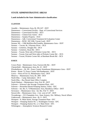## **STATE ADMINISTRATIVE AREAS**

#### **Lands included in the State Administrative classification:**

#### **CLINTON**

- Ausable -- Maintenance Area, Rt. 9N-I-87 DOT
- Dannemora -- Correctional Facility Dept. of Correctional Services
- Dannemora -- Correctional Facility DCS
- Dannemora -- Clinton East Annex DCS
- Dannemora -- Surplus Property OGS
- Dannemora -- Adk. Correctional Treatment & Evaluation Center
- Dannemora -- ROW- SH 5186, Vacant Land DOT
- Saranac SH -- 1398 Moffittsville/Franklin, Maintenance Area DOT
- Saranac -- Vacant, Rt. 3/Saranac River DCS
- Saranac Cemetery, Douglas Rd. –DCS
- Saranac Cemetery, Ryan Rd. –DCS
- Saranac Vacant, West side of Picketts Corner Rd. DCS
- Saranac Vacant, East and West sides of Picketts Corner Rd. DCS
- Saranac Vacant, Picketts Corner Rd. at Barnham Brook Rd. DCS

#### **ESSEX**

Crown Point – Maintenance Area, Factoryville Rd. – DOT Chesterfield – Maintenance Area, Rt. 22 - DOT Elizabethtown -- Rt. 9N - Essex County Stonehouse Maintenance Area – DOT Keene – Route 73, Essex County Sub-headquarter - DOT Lewis -- West of Exit 32, Maintenance Area - DOT Minerva -- Maintenance Area, Rt. 28N - DOT North Elba -- Camp Adirondack - DCS North Elba -- Ray Brook State Office Complex North Hudson -- Maintenance Area, Exit 30 - DOT Schroon -- Schroon Lake Sewage Treatment Plant - EFC Schroon -- Horseshoe Brook Pumping Station, Utility - EFC Schroon -- Int. Rts. 9, 73/Maintenance Area, Residency Office - DOT Severance -- Maintenance Area - Int. Rts. 9 & 73 - DOT Stowerville -- Maintenance Area - 2 mi. west of I.87 - DOT Ticonderoga -- 315 Champlain Ave., State Armory, Div. Military, Naval Affairs Underwood -- Maintenance Area - Rt. 9 - DOT Westport-- N. Main Street, Sewage Treatment Plant - EFC Westport -- Pumping Station No. 1, Washington Avenue - EFC Westport -- Pumping Station No. 2, S. Main Street - EFC Wilmington -- Atmospheric Sciences Research Center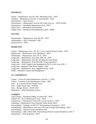#### **FRANKLIN**

Duane -- Maintenance Area Rt. 458, "Meacham Lake" - DOT Franklin -- Maintenance Area Rt. 3, Vermontville - DOT Harrietstown -- State Armory Harrietstown -- Maintenance Area Rt. 86, Lake Clear Jct. – DOT & DEC Harrietstown -- Wawbeek Maintenance Area - DOT Santa Clara -- Adirondack Fish Hatchery Tupper Lake -- Sunmount Developmental Center - DMH

#### **FULTON**

Northampton -- Maintenance Area SH 362 - DOT Northampton -- DEC, Northville - DEC Rockwood 29 -- DOT

#### **HAMILTON**

Arietta -- Maintenance Area - Rt. 10, 1.5 mi. north of Fulton County - DOT

- Indian Lake -- Maintenance Area, Residency DOT
- Hoffmeister -- Maintenance Area, Rt. 8 DOT
- Long Lake -- Maintenance Area, Rts. 28N, 30 DOT
- Long Lake -- Maintenance Area Rt. 28, Raquette Lake Patrol
- Long Lake -- Maintenance Area SH 5189, Long Lake Patrol
- Long Lake -- Little Tupper Lake Headquarters, Rt.10, 4 mi. west of Rt. 3
- Long Lake Raquette Lake Water Supply DEC
- Long Lake Maintenance Area, Sagamore Road DOT
- Wells -- Hamilton County Sub-headquarters

#### **ST. LAWERENCE**

Colton -- Town of Colton Maintenance Area-Rt. 3 - DOT

Colton – Cranberry Lake Maintenance Center - DEC

- Fine -- St. Lawrence Power Radio Tower
- Fine -- Radio Tower Site PASNY
- Fine -- Ranger School SUNY ESF
- Hopkinton -- White Hill Radio Towers

#### **WARREN**

Lake George -- Residential Bldg. Location/I-87 - DOT Chester SS -- Rt. 8, Maintenance Area – DOT Chestertown -- Maintenance Area-I-87, Exit 25 on Rt. 8 – DOT Johnsburg – Maintenance Area, Peaceful Valley Road -DOT Warrensburg -- Parking Lot SH 5157 Warrensburg-Chestertown - DOT Warrensburg -- Maintenance Area near I-87/Lake George-Warrensburg - DOT Warrensburg -- Warren County Storehouse Site Warrensburg -- DEC Office-DEC Warrensburg-Warren County Residency on Rt. 9 Queensbury -- DOT properties - DOT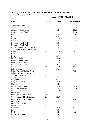## **WILD, SCENIC AND RECREATIONAL RIVERS SYSTEM in the Adirondack Park**

## **Number of Miles Classified**

| <b>River</b>                    | <u>Wild</u> | <b>Scenic</b> | Recreational |
|---------------------------------|-------------|---------------|--------------|
| <b>Ampersand Brook</b>          |             | 8.6           |              |
| Ausable -- Main Branch          |             |               | 21.7         |
| Ausable -- East Branch          |             | 8.8           | 25.2         |
| Ausable -- West Branch          |             |               | 31.8         |
| <b>Black</b>                    |             | 6.8           | 5.8          |
| <b>Bog</b>                      |             | 6.2           |              |
| <b>Boreas</b>                   |             | 11.4          |              |
| <b>B</b> ouquet                 |             |               | 42.7         |
| Bouquet -- North Fork           |             | 5.9           |              |
| Bouquet -- South Fork           |             | 5.0           |              |
| Blue Mountain Stream (Trib. of  |             | 7.9           |              |
| Middle Branch, Grasse River)    |             |               |              |
| Cedar                           | 13.5        | 13.0          | 10.4         |
| Cold                            |             | 14.5          |              |
| Deer                            |             | 5.7           |              |
| East Canada Creek               |             | 19.3          |              |
| Grasse -- Middle Branch         |             | 12.9          |              |
| <b>Grasse -- North Branch</b>   |             | 25.4          |              |
| Grasse -- South Branch          |             | 36.1          | 4.2          |
| Hudson                          | 11.2        | 11.8          | 55.1         |
| Independence                    |             | 24.5          |              |
| Indian (Trib. of Hudson River)  |             |               | 7.5          |
| Indian (Trib. of Moose River -- |             |               |              |
| South Branch)                   | 15.1        |               |              |
| Jordan                          |             | 15.7          |              |
| Kunjamuk                        | 7.1         | 9.1           |              |
| Long Pond Outlet                |             | 16.3          |              |
| Marion                          |             | 4.4           |              |
| Moose -- Main Branch            |             | 15.0          | 11.0         |
| Moose – North Branch            |             | 5.3           | 11.6         |
| Moose -- South Branch           |             | 33.6          |              |
| Opalescent                      | 10.4        |               |              |
| Oswegatchie -- Main Branch      | 14.9        |               |              |
| Oswegatchie -- Middle Branch    | 13.0        | 22.7          |              |
| Oswegatchie -- West Branch      |             | 7.2           | 6.3          |
| <b>Otter River</b>              |             | 8.8           |              |
| <b>Ouluska Pass Brook</b>       | 2.3         |               |              |
| Piseco Outlet                   | 3.8         |               |              |
| Raquette                        |             | 36.0          | 51.6         |
| Red                             |             | 8.0           |              |
| Rock                            |             | 6.4           | 1.3          |
| <b>Round Lake Outlet</b>        |             | 2.4           |              |
|                                 |             |               |              |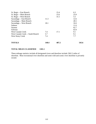| <b>TOTALS</b>                     | 148.4 | 487.2 | 545.6 |
|-----------------------------------|-------|-------|-------|
|                                   |       |       |       |
| <b>West Stony Creek</b>           | 7.4   |       | 7.7   |
| West Canada Creek -- South Branch | 5.7   |       | 9.1   |
| West Canada Creek                 | 7.4   | 17.1  | 9.1   |
| Schroon                           |       |       | 63.9  |
| Saranac                           |       |       | 62.7  |
| Salmon                            |       |       | 11.6  |
| Sacandaga -- West Branch          | 18.1  |       | 16.6  |
| Sacandaga -- Main Branch          |       |       | 28.5  |
| Sacandaga -- East Branch          | 11.3  |       | 12.6  |
| St. Regis -- West Branch          |       | 31.5  | 5.5   |
| St. Regis -- Main Branch          |       | 15.6  | 23.9  |
| St. Regis -- East Branch          |       | 15.4  | 6.3   |

## **TOTAL MILES CLASSIFIED 1181.1**

These mileage statistics include all designated rivers and therefore include 2362.2 miles of shoreline. Most recreational river shoreline and some wild and scenic river shoreline is privately owned.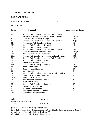## **TRAVEL CORRIDORS**

#### **RAILROAD LINES**

Remsen to Lake Placid 122 miles

#### **HIGHWAYS**

| Route  | <b>Terminal</b>                                      | <b>Approximate Mileage</b> |
|--------|------------------------------------------------------|----------------------------|
| $I-87$ | Northern Park Boundary to Southern Park Boundary     | 91                         |
| 3      | Western Park Boundary to Northeastern Park Boundary  | 107(a)                     |
| 8      | Southwest Park Boundary to Hague                     | 109                        |
| 9      | Northern Park Boundary to Southern Park Boundary     | 92(b)                      |
| 9L     | Southeastern Park Boundary to Route 9                | 13                         |
| 9N     | Southern Park Boundary to Keeseville                 | 124                        |
| 10     | Southern Park Boundary to Route 8                    | 23                         |
| 22     | Northern Park Boundary to Southern Park Boundary     | 76(c)                      |
| 28     | Southwestern Park Boundary to Route 9                | 100(d)                     |
| 28N    | <b>Blue Mountain Lake to North Creek</b>             | 47(e)                      |
| 29A    | Southern Park Boundary to Southwestern Park Boundary | 18(f)                      |
| 30     | Northern Park Boundary to Southern Park Boundary     | 151(g)                     |
| 56     | Northern Park Boundary to Sevey                      | 15                         |
| 58     | Western Park Boundary to Fine                        | 5                          |
| 458    | Northern Park Boundary to Route 30                   | 20                         |
| 9N     | Route 9N to Route 86                                 | 26(h)                      |
| 74     | Route 9 to Lake Champlain                            | 30                         |
| 86     | Jay to Route 30                                      | 34                         |
| 149    | Southern Park Boundary to Southeastern Park Boundary | 5                          |
| 186    | Route 86 to Route 30 at Lake Clear                   | $\overline{4}$             |
| 192A   | Route 192 to Route 86                                | $\overline{c}$             |
| 287    | Western Park Boundary to Route 8                     | 6                          |
| 373    | Port Kent to Route 9                                 | $\overline{3}$             |
| 374    | Northern Park Boundary to Dannemora                  | 27                         |
| 418    | Warrensburg to Thurman                               | 3                          |
| 421    | Horseshoe Lake to Route 30                           | 6                          |
| 431    | Wilmington to Whiteface Summit                       | 8                          |
| 185    | Crown Point Bridge to Route 22                       | $\overline{4}$             |

| <b>Subtotal</b>                | <b>1165 Miles</b> |
|--------------------------------|-------------------|
| <b>Minus dual designations</b> | 87                |
| <b>Total</b>                   | 1078 Miles        |

(a) includes 6 miles dually designated as Route 30

(b) includes 4 miles dually designated as Route 8 and 10 miles dually designated as Route 73

(c) includes 25 miles dually designated as Route 9N

(d) includes 11 miles dually designated as Route 30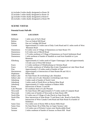- (e) includes 9 miles dually designated as Route 30
- (f) includes 5 miles dually designated as Route 10
- (g) includes 9 miles dually designated as Route 8
- (h) includes 2 miles dually designated as Route 9N

## **SCENIC VISTAS**

#### **Potential Scenic Pull-offs**

| <b>TOWN</b>        | <b>LOCATION</b>                                                                                               |
|--------------------|---------------------------------------------------------------------------------------------------------------|
| <b>Bellmont</b>    | 1 mile west of Owl's Head                                                                                     |
| <b>Bolton</b>      | Two on Federal Hill Road                                                                                      |
| <b>Bolton</b>      | One on Coolidge Hill Road                                                                                     |
| Corinth            | Approximately 0.5 miles east of Daly Creek Road and 0.1 miles north of West<br>Mountain Road                  |
| Dannemora          | 0.5 miles west of Village of Dannemora on State Route 374                                                     |
| Dannemora          | 0.25 miles east of Merrill Road                                                                               |
| Dannemora          | 2.75 miles northeast of Village of Dannemora on French Settlement Road                                        |
| Dannemora          | 1 mile northeast of hamlet of Standish on road from Standish to Lyon<br>Mountain                              |
| Ellenburg          | Approximately 6.5 miles north of Upper Chateaugay Lake and approximately<br>1/4 mile west of West Hill School |
| <b>Essex</b>       | 1.5 miles northeast of Whallonsburg on Christian Road                                                         |
| <b>Essex</b>       | 0.75 miles southwest of Whallon Bay (Lake Champlain) on Lake Shore Road                                       |
| Fine               | Approximately 1.25 miles south of hamlet of Fine                                                              |
| Harrietstown       | Approximately at intersection of State Routes 86 and 192-A                                                    |
| Hopkinton          | Whites Hill                                                                                                   |
| <b>Indian Lake</b> | On State Route 30 overlooking Lake Abanakee                                                                   |
| <b>Indian Lake</b> | 2.5 miles east of Lake Abanakee overlooking Lake Snow                                                         |
| Johnsburg          | 3 miles south of hamlet of North Creek                                                                        |
| Johnsburg          | 3 miles south of North River on Barton Mine Road                                                              |
| Johnsburg          | Approximately 0.5 miles southeast of Bakers Mills                                                             |
| Keene              | Intersection of Route 73 and 9N                                                                               |
| Lake Pleasant      | On southeast shore of Lake Pleasant                                                                           |
| Newcomb            | On State Route 28N approximately 0.75 miles south of Campsite Road                                            |
| Newcomb            | 3 miles east of hamlet of Newcomb on State Route 28N                                                          |
| North Elba         | 0.5 miles east of Village of Lake Placid on State Route 86                                                    |
| North Elba         | Near intersection of State Route 73 and Heart Lake Road in North Elba                                         |
| Ohio               | Intersection of West Canada Creek Road and State Route 8 at hamlet of<br>Nobleboro                            |
| Santa Clara        | Two miles west of Keese Mill on Keese Mills Road                                                              |
| Santa Clara        | On State Route 30 at Pelky Bay on Upper Saranac Lake                                                          |
| Saranac            | 3.25 miles east of Picketts Corners near Hardscrabble Road                                                    |
| Saranac            | 2 miles southeast of hamlet of Saranac on Burnt Hill Road                                                     |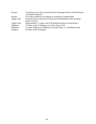| Saranac     | At intersection of Chazy Lake Road and Chateaugay Branch of the Delaware<br>and Hudson Railroad |
|-------------|-------------------------------------------------------------------------------------------------|
| Saranac     | Two miles northwest of Clayburg on Clayburg to Standish Road                                    |
| Tupper Lake | At intersection of road east of Sunmount Developmental Center and State<br>Routes 3 and 30      |
| Tupper Lake | Approximately 1.5 miles west of the Railroad Station on State Route 3                           |
| Willsboro   | 1.5 miles south of Willsboro on County Route 22-M                                               |
| Willsboro   | 4.5 miles northeast of Willsboro on County Route 27 on Willsboro Point                          |
| Westport    | 4.0 miles north of Westport                                                                     |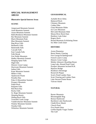## **SPECIAL MANAGEMENT AREAS**

#### **Illustrative Special Interest Areas**

#### **SCENIC**

Ampersand Mountain Summit Arab Mountain Summit Azure Mountain Summit Bald (Rondaxe) Mountain Summit Bar Mountain Summit Black Mountain Peak Blue Mountain Summit Bog River Falls Bushnell's Falls Buttermilk Falls Cascade Falls East Canada Falls Falls Brook Fort Noble Mountain Hadley Mountain Summit Hanging Spear Falls High Falls Historic Great Camps Hurricane Mountain Summit Indian Falls Kane Mountain Summit Miller's Falls Opalescent Flume Paradise Bay Poke-O-Moonshine Summit Prospect Mountain Pulpit Rock Raquette Falls Red Rock Bay Rocky Falls St. Regis Mountain Summit Sleeping Beauty Sliding Rock Falls Twitchell Creek Gorge Vanderwhacker Mountain Summit Wakely Mountain Summit Wanika Falls Whiteface Mountain Summit

#### **GEOGRAPHICAL**

AuSable River Delta Balanced Rock Chimney Mountain Colden Dike Giant Mountain Slides Ice Cave Mountain McComb Mountain Slide Moose River Rock Dam Rainbow Lake Esker Rogers Rock Round Mountain Exfoliating Dome Six Mile Creek Esker

#### **HISTORIC**

Axton Plantation Burnt Shanty Clearing Fort George & Battleground French Louie's Camp Historic Great Camps Mother Johnson's Boarding House Long Lake--Round Pond Canal Prospect Mountain Inclined R.R. Riparius Bridge Rondeau's Hermitage Roosevelt Plaque Scott's Pond Lumber Dam Scott Clearing and Lumber Dam Lake Stevens Flume Route Valcour Island

## **NATURAL**

Baxter Mountain Bloomingdale Bog Boreas Hardwood Buckhorn Lake Hardwoods Chubb River Marsh Church Pond Five Ponds Esker Griffin Rapids Virgin Timber The Gulf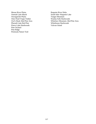Moose River Plains Oseetah Lake Marsh Oswegatchie Plains Otter Pond Virgin Timber Owl's Head--Red Pine Area Pharaoh Lake Red Pine Piseco Lake Hardwoods Pine Orchard Pine Ridge Peninsula Nature Trail

Raquette River Delta South Inlet--Raquette Lake Tongue Mountain Wanika Falls Hardwoods Whiteface Mountain--Red Pine Area Whitehouse Hardwoods Valcour Island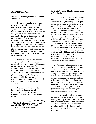## **APPENDIX I**

#### **Section 816 Master plan for management of State lands**

 1. The department of environmental conservation is hereby authorized and directed to develop, in consultation with the agency, individual management plans for units of land classified in the master plan for management of State lands heretofore prepared by the agency in consultation with the department of environmental conservation and approved by the governor. Such management plans shall conform to the general guidelines and criteria set forth in the master plan. Until amended, the master plan for management of State lands and the individual management plans shall guide the development and management of State lands in the Adirondack park.

 2. The master plan and the individual management plans shall be reviewed periodically and may be amended from time to time, and when so amended shall as amended henceforth guide the development and management of State lands in the Adirondack park. Amendments to the master plan shall be prepared by the agency, in consultation with the department of environmental conservation, and submitted after public hearing to the governor for his approval.

 3. The agency and department are hereby authorized to develop rules and regulations necessary, convenient or desirable to effectuate the purposes of this section.

 **Formerly Section 807, added L. 1971, c. 706, Section 1; renumbered 816 and amended L. 1973, c.348, Section I. Section 807 read as follows:** 

#### **Section 807. Master Plan for management of State lands**

 1. In order to further carry out the purposes of this article as described in section eight hundred one, the agency shall prepare and submit to the governor for his approval on or before June first, nineteen hundred seventy-two a master plan, developed in consultation with the department of environmental conservation, for management of State lands, whether now owned or hereafter acquired, located in the Adirondack park. Such plan shall (1) classify such lands according to their characteristics and capacity to withstand use and provide general guidelines and criteria for the management and use of lands within such classifications, and (2) reflect the actual and projected uses of private lands within the park as those uses may be more fully characterized in the development of the land use and development plan provided for in section eight hundred five of this article.

 2. Upon approval of such plan by the governor, the department of environmental conservation is hereby authorized and directed to develop, in consultation with the agency, individual management plans for units of land classified in the master plan and such management plans shall conform to the general guidelines and criteria set forth in the master plan. Until amended, the master plan for management of State lands and the individual management plans shall guide the development and management of State lands in the Adirondack park.

 3. The master plan and the individual management plans shall be reviewed periodically and may be amended from time to time in the same manner as initially adopted, and when so amended shall as amended henceforth guide the development and management of State lands in the Adirondack Park.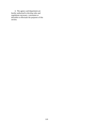4. The agency and department are hereby authorized to develop rules and regulations necessary, convenient or desirable to effectuate the purposes of this section.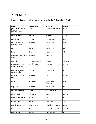# **APPENDIX II**

## **State-held conservation easements within the Adirondack Park\***

| <b>Name</b>                 | <b>County (ies)</b>              | Town (s)                        | <b>Acres</b> |
|-----------------------------|----------------------------------|---------------------------------|--------------|
| <b>Adirondack Mountain</b>  | <b>Essex</b>                     | Keene, North Hudson             | 6,980        |
| Reserve                     |                                  |                                 |              |
| (Ausable Club)              |                                  |                                 |              |
| Alderbrook Park             | Franklin                         | Franklin                        | 1,158        |
|                             |                                  |                                 |              |
| <b>Bartlett Carry</b>       | Franklin                         | Harrietstown                    | 232          |
| <b>Blue Mountain &amp;</b>  | <b>Hamilton</b>                  | <b>Indian Lake</b>              | 141          |
| Utowana Lakes               |                                  |                                 |              |
|                             |                                  |                                 |              |
| <b>Bluff Point</b>          | <b>Hamilton</b>                  | <b>Indian Lake</b>              | 82           |
|                             |                                  | Keene                           |              |
| <b>Burton</b>               | <b>Essex</b>                     |                                 | 40           |
| <b>Cedarlands Boy Scout</b> | Hamilton                         | Long Lake                       | 4,774        |
| Camp                        |                                  |                                 |              |
|                             |                                  |                                 |              |
| Champion                    | Franklin, Lewis, St.<br>Lawrence | 8 Towns                         | 108,377      |
| <b>Conservation Fund</b>    | St. Lawrence                     | Piercefield                     | 13,549       |
| (Raquette River)            |                                  |                                 |              |
|                             |                                  |                                 |              |
| Deer Island (Upper          | Franklin                         | Santa Clara                     | 41           |
| Saranac Lake)               |                                  |                                 |              |
| Dillon Park/ Sperry         | <b>Hamilton</b>                  | Long Lake                       | 15,651       |
| Pond                        |                                  |                                 |              |
|                             |                                  |                                 |              |
| <b>Dreby</b>                | St. Lawrence                     | Clifton, Colton,<br>Piercefield | 401          |
|                             |                                  |                                 |              |
| <b>Eagle Nest</b>           | <b>Hamilton</b>                  | <b>Indian Lake</b>              | 946          |
|                             |                                  |                                 |              |
| <b>Elk Lake Preserve</b>    | <b>Essex</b>                     | North Hudson                    | 1,565        |
| Finch Pyrun                 | 6 Counties                       | 25 Towns                        | 25,218       |
|                             |                                  |                                 |              |
| Flat Rock Mountain          | Herkimer                         | Ohio                            | 512          |
|                             |                                  |                                 |              |
| <b>Forked Lake</b>          | Hamilton                         | Long Lake                       | 235          |
| <b>Franklin Falls</b>       | Essex, Franklin                  | Franklin, St. Armand            | 3,682        |
|                             |                                  |                                 |              |
| <b>Grass River</b>          | St. Lawrence                     | Clare, Clifton, Colton          | 49,776       |
| I-87 - Scenic               |                                  | Lake George                     |              |
|                             | Warren                           |                                 | 6.3          |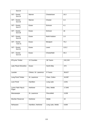| Exit 23                  |              |              |       |
|--------------------------|--------------|--------------|-------|
| I-87 - Scenic<br>Exit 24 | Warren       | Chestertown  | 16.3  |
| I-87 - Scenic<br>Exit 26 | Warren       | Chester      | 4.4   |
| I-87 - Scenic<br>Exit 27 | Essex        | Schroon      | 4.1   |
| I-87 - Scenic<br>Exit 28 | Essex        | Schroon      | 18    |
| I-87 - Scenic<br>Exit 29 | Essex        | North Hudson | 1.6   |
| I-87 - Scenic<br>Exit 31 | Essex        | Westport     | 75.2  |
| I-87 - Scenic<br>Exit 32 | <b>Essex</b> | Lewis        | 115.2 |
| I-87 - Scenic<br>Exit 33 | Essex        | Chesterfield | 35.3  |

| IP/Lyme Timber              | 12 Counties           | 36 Towns        | 242,243 |
|-----------------------------|-----------------------|-----------------|---------|
| Lake Placid Shoreline       | <b>Essex</b>          | North Elba      | 374     |
| Lassiter                    | Clinton, St. Lawrence | 9 Towns         | 38,627  |
| Long Pond Timber            | St. Lawrence          | Clare, Colton   | 18,387  |
| Loon Pond                   | Hamilton              | Long Lake       | 2,041   |
| Lyons Falls Pulp &<br>Paper | Herkimer              | Ohio, Webb      | 17,840  |
| Massawepie                  | St. Lawrence          | Piercefield     | 3,039   |
| Moshier Reservoir           | Herkimer              | Webb            | 22      |
| Nehasane                    | Hamilton, Herkimer    | Long Lake, Webb | 9,664   |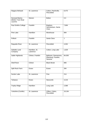| Niagara Mohawk                                 | St. Lawrence              | Colton, Parishville,<br>Piercefield                     | 8,475            |
|------------------------------------------------|---------------------------|---------------------------------------------------------|------------------|
| Norowal Marina<br>(Bolton Town Boat<br>Launch) | Warren                    | <b>Bolton</b>                                           | $\overline{0.3}$ |
| Paul Smiths College                            | Franklin                  | Brighton,<br>Harrietstown, Santa<br>Clara               | 7,694            |
| Pine Lake                                      | <b>Hamilton</b>           | Morehouse                                               | 994              |
| <b>Pollock</b>                                 | Franklin                  | Santa Clara                                             | $\overline{1}$   |
| Raquette River                                 | St. Lawrence              | Piercefield                                             | 4,352            |
| Sabattis Land<br>Company                       | Hamilton, St.<br>Lawrence | Colton, Long Lake                                       | 1,629            |
| Sable Highlands                                | Clinton, Franklin         | Bellmont, Dannemora,<br>Ellenburg, Franklin,<br>Saranac | 84,000           |
| <b>Shell Rock</b>                              | Clinton                   | <b>Black Brook</b>                                      | 806              |
| Split Rock Farm                                | Essex                     | <b>Essex</b>                                            | 394              |
| <b>Sucker Lake</b>                             | St. Lawrence              | Fine                                                    | $\overline{214}$ |
| Tahawus                                        | Essex                     | Newcomb                                                 | 3,216            |
| <b>Trophy Ridge</b>                            | Hamilton                  | Long Lake                                               | 2,589            |
| Yorkshire (Conifer)                            | St. Lawrence              | Clifton, Colton,<br>Piercefield                         | 19,194           |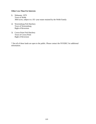#### **Other Less Than Fee Interests**

- l) Nehasane, 1979 Town of Webb 3664 acres, subject to a 5O -year estate retained by the Webb Family
- 2) Warrensburg Fish Hatchery Town of Warrensburg Right of Reversion
- 3) Crown Point Fish Hatchery Town of Crown Point Right of Reversion

\* Not all of these lands are open to the public. Please contact the NYSDEC for additional information.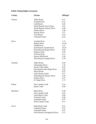## **Public Fishing Rights Easements**

| County   | <b>Stream</b>                    | Mileage* |
|----------|----------------------------------|----------|
| Clinton  | <b>Alder Brook</b>               | 0.17     |
|          | <b>Ausable River</b>             | 0.15     |
|          | Cold Brook                       | 0.45     |
|          | North Branch Great Chazy         | 1.01     |
|          | North Branch Saranac River       | 4.58     |
|          | <b>Salmon River</b>              | 3.38     |
|          | Saranac River                    | 3.27     |
|          | <b>True Brook</b>                | 4.14     |
|          | <b>Unnamed Water</b>             | 0.45     |
| Essex    | <b>Ausable River</b>             | 1.15     |
|          | <b>Boquet River</b>              | 21.39    |
|          | Chubb River                      | 1.27     |
|          | East Branch Ausable River        | 10.54    |
|          | North Branch Boquet River        | 9.59     |
|          | <b>Putnam Creek</b>              | 1.85     |
|          | <b>Schroon River</b>             | 6.11     |
|          | Spruce Mill Brook                | 3.59     |
|          | <b>West Branch Ausable River</b> | 3.78     |
| Franklin | Alder Brook                      | 0.20     |
|          | Chateaugay River                 | 1.16     |
|          | <b>Dexter Lake Outlet</b>        | 0.32     |
|          | East Branch Saint Regis River    | 2.43     |
|          | <b>Hatch Brook</b>               | 0.53     |
|          | Lake Ozonia Outlet               | 0.77     |
|          | North Branch Saranac River       | 6.39     |
|          | <b>Salmon River</b>              | 2.47     |
|          | St. Regis River                  | 2.72     |
| Fulton   | East Canada Creek                | 3.14     |
|          | <b>Sprite Creek</b>              | 0.28     |
| Herkimer | <b>Black River</b>               | 0.28     |
|          | <b>East Canada Creek</b>         | 0.22     |
|          | Little Black Creek               | 3.69     |
|          | <b>Trammel Creek</b>             | 0.58     |
|          | <b>Unnamed Water</b>             | 0.37     |
|          | <b>West Canada Creek</b>         | 0.11     |
| Lewis    | <b>Hogs Back Creek</b>           | 0.21     |
|          | <b>Unnamed Water</b>             | 0.52     |
|          | <b>Unnamed Water</b>             | 0.21     |
|          | West Branch Oswegatchie River    | 3.11     |